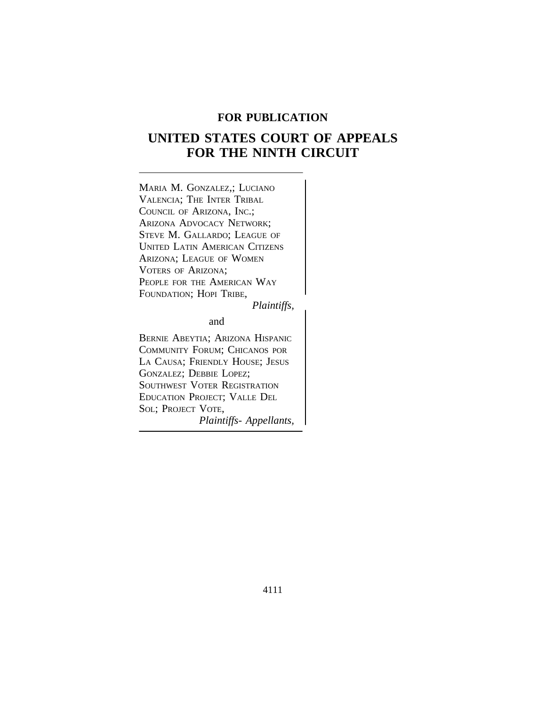# **FOR PUBLICATION**

# **UNITED STATES COURT OF APPEALS FOR THE NINTH CIRCUIT**

<sup>M</sup>ARIA M. GONZALEZ,; LUCIANO VALENCIA; THE INTER TRIBAL COUNCIL OF ARIZONA, INC.; ARIZONA ADVOCACY NETWORK; STEVE M. GALLARDO; LEAGUE OF UNITED LATIN AMERICAN CITIZENS ARIZONA; LEAGUE OF WOMEN VOTERS OF ARIZONA; PEOPLE FOR THE AMERICAN WAY FOUNDATION; HOPI TRIBE,

*Plaintiffs,*

and

BERNIE ABEYTIA; ARIZONA HISPANIC COMMUNITY FORUM; CHICANOS POR LA CAUSA; FRIENDLY HOUSE; JESUS GONZALEZ; DEBBIE LOPEZ; SOUTHWEST VOTER REGISTRATION EDUCATION PROJECT; VALLE DEL SOL; PROJECT VOTE, *Plaintiffs- Appellants,*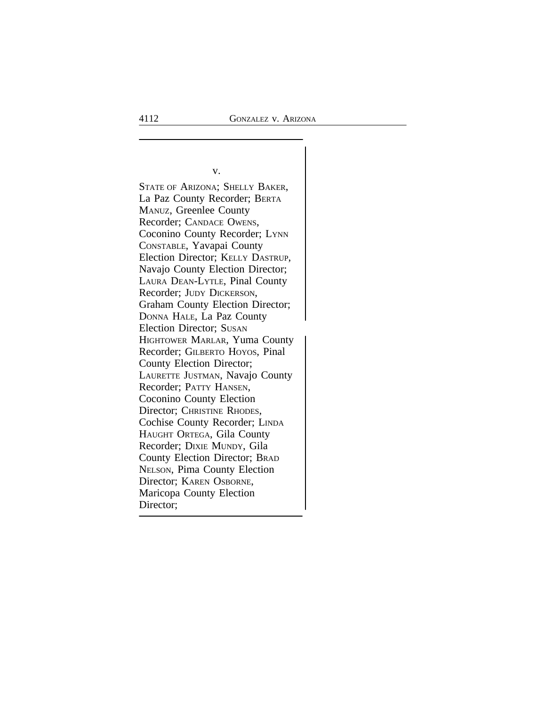$\vert$ 

v.

STATE OF ARIZONA; SHELLY BAKER, La Paz County Recorder; BERTA MANUZ, Greenlee County Recorder; CANDACE OWENS, Coconino County Recorder; LYNN CONSTABLE, Yavapai County Election Director; KELLY DASTRUP, Navajo County Election Director; LAURA DEAN-LYTLE, Pinal County Recorder; JUDY DICKERSON, Graham County Election Director; DONNA HALE, La Paz County Election Director; SUSAN HIGHTOWER MARLAR, Yuma County Recorder; GILBERTO HOYOS, Pinal County Election Director; LAURETTE JUSTMAN, Navajo County Recorder; PATTY HANSEN, Coconino County Election Director; CHRISTINE RHODES, Cochise County Recorder; LINDA HAUGHT ORTEGA, Gila County Recorder; DIXIE MUNDY, Gila County Election Director; BRAD NELSON, Pima County Election Director; KAREN OSBORNE, Maricopa County Election Director;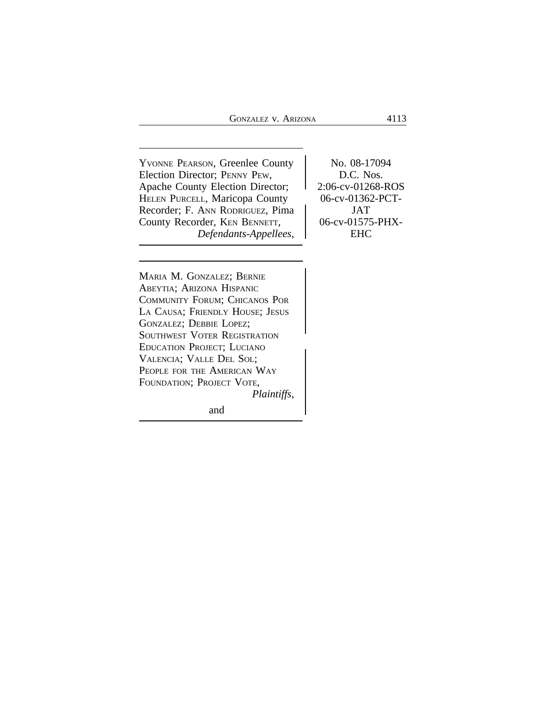YVONNE PEARSON, Greenlee County No. 08-17094 Election Director; PENNY PEW, <br>D.C. Nos. Apache County Election Director; <br>
HELEN PURCELL, Maricopa County <br>
2:06-cv-01268-ROS<br>
06-cv-01362-PCT-HELEN PURCELL, Maricopa County<br>Recorder; F. ANN RODRIGUEZ, Pima JAT Recorder; F. ANN RODRIGUEZ, Pima<br>County Recorder, KEN BENNETT, 06-cv-01575-PHX-County Recorder, KEN BENNETT, *Defendants-Appellees,* EHC

<sup>M</sup>ARIA M. GONZALEZ; BERNIE ABEYTIA; ARIZONA HISPANIC COMMUNITY FORUM; CHICANOS POR LA CAUSA; FRIENDLY HOUSE; JESUS GONZALEZ; DEBBIE LOPEZ; SOUTHWEST VOTER REGISTRATION <sup>E</sup>DUCATION PROJECT; LUCIANO VALENCIA; VALLE DEL SOL; PEOPLE FOR THE AMERICAN WAY FOUNDATION; PROJECT VOTE, *Plaintiffs,*

and the contract of the contract of the contract of the contract of the contract of the contract of the contract of the contract of the contract of the contract of the contract of the contract of the contract of the contra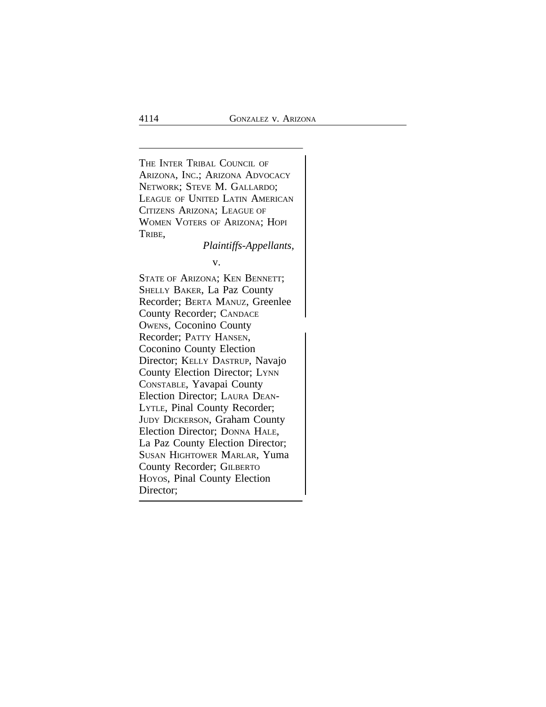<sup>T</sup>HE INTER TRIBAL COUNCIL OF ARIZONA, INC.; ARIZONA ADVOCACY NETWORK; STEVE M. GALLARDO; LEAGUE OF UNITED LATIN AMERICAN CITIZENS ARIZONA; LEAGUE OF WOMEN VOTERS OF ARIZONA; HOPI TRIBE,

*Plaintiffs-Appellants,*

v.

STATE OF ARIZONA; KEN BENNETT; SHELLY BAKER, La Paz County Recorder; BERTA MANUZ, Greenlee County Recorder; CANDACE <sup>O</sup>WENS, Coconino County Recorder; PATTY HANSEN, Coconino County Election Director; KELLY DASTRUP, Navajo County Election Director; LYNN CONSTABLE, Yavapai County Election Director; LAURA DEAN-LYTLE, Pinal County Recorder; JUDY DICKERSON, Graham County Election Director; DONNA HALE, La Paz County Election Director; SUSAN HIGHTOWER MARLAR, Yuma County Recorder; GILBERTO HOYOS, Pinal County Election Director;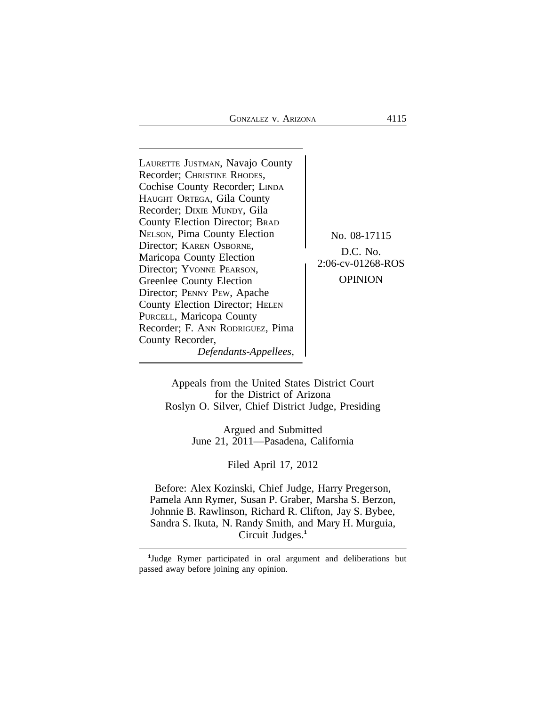| LAURETTE JUSTMAN, Navajo County<br>Recorder; CHRISTINE RHODES,<br>Cochise County Recorder; LINDA<br>HAUGHT ORTEGA, Gila County<br>Recorder; DIXIE MUNDY, Gila<br>County Election Director; BRAD<br><b>NELSON, Pima County Election</b><br>Director; KAREN OSBORNE,<br>Maricopa County Election<br>Director; YVONNE PEARSON,<br>Greenlee County Election<br>Director; PENNY PEW, Apache<br>County Election Director; HELEN<br>PURCELL, Maricopa County<br>Recorder; F. ANN RODRIGUEZ, Pima<br>County Recorder,<br>Defendants-Appellees, | No. 08-17115<br>$D.C.$ No.<br>2:06-cv-01268-ROS<br>OPINION |
|----------------------------------------------------------------------------------------------------------------------------------------------------------------------------------------------------------------------------------------------------------------------------------------------------------------------------------------------------------------------------------------------------------------------------------------------------------------------------------------------------------------------------------------|------------------------------------------------------------|
|----------------------------------------------------------------------------------------------------------------------------------------------------------------------------------------------------------------------------------------------------------------------------------------------------------------------------------------------------------------------------------------------------------------------------------------------------------------------------------------------------------------------------------------|------------------------------------------------------------|

Appeals from the United States District Court for the District of Arizona Roslyn O. Silver, Chief District Judge, Presiding

> Argued and Submitted June 21, 2011—Pasadena, California

> > Filed April 17, 2012

Before: Alex Kozinski, Chief Judge, Harry Pregerson, Pamela Ann Rymer, Susan P. Graber, Marsha S. Berzon, Johnnie B. Rawlinson, Richard R. Clifton, Jay S. Bybee, Sandra S. Ikuta, N. Randy Smith, and Mary H. Murguia, Circuit Judges.**<sup>1</sup>**

**1** Judge Rymer participated in oral argument and deliberations but passed away before joining any opinion.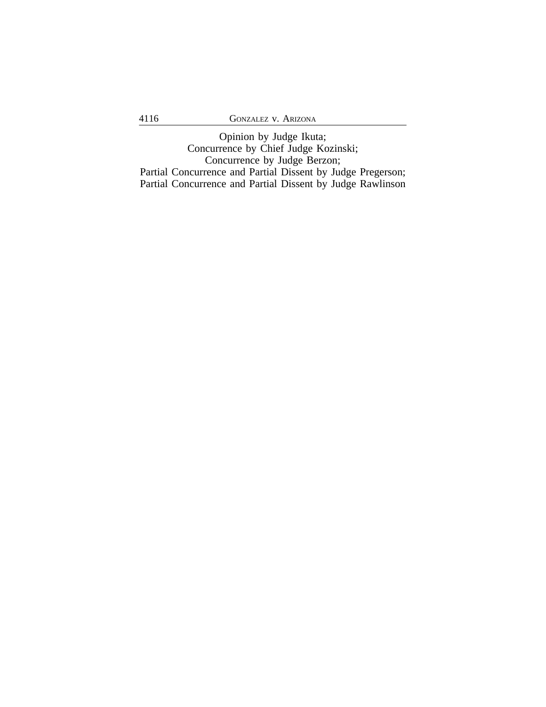Opinion by Judge Ikuta; Concurrence by Chief Judge Kozinski; Concurrence by Judge Berzon; Partial Concurrence and Partial Dissent by Judge Pregerson; Partial Concurrence and Partial Dissent by Judge Rawlinson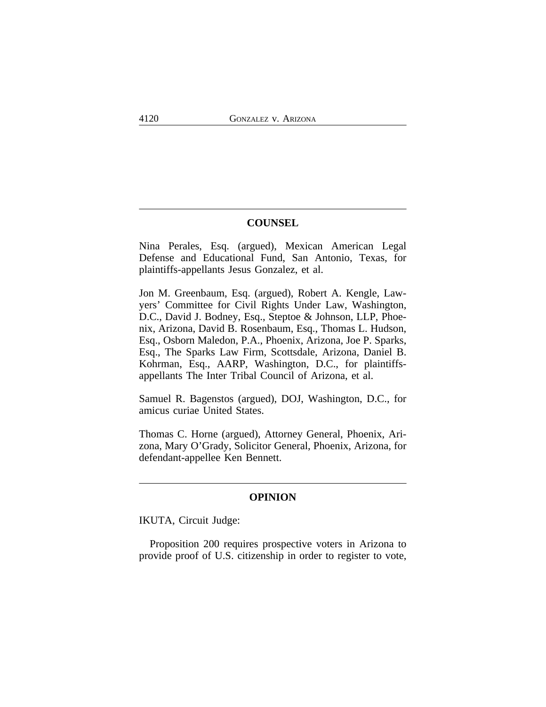# **COUNSEL**

Nina Perales, Esq. (argued), Mexican American Legal Defense and Educational Fund, San Antonio, Texas, for plaintiffs-appellants Jesus Gonzalez, et al.

Jon M. Greenbaum, Esq. (argued), Robert A. Kengle, Lawyers' Committee for Civil Rights Under Law, Washington, D.C., David J. Bodney, Esq., Steptoe & Johnson, LLP, Phoenix, Arizona, David B. Rosenbaum, Esq., Thomas L. Hudson, Esq., Osborn Maledon, P.A., Phoenix, Arizona, Joe P. Sparks, Esq., The Sparks Law Firm, Scottsdale, Arizona, Daniel B. Kohrman, Esq., AARP, Washington, D.C., for plaintiffsappellants The Inter Tribal Council of Arizona, et al.

Samuel R. Bagenstos (argued), DOJ, Washington, D.C., for amicus curiae United States.

Thomas C. Horne (argued), Attorney General, Phoenix, Arizona, Mary O'Grady, Solicitor General, Phoenix, Arizona, for defendant-appellee Ken Bennett.

# **OPINION**

IKUTA, Circuit Judge:

Proposition 200 requires prospective voters in Arizona to provide proof of U.S. citizenship in order to register to vote,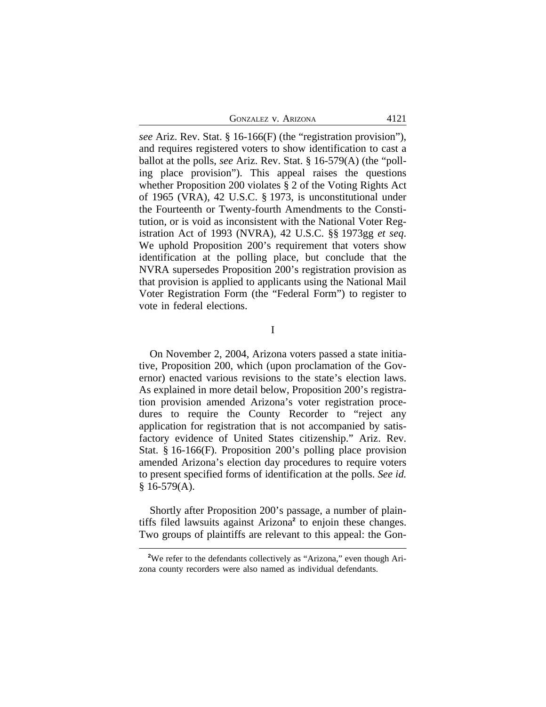| <b>GONZALEZ V. ARIZONA</b><br>4121 |  |  |  |
|------------------------------------|--|--|--|
|------------------------------------|--|--|--|

*see* Ariz. Rev. Stat. § 16-166(F) (the "registration provision"), and requires registered voters to show identification to cast a ballot at the polls, *see* Ariz. Rev. Stat. § 16-579(A) (the "polling place provision"). This appeal raises the questions whether Proposition 200 violates § 2 of the Voting Rights Act of 1965 (VRA), 42 U.S.C. § 1973, is unconstitutional under the Fourteenth or Twenty-fourth Amendments to the Constitution, or is void as inconsistent with the National Voter Registration Act of 1993 (NVRA), 42 U.S.C. §§ 1973gg *et seq*. We uphold Proposition 200's requirement that voters show identification at the polling place, but conclude that the NVRA supersedes Proposition 200's registration provision as that provision is applied to applicants using the National Mail Voter Registration Form (the "Federal Form") to register to vote in federal elections.

I

On November 2, 2004, Arizona voters passed a state initiative, Proposition 200, which (upon proclamation of the Governor) enacted various revisions to the state's election laws. As explained in more detail below, Proposition 200's registration provision amended Arizona's voter registration procedures to require the County Recorder to "reject any application for registration that is not accompanied by satisfactory evidence of United States citizenship." Ariz. Rev. Stat. § 16-166(F). Proposition 200's polling place provision amended Arizona's election day procedures to require voters to present specified forms of identification at the polls. *See id.*  $§$  16-579(A).

Shortly after Proposition 200's passage, a number of plaintiffs filed lawsuits against Arizona**<sup>2</sup>** to enjoin these changes. Two groups of plaintiffs are relevant to this appeal: the Gon-

<sup>&</sup>lt;sup>2</sup>We refer to the defendants collectively as "Arizona," even though Arizona county recorders were also named as individual defendants.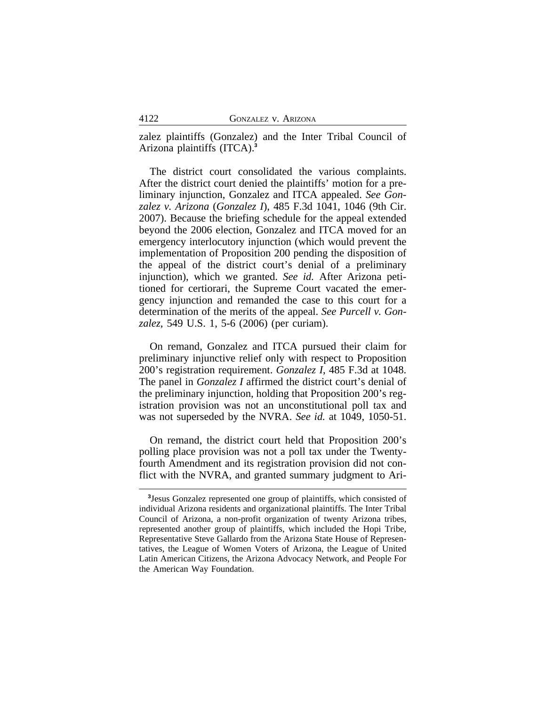zalez plaintiffs (Gonzalez) and the Inter Tribal Council of Arizona plaintiffs (ITCA).**<sup>3</sup>**

The district court consolidated the various complaints. After the district court denied the plaintiffs' motion for a preliminary injunction, Gonzalez and ITCA appealed. *See Gonzalez v. Arizona* (*Gonzalez I*), 485 F.3d 1041, 1046 (9th Cir. 2007). Because the briefing schedule for the appeal extended beyond the 2006 election, Gonzalez and ITCA moved for an emergency interlocutory injunction (which would prevent the implementation of Proposition 200 pending the disposition of the appeal of the district court's denial of a preliminary injunction), which we granted. *See id.* After Arizona petitioned for certiorari, the Supreme Court vacated the emergency injunction and remanded the case to this court for a determination of the merits of the appeal. *See Purcell v. Gonzalez*, 549 U.S. 1, 5-6 (2006) (per curiam).

On remand, Gonzalez and ITCA pursued their claim for preliminary injunctive relief only with respect to Proposition 200's registration requirement. *Gonzalez I*, 485 F.3d at 1048. The panel in *Gonzalez I* affirmed the district court's denial of the preliminary injunction, holding that Proposition 200's registration provision was not an unconstitutional poll tax and was not superseded by the NVRA. *See id.* at 1049, 1050-51.

On remand, the district court held that Proposition 200's polling place provision was not a poll tax under the Twentyfourth Amendment and its registration provision did not conflict with the NVRA, and granted summary judgment to Ari-

**<sup>3</sup>** Jesus Gonzalez represented one group of plaintiffs, which consisted of individual Arizona residents and organizational plaintiffs. The Inter Tribal Council of Arizona, a non-profit organization of twenty Arizona tribes, represented another group of plaintiffs, which included the Hopi Tribe, Representative Steve Gallardo from the Arizona State House of Representatives, the League of Women Voters of Arizona, the League of United Latin American Citizens, the Arizona Advocacy Network, and People For the American Way Foundation.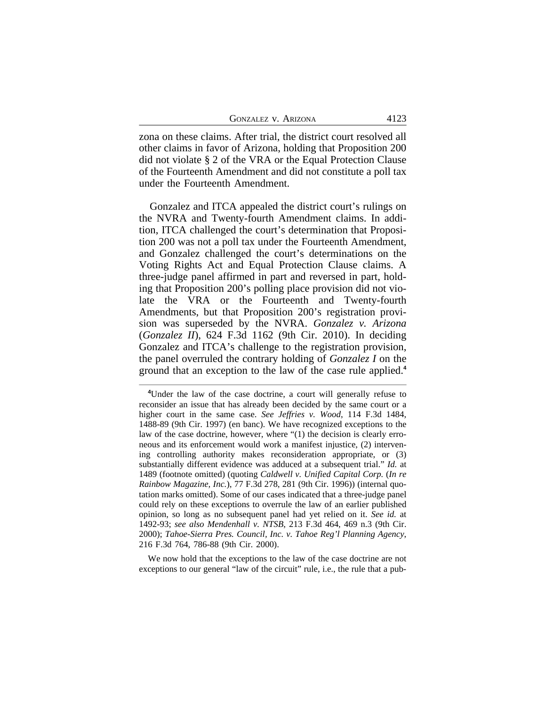| <b>GONZALEZ V. ARIZONA</b><br>4123 |  |
|------------------------------------|--|
|------------------------------------|--|

zona on these claims. After trial, the district court resolved all other claims in favor of Arizona, holding that Proposition 200 did not violate § 2 of the VRA or the Equal Protection Clause of the Fourteenth Amendment and did not constitute a poll tax under the Fourteenth Amendment.

Gonzalez and ITCA appealed the district court's rulings on the NVRA and Twenty-fourth Amendment claims. In addition, ITCA challenged the court's determination that Proposition 200 was not a poll tax under the Fourteenth Amendment, and Gonzalez challenged the court's determinations on the Voting Rights Act and Equal Protection Clause claims. A three-judge panel affirmed in part and reversed in part, holding that Proposition 200's polling place provision did not violate the VRA or the Fourteenth and Twenty-fourth Amendments, but that Proposition 200's registration provision was superseded by the NVRA. *Gonzalez v. Arizona* (*Gonzalez II*), 624 F.3d 1162 (9th Cir. 2010). In deciding Gonzalez and ITCA's challenge to the registration provision, the panel overruled the contrary holding of *Gonzalez I* on the ground that an exception to the law of the case rule applied.**<sup>4</sup>**

We now hold that the exceptions to the law of the case doctrine are not exceptions to our general "law of the circuit" rule, i.e., the rule that a pub-

<sup>&</sup>lt;sup>4</sup>Under the law of the case doctrine, a court will generally refuse to reconsider an issue that has already been decided by the same court or a higher court in the same case. *See Jeffries v. Wood*, 114 F.3d 1484, 1488-89 (9th Cir. 1997) (en banc). We have recognized exceptions to the law of the case doctrine, however, where "(1) the decision is clearly erroneous and its enforcement would work a manifest injustice, (2) intervening controlling authority makes reconsideration appropriate, or (3) substantially different evidence was adduced at a subsequent trial." *Id.* at 1489 (footnote omitted) (quoting *Caldwell v. Unified Capital Corp.* (*In re Rainbow Magazine, Inc.*), 77 F.3d 278, 281 (9th Cir. 1996)) (internal quotation marks omitted). Some of our cases indicated that a three-judge panel could rely on these exceptions to overrule the law of an earlier published opinion, so long as no subsequent panel had yet relied on it. *See id.* at 1492-93; *see also Mendenhall v. NTSB*, 213 F.3d 464, 469 n.3 (9th Cir. 2000); *Tahoe-Sierra Pres. Council, Inc. v. Tahoe Reg'l Planning Agency*, 216 F.3d 764, 786-88 (9th Cir. 2000).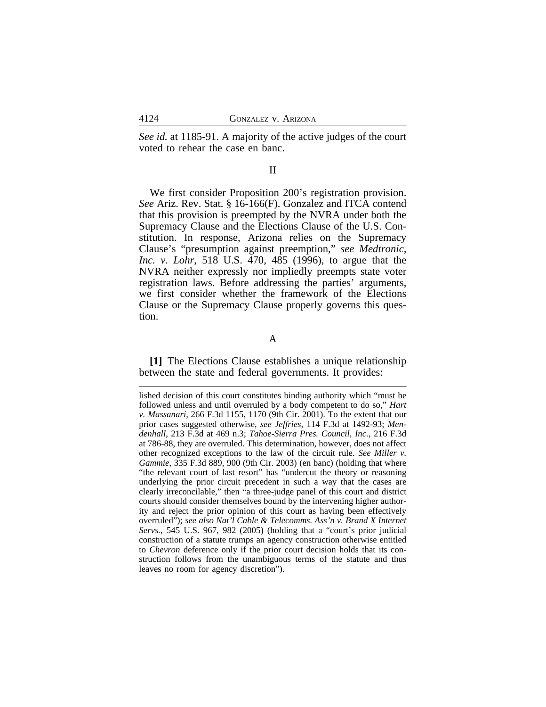*See id.* at 1185-91. A majority of the active judges of the court voted to rehear the case en banc.

#### II

We first consider Proposition 200's registration provision. *See* Ariz. Rev. Stat. § 16-166(F). Gonzalez and ITCA contend that this provision is preempted by the NVRA under both the Supremacy Clause and the Elections Clause of the U.S. Constitution. In response, Arizona relies on the Supremacy Clause's "presumption against preemption," *see Medtronic, Inc. v. Lohr*, 518 U.S. 470, 485 (1996), to argue that the NVRA neither expressly nor impliedly preempts state voter registration laws. Before addressing the parties' arguments, we first consider whether the framework of the Elections Clause or the Supremacy Clause properly governs this question.

## A

**[1]** The Elections Clause establishes a unique relationship between the state and federal governments. It provides:

lished decision of this court constitutes binding authority which "must be followed unless and until overruled by a body competent to do so," *Hart v. Massanari*, 266 F.3d 1155, 1170 (9th Cir. 2001). To the extent that our prior cases suggested otherwise, *see Jeffries*, 114 F.3d at 1492-93; *Mendenhall*, 213 F.3d at 469 n.3; *Tahoe-Sierra Pres. Council, Inc.*, 216 F.3d at 786-88, they are overruled. This determination, however, does not affect other recognized exceptions to the law of the circuit rule. *See Miller v. Gammie*, 335 F.3d 889, 900 (9th Cir. 2003) (en banc) (holding that where "the relevant court of last resort" has "undercut the theory or reasoning underlying the prior circuit precedent in such a way that the cases are clearly irreconcilable," then "a three-judge panel of this court and district courts should consider themselves bound by the intervening higher authority and reject the prior opinion of this court as having been effectively overruled"); *see also Nat'l Cable & Telecomms. Ass'n v. Brand X Internet Servs.*, 545 U.S. 967, 982 (2005) (holding that a "court's prior judicial construction of a statute trumps an agency construction otherwise entitled to *Chevron* deference only if the prior court decision holds that its construction follows from the unambiguous terms of the statute and thus leaves no room for agency discretion").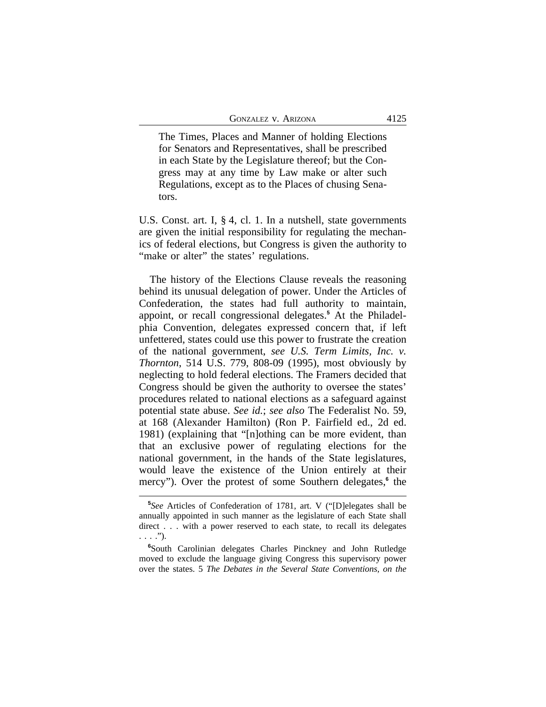The Times, Places and Manner of holding Elections for Senators and Representatives, shall be prescribed in each State by the Legislature thereof; but the Congress may at any time by Law make or alter such Regulations, except as to the Places of chusing Senators.

U.S. Const. art. I, § 4, cl. 1. In a nutshell, state governments are given the initial responsibility for regulating the mechanics of federal elections, but Congress is given the authority to "make or alter" the states' regulations.

The history of the Elections Clause reveals the reasoning behind its unusual delegation of power. Under the Articles of Confederation, the states had full authority to maintain, appoint, or recall congressional delegates.**<sup>5</sup>** At the Philadelphia Convention, delegates expressed concern that, if left unfettered, states could use this power to frustrate the creation of the national government, *see U.S. Term Limits, Inc. v. Thornton*, 514 U.S. 779, 808-09 (1995), most obviously by neglecting to hold federal elections. The Framers decided that Congress should be given the authority to oversee the states' procedures related to national elections as a safeguard against potential state abuse. *See id.*; *see also* The Federalist No. 59, at 168 (Alexander Hamilton) (Ron P. Fairfield ed., 2d ed. 1981) (explaining that "[n]othing can be more evident, than that an exclusive power of regulating elections for the national government, in the hands of the State legislatures, would leave the existence of the Union entirely at their mercy"). Over the protest of some Southern delegates,<sup>6</sup> the

**<sup>5</sup>** *See* Articles of Confederation of 1781, art. V ("[D]elegates shall be annually appointed in such manner as the legislature of each State shall direct . . . with a power reserved to each state, to recall its delegates  $\ldots$ .").

**<sup>6</sup>**South Carolinian delegates Charles Pinckney and John Rutledge moved to exclude the language giving Congress this supervisory power over the states. 5 *The Debates in the Several State Conventions, on the*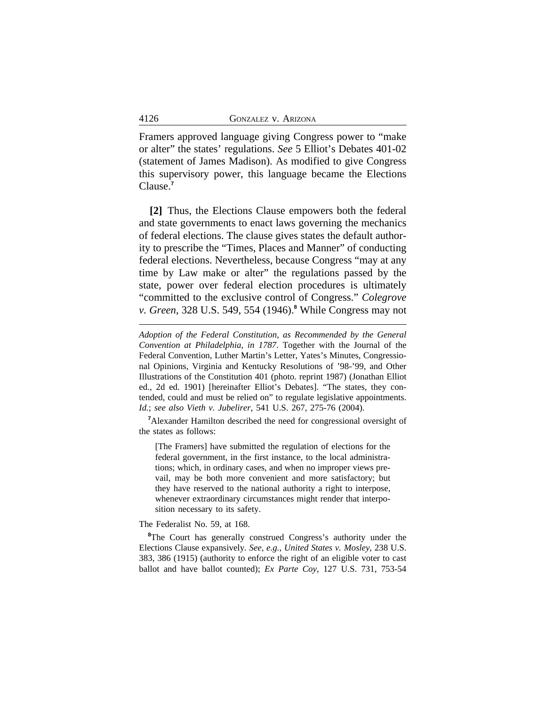Framers approved language giving Congress power to "make or alter" the states' regulations. *See* 5 Elliot's Debates 401-02 (statement of James Madison). As modified to give Congress this supervisory power, this language became the Elections Clause.**<sup>7</sup>**

**[2]** Thus, the Elections Clause empowers both the federal and state governments to enact laws governing the mechanics of federal elections. The clause gives states the default authority to prescribe the "Times, Places and Manner" of conducting federal elections. Nevertheless, because Congress "may at any time by Law make or alter" the regulations passed by the state, power over federal election procedures is ultimately "committed to the exclusive control of Congress." *Colegrove v. Green*, 328 U.S. 549, 554 (1946).**<sup>8</sup>** While Congress may not

**<sup>7</sup>**Alexander Hamilton described the need for congressional oversight of the states as follows:

[The Framers] have submitted the regulation of elections for the federal government, in the first instance, to the local administrations; which, in ordinary cases, and when no improper views prevail, may be both more convenient and more satisfactory; but they have reserved to the national authority a right to interpose, whenever extraordinary circumstances might render that interposition necessary to its safety.

The Federalist No. 59, at 168.

<sup>8</sup>The Court has generally construed Congress's authority under the Elections Clause expansively. *See, e.g.*, *United States v. Mosley*, 238 U.S. 383, 386 (1915) (authority to enforce the right of an eligible voter to cast ballot and have ballot counted); *Ex Parte Coy*, 127 U.S. 731, 753-54

*Adoption of the Federal Constitution, as Recommended by the General Convention at Philadelphia, in 1787*. Together with the Journal of the Federal Convention, Luther Martin's Letter, Yates's Minutes, Congressional Opinions, Virginia and Kentucky Resolutions of '98-'99, and Other Illustrations of the Constitution 401 (photo. reprint 1987) (Jonathan Elliot ed., 2d ed. 1901) [hereinafter Elliot's Debates]. "The states, they contended, could and must be relied on" to regulate legislative appointments. *Id.*; *see also Vieth v. Jubelirer*, 541 U.S. 267, 275-76 (2004).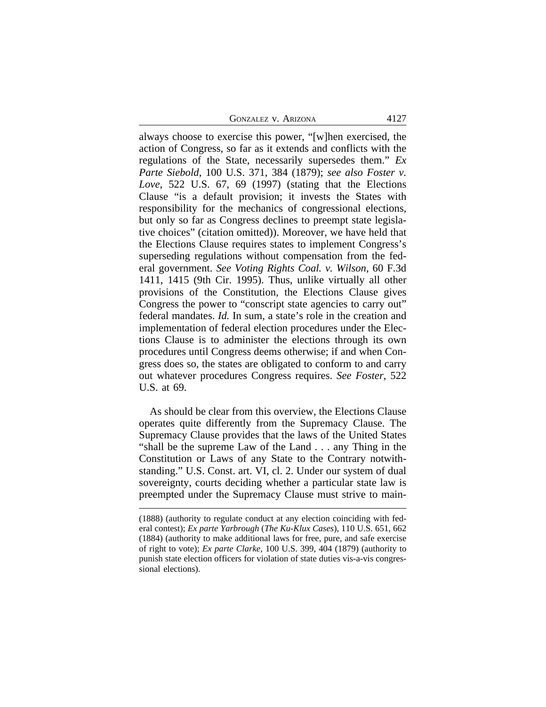GONZALEZ V. ARIZONA 4127

always choose to exercise this power, "[w]hen exercised, the action of Congress, so far as it extends and conflicts with the regulations of the State, necessarily supersedes them." *Ex Parte Siebold*, 100 U.S. 371, 384 (1879); *see also Foster v. Love*, 522 U.S. 67, 69 (1997) (stating that the Elections Clause "is a default provision; it invests the States with responsibility for the mechanics of congressional elections, but only so far as Congress declines to preempt state legislative choices" (citation omitted)). Moreover, we have held that the Elections Clause requires states to implement Congress's superseding regulations without compensation from the federal government. *See Voting Rights Coal. v. Wilson*, 60 F.3d 1411, 1415 (9th Cir. 1995). Thus, unlike virtually all other provisions of the Constitution, the Elections Clause gives Congress the power to "conscript state agencies to carry out" federal mandates. *Id.* In sum, a state's role in the creation and implementation of federal election procedures under the Elections Clause is to administer the elections through its own procedures until Congress deems otherwise; if and when Congress does so, the states are obligated to conform to and carry out whatever procedures Congress requires. *See Foster*, 522 U.S. at 69.

As should be clear from this overview, the Elections Clause operates quite differently from the Supremacy Clause. The Supremacy Clause provides that the laws of the United States "shall be the supreme Law of the Land . . . any Thing in the Constitution or Laws of any State to the Contrary notwithstanding." U.S. Const. art. VI, cl. 2. Under our system of dual sovereignty, courts deciding whether a particular state law is preempted under the Supremacy Clause must strive to main-

<sup>(1888) (</sup>authority to regulate conduct at any election coinciding with federal contest); *Ex parte Yarbrough* (*The Ku-Klux Cases*), 110 U.S. 651, 662 (1884) (authority to make additional laws for free, pure, and safe exercise of right to vote); *Ex parte Clarke*, 100 U.S. 399, 404 (1879) (authority to punish state election officers for violation of state duties vis-a-vis congressional elections).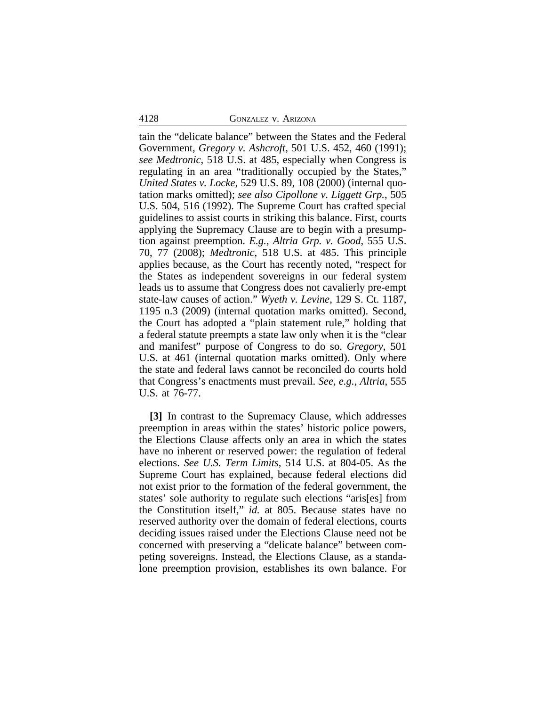#### 4128 GONZALEZ v. ARIZONA

tain the "delicate balance" between the States and the Federal Government, *Gregory v. Ashcroft*, 501 U.S. 452, 460 (1991); *see Medtronic*, 518 U.S. at 485, especially when Congress is regulating in an area "traditionally occupied by the States," *United States v. Locke*, 529 U.S. 89, 108 (2000) (internal quotation marks omitted); *see also Cipollone v. Liggett Grp.*, 505 U.S. 504, 516 (1992). The Supreme Court has crafted special guidelines to assist courts in striking this balance. First, courts applying the Supremacy Clause are to begin with a presumption against preemption. *E.g.*, *Altria Grp. v. Good*, 555 U.S. 70, 77 (2008); *Medtronic*, 518 U.S. at 485. This principle applies because, as the Court has recently noted, "respect for the States as independent sovereigns in our federal system leads us to assume that Congress does not cavalierly pre-empt state-law causes of action." *Wyeth v. Levine*, 129 S. Ct. 1187, 1195 n.3 (2009) (internal quotation marks omitted). Second, the Court has adopted a "plain statement rule," holding that a federal statute preempts a state law only when it is the "clear and manifest" purpose of Congress to do so. *Gregory*, 501 U.S. at 461 (internal quotation marks omitted). Only where the state and federal laws cannot be reconciled do courts hold that Congress's enactments must prevail. *See, e.g.*, *Altria*, 555 U.S. at 76-77.

**[3]** In contrast to the Supremacy Clause, which addresses preemption in areas within the states' historic police powers, the Elections Clause affects only an area in which the states have no inherent or reserved power: the regulation of federal elections. *See U.S. Term Limits*, 514 U.S. at 804-05. As the Supreme Court has explained, because federal elections did not exist prior to the formation of the federal government, the states' sole authority to regulate such elections "aris[es] from the Constitution itself," *id.* at 805. Because states have no reserved authority over the domain of federal elections, courts deciding issues raised under the Elections Clause need not be concerned with preserving a "delicate balance" between competing sovereigns. Instead, the Elections Clause, as a standalone preemption provision, establishes its own balance. For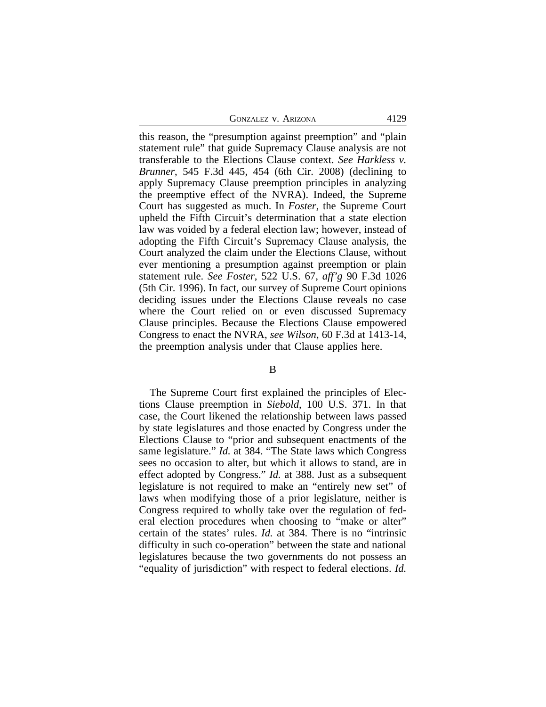GONZALEZ V. ARIZONA 4129

this reason, the "presumption against preemption" and "plain statement rule" that guide Supremacy Clause analysis are not transferable to the Elections Clause context. *See Harkless v. Brunner*, 545 F.3d 445, 454 (6th Cir. 2008) (declining to apply Supremacy Clause preemption principles in analyzing the preemptive effect of the NVRA). Indeed, the Supreme Court has suggested as much. In *Foster,* the Supreme Court upheld the Fifth Circuit's determination that a state election law was voided by a federal election law; however, instead of adopting the Fifth Circuit's Supremacy Clause analysis, the Court analyzed the claim under the Elections Clause, without ever mentioning a presumption against preemption or plain statement rule. *See Foster*, 522 U.S. 67, *aff'g* 90 F.3d 1026 (5th Cir. 1996). In fact, our survey of Supreme Court opinions deciding issues under the Elections Clause reveals no case where the Court relied on or even discussed Supremacy Clause principles. Because the Elections Clause empowered Congress to enact the NVRA, *see Wilson*, 60 F.3d at 1413-14, the preemption analysis under that Clause applies here.

B

The Supreme Court first explained the principles of Elections Clause preemption in *Siebold*, 100 U.S. 371. In that case, the Court likened the relationship between laws passed by state legislatures and those enacted by Congress under the Elections Clause to "prior and subsequent enactments of the same legislature." *Id.* at 384. "The State laws which Congress sees no occasion to alter, but which it allows to stand, are in effect adopted by Congress." *Id.* at 388. Just as a subsequent legislature is not required to make an "entirely new set" of laws when modifying those of a prior legislature, neither is Congress required to wholly take over the regulation of federal election procedures when choosing to "make or alter" certain of the states' rules. *Id.* at 384. There is no "intrinsic difficulty in such co-operation" between the state and national legislatures because the two governments do not possess an "equality of jurisdiction" with respect to federal elections. *Id.*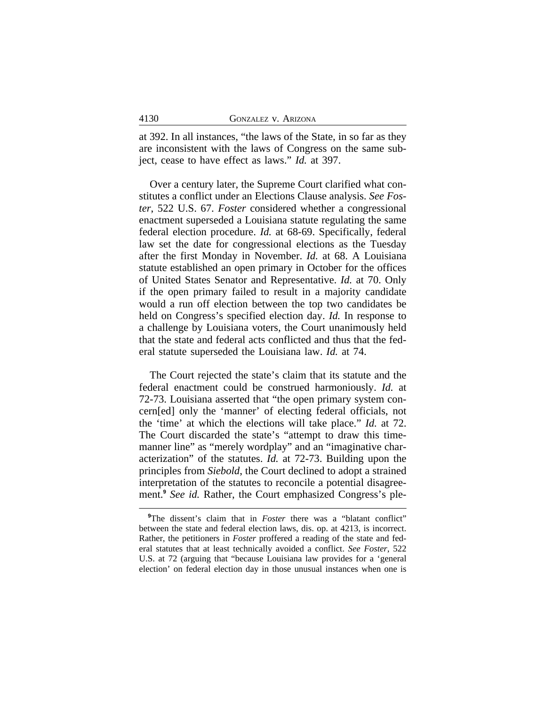at 392. In all instances, "the laws of the State, in so far as they are inconsistent with the laws of Congress on the same subject, cease to have effect as laws." *Id.* at 397.

Over a century later, the Supreme Court clarified what constitutes a conflict under an Elections Clause analysis. *See Foster*, 522 U.S. 67. *Foster* considered whether a congressional enactment superseded a Louisiana statute regulating the same federal election procedure. *Id.* at 68-69. Specifically, federal law set the date for congressional elections as the Tuesday after the first Monday in November. *Id.* at 68. A Louisiana statute established an open primary in October for the offices of United States Senator and Representative. *Id.* at 70. Only if the open primary failed to result in a majority candidate would a run off election between the top two candidates be held on Congress's specified election day. *Id.* In response to a challenge by Louisiana voters, the Court unanimously held that the state and federal acts conflicted and thus that the federal statute superseded the Louisiana law. *Id.* at 74.

The Court rejected the state's claim that its statute and the federal enactment could be construed harmoniously. *Id.* at 72-73. Louisiana asserted that "the open primary system concern[ed] only the 'manner' of electing federal officials, not the 'time' at which the elections will take place." *Id.* at 72. The Court discarded the state's "attempt to draw this timemanner line" as "merely wordplay" and an "imaginative characterization" of the statutes. *Id.* at 72-73. Building upon the principles from *Siebold*, the Court declined to adopt a strained interpretation of the statutes to reconcile a potential disagreement.**<sup>9</sup>** *See id.* Rather, the Court emphasized Congress's ple-

<sup>&</sup>lt;sup>9</sup>The dissent's claim that in *Foster* there was a "blatant conflict" between the state and federal election laws, dis. op. at 4213, is incorrect. Rather, the petitioners in *Foster* proffered a reading of the state and federal statutes that at least technically avoided a conflict. *See Foster*, 522 U.S. at 72 (arguing that "because Louisiana law provides for a 'general election' on federal election day in those unusual instances when one is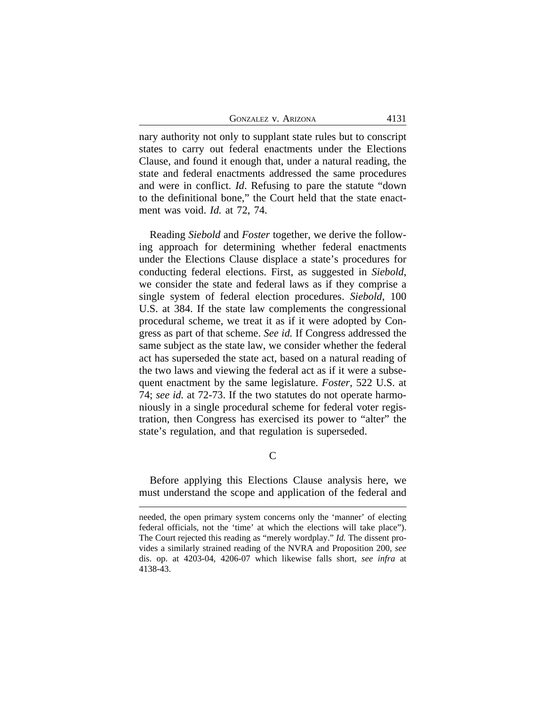GONZALEZ V. ARIZONA 4131

nary authority not only to supplant state rules but to conscript states to carry out federal enactments under the Elections Clause, and found it enough that, under a natural reading, the state and federal enactments addressed the same procedures and were in conflict. *Id*. Refusing to pare the statute "down to the definitional bone," the Court held that the state enactment was void. *Id.* at 72, 74.

Reading *Siebold* and *Foster* together, we derive the following approach for determining whether federal enactments under the Elections Clause displace a state's procedures for conducting federal elections. First, as suggested in *Siebold*, we consider the state and federal laws as if they comprise a single system of federal election procedures. *Siebold*, 100 U.S. at 384. If the state law complements the congressional procedural scheme, we treat it as if it were adopted by Congress as part of that scheme. *See id.* If Congress addressed the same subject as the state law, we consider whether the federal act has superseded the state act, based on a natural reading of the two laws and viewing the federal act as if it were a subsequent enactment by the same legislature. *Foster*, 522 U.S. at 74; *see id.* at 72-73. If the two statutes do not operate harmoniously in a single procedural scheme for federal voter registration, then Congress has exercised its power to "alter" the state's regulation, and that regulation is superseded.

C

Before applying this Elections Clause analysis here, we must understand the scope and application of the federal and

needed, the open primary system concerns only the 'manner' of electing federal officials, not the 'time' at which the elections will take place"). The Court rejected this reading as "merely wordplay." *Id.* The dissent provides a similarly strained reading of the NVRA and Proposition 200, *see* dis. op. at 4203-04, 4206-07 which likewise falls short, *see infra* at 4138-43.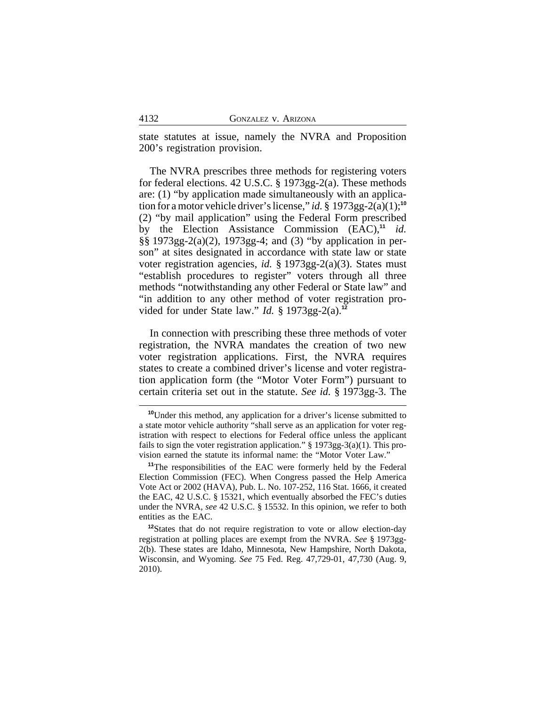state statutes at issue, namely the NVRA and Proposition 200's registration provision.

The NVRA prescribes three methods for registering voters for federal elections. 42 U.S.C. § 1973gg-2(a). These methods are: (1) "by application made simultaneously with an application for a motor vehicle driver's license," *id.* § 1973gg-2(a)(1);<sup>10</sup> (2) "by mail application" using the Federal Form prescribed by the Election Assistance Commission (EAC),**<sup>11</sup>** *id.* §§ 1973gg-2(a)(2), 1973gg-4; and (3) "by application in person" at sites designated in accordance with state law or state voter registration agencies, *id.* § 1973gg-2(a)(3). States must "establish procedures to register" voters through all three methods "notwithstanding any other Federal or State law" and "in addition to any other method of voter registration provided for under State law." *Id.* § 1973gg-2(a).**<sup>12</sup>**

In connection with prescribing these three methods of voter registration, the NVRA mandates the creation of two new voter registration applications. First, the NVRA requires states to create a combined driver's license and voter registration application form (the "Motor Voter Form") pursuant to certain criteria set out in the statute. *See id.* § 1973gg-3. The

**<sup>10</sup>**Under this method, any application for a driver's license submitted to a state motor vehicle authority "shall serve as an application for voter registration with respect to elections for Federal office unless the applicant fails to sign the voter registration application."  $\S$  1973gg-3(a)(1). This provision earned the statute its informal name: the "Motor Voter Law."

**<sup>11</sup>**The responsibilities of the EAC were formerly held by the Federal Election Commission (FEC). When Congress passed the Help America Vote Act or 2002 (HAVA), Pub. L. No. 107-252, 116 Stat. 1666, it created the EAC, 42 U.S.C. § 15321, which eventually absorbed the FEC's duties under the NVRA, *see* 42 U.S.C. § 15532. In this opinion, we refer to both entities as the EAC.

**<sup>12</sup>**States that do not require registration to vote or allow election-day registration at polling places are exempt from the NVRA. *See* § 1973gg-2(b). These states are Idaho, Minnesota, New Hampshire, North Dakota, Wisconsin, and Wyoming. *See* 75 Fed. Reg. 47,729-01, 47,730 (Aug. 9, 2010).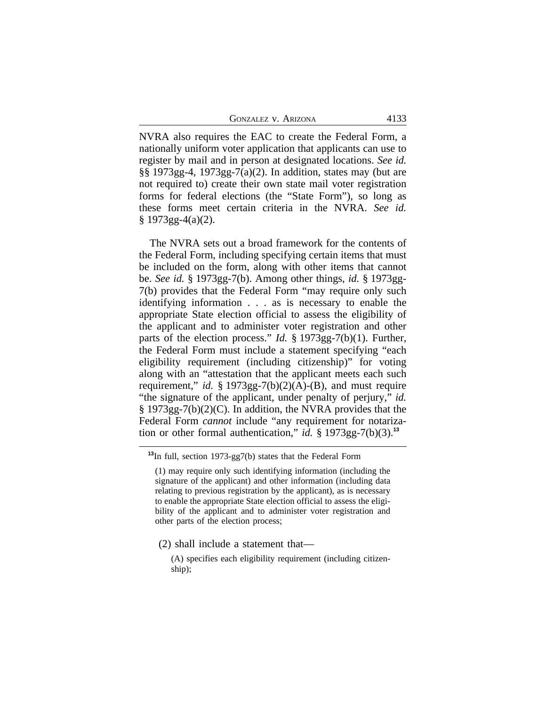GONZALEZ V. ARIZONA 4133

NVRA also requires the EAC to create the Federal Form, a nationally uniform voter application that applicants can use to register by mail and in person at designated locations. *See id.* §§ 1973gg-4, 1973gg-7(a)(2). In addition, states may (but are not required to) create their own state mail voter registration forms for federal elections (the "State Form"), so long as these forms meet certain criteria in the NVRA. *See id.*  $§ 1973gg-4(a)(2).$ 

The NVRA sets out a broad framework for the contents of the Federal Form, including specifying certain items that must be included on the form, along with other items that cannot be. *See id.* § 1973gg-7(b). Among other things, *id.* § 1973gg-7(b) provides that the Federal Form "may require only such identifying information . . . as is necessary to enable the appropriate State election official to assess the eligibility of the applicant and to administer voter registration and other parts of the election process." *Id.* § 1973gg-7(b)(1). Further, the Federal Form must include a statement specifying "each eligibility requirement (including citizenship)" for voting along with an "attestation that the applicant meets each such requirement," *id.*  $\S 1973gg-7(b)(2)(A)-(B)$ , and must require "the signature of the applicant, under penalty of perjury," *id.* § 1973gg-7(b)(2)(C). In addition, the NVRA provides that the Federal Form *cannot* include "any requirement for notarization or other formal authentication," *id.* § 1973gg-7(b)(3).<sup>13</sup>

(2) shall include a statement that—

**<sup>13</sup>**In full, section 1973-gg7(b) states that the Federal Form

<sup>(1)</sup> may require only such identifying information (including the signature of the applicant) and other information (including data relating to previous registration by the applicant), as is necessary to enable the appropriate State election official to assess the eligibility of the applicant and to administer voter registration and other parts of the election process;

<sup>(</sup>A) specifies each eligibility requirement (including citizenship);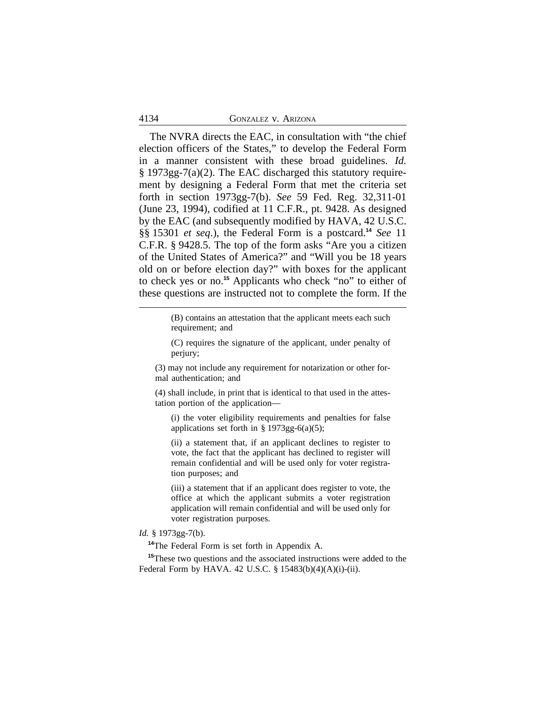#### 4134 GONZALEZ v. ARIZONA

The NVRA directs the EAC, in consultation with "the chief election officers of the States," to develop the Federal Form in a manner consistent with these broad guidelines. *Id.* § 1973gg-7(a)(2). The EAC discharged this statutory requirement by designing a Federal Form that met the criteria set forth in section 1973gg-7(b). *See* 59 Fed. Reg. 32,311-01 (June 23, 1994), codified at 11 C.F.R., pt. 9428. As designed by the EAC (and subsequently modified by HAVA, 42 U.S.C. §§ 15301 *et seq*.), the Federal Form is a postcard.**<sup>14</sup>** *See* 11 C.F.R. § 9428.5. The top of the form asks "Are you a citizen of the United States of America?" and "Will you be 18 years old on or before election day?" with boxes for the applicant to check yes or no.**<sup>15</sup>** Applicants who check "no" to either of these questions are instructed not to complete the form. If the

> (B) contains an attestation that the applicant meets each such requirement; and

> (C) requires the signature of the applicant, under penalty of perjury;

(3) may not include any requirement for notarization or other formal authentication; and

(4) shall include, in print that is identical to that used in the attestation portion of the application—

(i) the voter eligibility requirements and penalties for false applications set forth in  $\S 1973gg-6(a)(5)$ ;

(ii) a statement that, if an applicant declines to register to vote, the fact that the applicant has declined to register will remain confidential and will be used only for voter registration purposes; and

(iii) a statement that if an applicant does register to vote, the office at which the applicant submits a voter registration application will remain confidential and will be used only for voter registration purposes.

## *Id.* § 1973gg-7(b).

**<sup>14</sup>**The Federal Form is set forth in Appendix A.

**<sup>15</sup>**These two questions and the associated instructions were added to the Federal Form by HAVA. 42 U.S.C. § 15483(b)(4)(A)(i)-(ii).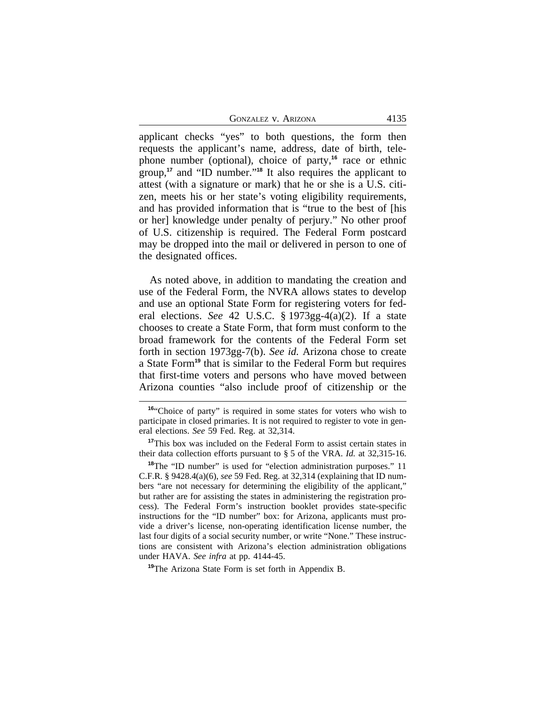GONZALEZ V. ARIZONA 4135

applicant checks "yes" to both questions, the form then requests the applicant's name, address, date of birth, telephone number (optional), choice of party,**<sup>16</sup>** race or ethnic group,**<sup>17</sup>** and "ID number." **<sup>18</sup>** It also requires the applicant to attest (with a signature or mark) that he or she is a U.S. citizen, meets his or her state's voting eligibility requirements, and has provided information that is "true to the best of [his or her] knowledge under penalty of perjury." No other proof of U.S. citizenship is required. The Federal Form postcard may be dropped into the mail or delivered in person to one of the designated offices.

As noted above, in addition to mandating the creation and use of the Federal Form, the NVRA allows states to develop and use an optional State Form for registering voters for federal elections. *See* 42 U.S.C. § 1973gg-4(a)(2). If a state chooses to create a State Form, that form must conform to the broad framework for the contents of the Federal Form set forth in section 1973gg-7(b). *See id.* Arizona chose to create a State Form**<sup>19</sup>** that is similar to the Federal Form but requires that first-time voters and persons who have moved between Arizona counties "also include proof of citizenship or the

**<sup>19</sup>**The Arizona State Form is set forth in Appendix B.

**<sup>16</sup>**"Choice of party" is required in some states for voters who wish to participate in closed primaries. It is not required to register to vote in general elections. *See* 59 Fed. Reg. at 32,314.

**<sup>17</sup>**This box was included on the Federal Form to assist certain states in their data collection efforts pursuant to § 5 of the VRA. *Id.* at 32,315-16.

<sup>&</sup>lt;sup>18</sup>The "ID number" is used for "election administration purposes." 11 C.F.R. § 9428.4(a)(6), *see* 59 Fed. Reg. at 32,314 (explaining that ID numbers "are not necessary for determining the eligibility of the applicant," but rather are for assisting the states in administering the registration process). The Federal Form's instruction booklet provides state-specific instructions for the "ID number" box: for Arizona, applicants must provide a driver's license, non-operating identification license number, the last four digits of a social security number, or write "None." These instructions are consistent with Arizona's election administration obligations under HAVA. *See infra* at pp. 4144-45.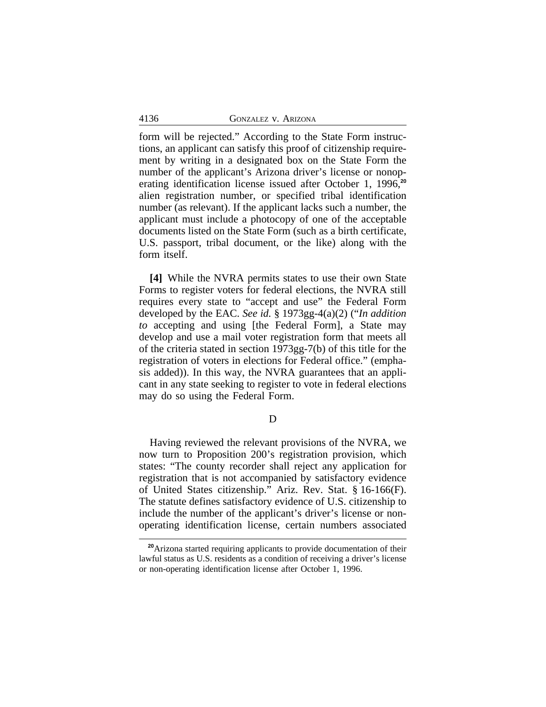form will be rejected." According to the State Form instructions, an applicant can satisfy this proof of citizenship requirement by writing in a designated box on the State Form the number of the applicant's Arizona driver's license or nonoperating identification license issued after October 1, 1996,**<sup>20</sup>** alien registration number, or specified tribal identification number (as relevant). If the applicant lacks such a number, the applicant must include a photocopy of one of the acceptable documents listed on the State Form (such as a birth certificate, U.S. passport, tribal document, or the like) along with the form itself.

**[4]** While the NVRA permits states to use their own State Forms to register voters for federal elections, the NVRA still requires every state to "accept and use" the Federal Form developed by the EAC. *See id.* § 1973gg-4(a)(2) ("*In addition to* accepting and using [the Federal Form], a State may develop and use a mail voter registration form that meets all of the criteria stated in section 1973gg-7(b) of this title for the registration of voters in elections for Federal office." (emphasis added)). In this way, the NVRA guarantees that an applicant in any state seeking to register to vote in federal elections may do so using the Federal Form.

D

Having reviewed the relevant provisions of the NVRA, we now turn to Proposition 200's registration provision, which states: "The county recorder shall reject any application for registration that is not accompanied by satisfactory evidence of United States citizenship." Ariz. Rev. Stat. § 16-166(F). The statute defines satisfactory evidence of U.S. citizenship to include the number of the applicant's driver's license or nonoperating identification license, certain numbers associated

**<sup>20</sup>**Arizona started requiring applicants to provide documentation of their lawful status as U.S. residents as a condition of receiving a driver's license or non-operating identification license after October 1, 1996.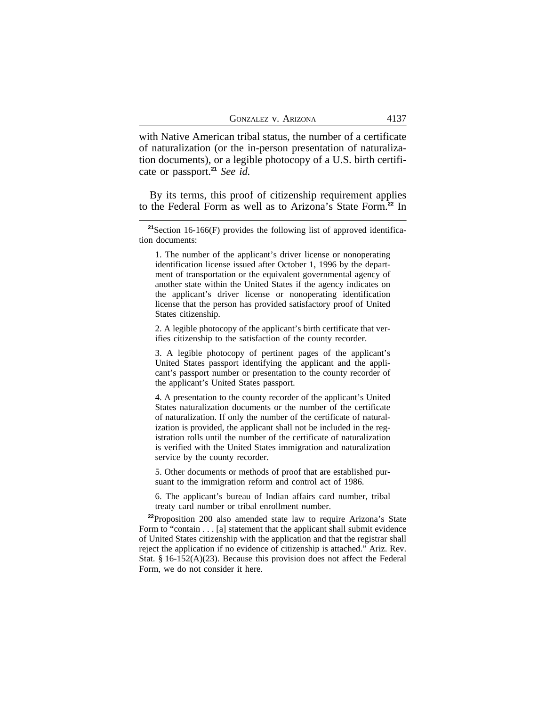with Native American tribal status, the number of a certificate of naturalization (or the in-person presentation of naturalization documents), or a legible photocopy of a U.S. birth certificate or passport.**<sup>21</sup>** *See id.*

By its terms, this proof of citizenship requirement applies to the Federal Form as well as to Arizona's State Form.**<sup>22</sup>** In

1. The number of the applicant's driver license or nonoperating identification license issued after October 1, 1996 by the department of transportation or the equivalent governmental agency of another state within the United States if the agency indicates on the applicant's driver license or nonoperating identification license that the person has provided satisfactory proof of United States citizenship.

2. A legible photocopy of the applicant's birth certificate that verifies citizenship to the satisfaction of the county recorder.

3. A legible photocopy of pertinent pages of the applicant's United States passport identifying the applicant and the applicant's passport number or presentation to the county recorder of the applicant's United States passport.

4. A presentation to the county recorder of the applicant's United States naturalization documents or the number of the certificate of naturalization. If only the number of the certificate of naturalization is provided, the applicant shall not be included in the registration rolls until the number of the certificate of naturalization is verified with the United States immigration and naturalization service by the county recorder.

5. Other documents or methods of proof that are established pursuant to the immigration reform and control act of 1986.

6. The applicant's bureau of Indian affairs card number, tribal treaty card number or tribal enrollment number.

**<sup>22</sup>**Proposition 200 also amended state law to require Arizona's State Form to "contain . . . [a] statement that the applicant shall submit evidence of United States citizenship with the application and that the registrar shall reject the application if no evidence of citizenship is attached." Ariz. Rev. Stat. § 16-152(A)(23). Because this provision does not affect the Federal Form, we do not consider it here.

**<sup>21</sup>**Section 16-166(F) provides the following list of approved identification documents: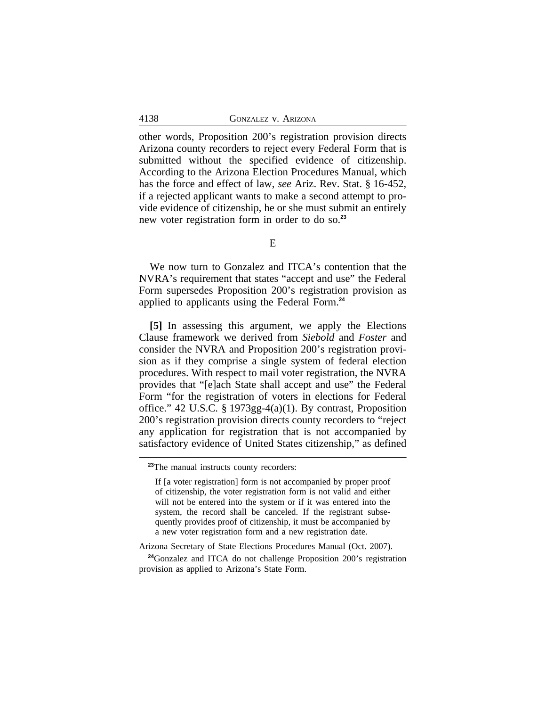other words, Proposition 200's registration provision directs Arizona county recorders to reject every Federal Form that is submitted without the specified evidence of citizenship. According to the Arizona Election Procedures Manual, which has the force and effect of law, *see* Ariz. Rev. Stat. § 16-452, if a rejected applicant wants to make a second attempt to provide evidence of citizenship, he or she must submit an entirely new voter registration form in order to do so.**<sup>23</sup>**

E

We now turn to Gonzalez and ITCA's contention that the NVRA's requirement that states "accept and use" the Federal Form supersedes Proposition 200's registration provision as applied to applicants using the Federal Form.**<sup>24</sup>**

**[5]** In assessing this argument, we apply the Elections Clause framework we derived from *Siebold* and *Foster* and consider the NVRA and Proposition 200's registration provision as if they comprise a single system of federal election procedures. With respect to mail voter registration, the NVRA provides that "[e]ach State shall accept and use" the Federal Form "for the registration of voters in elections for Federal office." 42 U.S.C. § 1973gg-4(a)(1). By contrast, Proposition 200's registration provision directs county recorders to "reject any application for registration that is not accompanied by satisfactory evidence of United States citizenship," as defined

**<sup>23</sup>**The manual instructs county recorders:

If [a voter registration] form is not accompanied by proper proof of citizenship, the voter registration form is not valid and either will not be entered into the system or if it was entered into the system, the record shall be canceled. If the registrant subsequently provides proof of citizenship, it must be accompanied by a new voter registration form and a new registration date.

Arizona Secretary of State Elections Procedures Manual (Oct. 2007).

**<sup>24</sup>**Gonzalez and ITCA do not challenge Proposition 200's registration provision as applied to Arizona's State Form.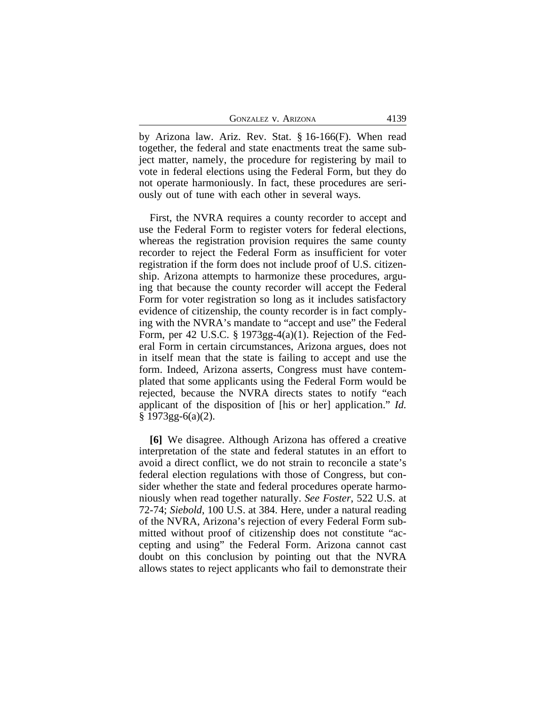| <b>GONZALEZ V. ARIZONA</b> | 4139 |
|----------------------------|------|
|----------------------------|------|

by Arizona law. Ariz. Rev. Stat. § 16-166(F). When read together, the federal and state enactments treat the same subject matter, namely, the procedure for registering by mail to vote in federal elections using the Federal Form, but they do not operate harmoniously. In fact, these procedures are seriously out of tune with each other in several ways.

First, the NVRA requires a county recorder to accept and use the Federal Form to register voters for federal elections, whereas the registration provision requires the same county recorder to reject the Federal Form as insufficient for voter registration if the form does not include proof of U.S. citizenship. Arizona attempts to harmonize these procedures, arguing that because the county recorder will accept the Federal Form for voter registration so long as it includes satisfactory evidence of citizenship, the county recorder is in fact complying with the NVRA's mandate to "accept and use" the Federal Form, per 42 U.S.C. § 1973gg-4(a)(1). Rejection of the Federal Form in certain circumstances, Arizona argues, does not in itself mean that the state is failing to accept and use the form. Indeed, Arizona asserts, Congress must have contemplated that some applicants using the Federal Form would be rejected, because the NVRA directs states to notify "each applicant of the disposition of [his or her] application." *Id.*  $§ 1973gg-6(a)(2).$ 

**[6]** We disagree. Although Arizona has offered a creative interpretation of the state and federal statutes in an effort to avoid a direct conflict, we do not strain to reconcile a state's federal election regulations with those of Congress, but consider whether the state and federal procedures operate harmoniously when read together naturally. *See Foster*, 522 U.S. at 72-74; *Siebold*, 100 U.S. at 384. Here, under a natural reading of the NVRA, Arizona's rejection of every Federal Form submitted without proof of citizenship does not constitute "accepting and using" the Federal Form. Arizona cannot cast doubt on this conclusion by pointing out that the NVRA allows states to reject applicants who fail to demonstrate their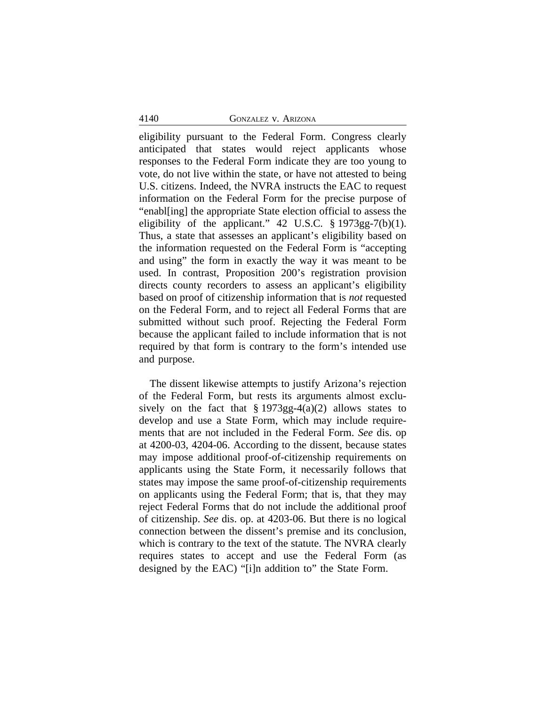#### 4140 GONZALEZ v. ARIZONA

eligibility pursuant to the Federal Form. Congress clearly anticipated that states would reject applicants whose responses to the Federal Form indicate they are too young to vote, do not live within the state, or have not attested to being U.S. citizens. Indeed, the NVRA instructs the EAC to request information on the Federal Form for the precise purpose of "enabl[ing] the appropriate State election official to assess the eligibility of the applicant."  $42 \text{ U.S.C. }$  § 1973gg-7(b)(1). Thus, a state that assesses an applicant's eligibility based on the information requested on the Federal Form is "accepting and using" the form in exactly the way it was meant to be used. In contrast, Proposition 200's registration provision directs county recorders to assess an applicant's eligibility based on proof of citizenship information that is *not* requested on the Federal Form, and to reject all Federal Forms that are submitted without such proof. Rejecting the Federal Form because the applicant failed to include information that is not required by that form is contrary to the form's intended use and purpose.

The dissent likewise attempts to justify Arizona's rejection of the Federal Form, but rests its arguments almost exclusively on the fact that  $\S 1973gg-4(a)(2)$  allows states to develop and use a State Form, which may include requirements that are not included in the Federal Form. *See* dis. op at 4200-03, 4204-06. According to the dissent, because states may impose additional proof-of-citizenship requirements on applicants using the State Form, it necessarily follows that states may impose the same proof-of-citizenship requirements on applicants using the Federal Form; that is, that they may reject Federal Forms that do not include the additional proof of citizenship. *See* dis. op. at 4203-06. But there is no logical connection between the dissent's premise and its conclusion, which is contrary to the text of the statute. The NVRA clearly requires states to accept and use the Federal Form (as designed by the EAC) "[i]n addition to" the State Form.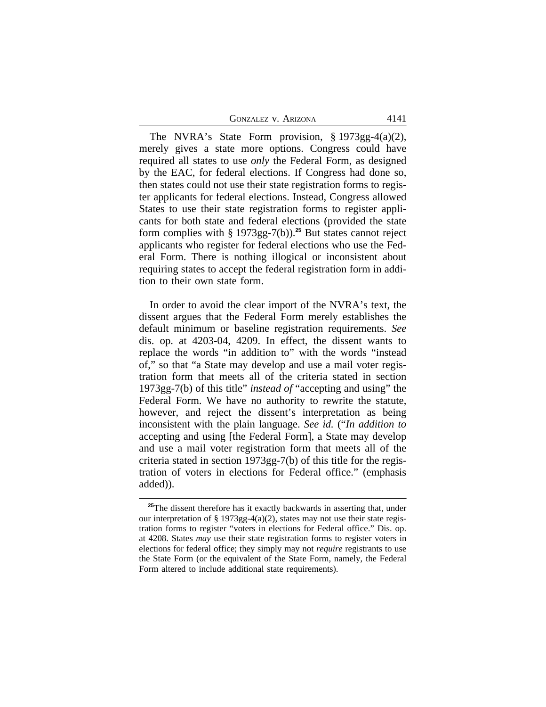The NVRA's State Form provision, § 1973gg-4(a)(2), merely gives a state more options. Congress could have required all states to use *only* the Federal Form, as designed by the EAC, for federal elections. If Congress had done so, then states could not use their state registration forms to register applicants for federal elections. Instead, Congress allowed States to use their state registration forms to register applicants for both state and federal elections (provided the state form complies with § 1973gg-7(b)).**<sup>25</sup>** But states cannot reject applicants who register for federal elections who use the Federal Form. There is nothing illogical or inconsistent about requiring states to accept the federal registration form in addition to their own state form.

In order to avoid the clear import of the NVRA's text, the dissent argues that the Federal Form merely establishes the default minimum or baseline registration requirements. *See* dis. op. at 4203-04, 4209. In effect, the dissent wants to replace the words "in addition to" with the words "instead of," so that "a State may develop and use a mail voter registration form that meets all of the criteria stated in section 1973gg-7(b) of this title" *instead of* "accepting and using" the Federal Form. We have no authority to rewrite the statute, however, and reject the dissent's interpretation as being inconsistent with the plain language. *See id.* ("*In addition to* accepting and using [the Federal Form], a State may develop and use a mail voter registration form that meets all of the criteria stated in section 1973gg-7(b) of this title for the registration of voters in elections for Federal office." (emphasis added)).

<sup>&</sup>lt;sup>25</sup>The dissent therefore has it exactly backwards in asserting that, under our interpretation of § 1973gg-4(a)(2), states may not use their state registration forms to register "voters in elections for Federal office." Dis. op. at 4208. States *may* use their state registration forms to register voters in elections for federal office; they simply may not *require* registrants to use the State Form (or the equivalent of the State Form, namely, the Federal Form altered to include additional state requirements).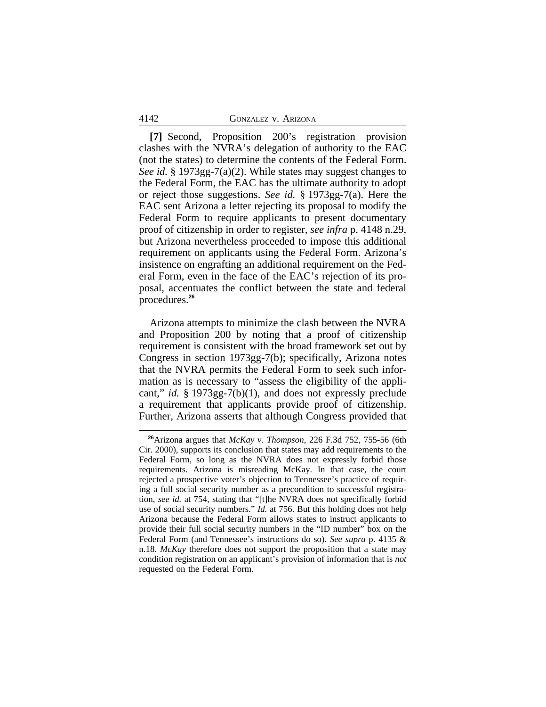#### 4142 GONZALEZ v. ARIZONA

**[7]** Second, Proposition 200's registration provision clashes with the NVRA's delegation of authority to the EAC (not the states) to determine the contents of the Federal Form. *See id.* § 1973gg-7(a)(2). While states may suggest changes to the Federal Form, the EAC has the ultimate authority to adopt or reject those suggestions. *See id.* § 1973gg-7(a). Here the EAC sent Arizona a letter rejecting its proposal to modify the Federal Form to require applicants to present documentary proof of citizenship in order to register, *see infra* p. 4148 n.29, but Arizona nevertheless proceeded to impose this additional requirement on applicants using the Federal Form. Arizona's insistence on engrafting an additional requirement on the Federal Form, even in the face of the EAC's rejection of its proposal, accentuates the conflict between the state and federal procedures.**<sup>26</sup>**

Arizona attempts to minimize the clash between the NVRA and Proposition 200 by noting that a proof of citizenship requirement is consistent with the broad framework set out by Congress in section 1973gg-7(b); specifically, Arizona notes that the NVRA permits the Federal Form to seek such information as is necessary to "assess the eligibility of the applicant," *id.* § 1973gg-7(b)(1), and does not expressly preclude a requirement that applicants provide proof of citizenship. Further, Arizona asserts that although Congress provided that

**<sup>26</sup>**Arizona argues that *McKay v. Thompson*, 226 F.3d 752, 755-56 (6th Cir. 2000), supports its conclusion that states may add requirements to the Federal Form, so long as the NVRA does not expressly forbid those requirements. Arizona is misreading McKay. In that case, the court rejected a prospective voter's objection to Tennessee's practice of requiring a full social security number as a precondition to successful registration, *see id.* at 754, stating that "[t]he NVRA does not specifically forbid use of social security numbers." *Id.* at 756. But this holding does not help Arizona because the Federal Form allows states to instruct applicants to provide their full social security numbers in the "ID number" box on the Federal Form (and Tennessee's instructions do so). *See supra* p. 4135 & n.18. *McKay* therefore does not support the proposition that a state may condition registration on an applicant's provision of information that is *not* requested on the Federal Form.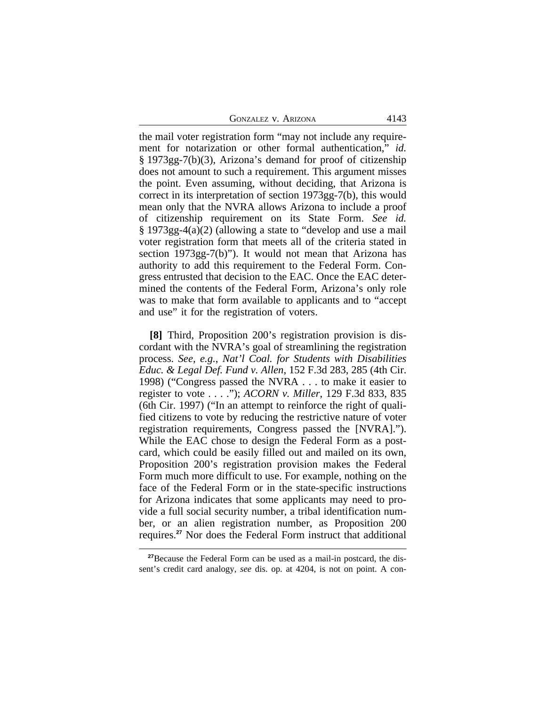GONZALEZ V. ARIZONA 4143

the mail voter registration form "may not include any requirement for notarization or other formal authentication," *id.* § 1973gg-7(b)(3), Arizona's demand for proof of citizenship does not amount to such a requirement. This argument misses the point. Even assuming, without deciding, that Arizona is correct in its interpretation of section 1973gg-7(b), this would mean only that the NVRA allows Arizona to include a proof of citizenship requirement on its State Form. *See id.* § 1973gg-4(a)(2) (allowing a state to "develop and use a mail voter registration form that meets all of the criteria stated in section 1973gg-7(b)"). It would not mean that Arizona has authority to add this requirement to the Federal Form. Congress entrusted that decision to the EAC. Once the EAC determined the contents of the Federal Form, Arizona's only role was to make that form available to applicants and to "accept and use" it for the registration of voters.

**[8]** Third, Proposition 200's registration provision is discordant with the NVRA's goal of streamlining the registration process. *See, e.g.*, *Nat'l Coal. for Students with Disabilities Educ. & Legal Def. Fund v. Allen*, 152 F.3d 283, 285 (4th Cir. 1998) ("Congress passed the NVRA . . . to make it easier to register to vote . . . ."); *ACORN v. Miller*, 129 F.3d 833, 835 (6th Cir. 1997) ("In an attempt to reinforce the right of qualified citizens to vote by reducing the restrictive nature of voter registration requirements, Congress passed the [NVRA]."). While the EAC chose to design the Federal Form as a postcard, which could be easily filled out and mailed on its own, Proposition 200's registration provision makes the Federal Form much more difficult to use. For example, nothing on the face of the Federal Form or in the state-specific instructions for Arizona indicates that some applicants may need to provide a full social security number, a tribal identification number, or an alien registration number, as Proposition 200 requires.**<sup>27</sup>** Nor does the Federal Form instruct that additional

**<sup>27</sup>**Because the Federal Form can be used as a mail-in postcard, the dissent's credit card analogy, *see* dis. op. at 4204, is not on point. A con-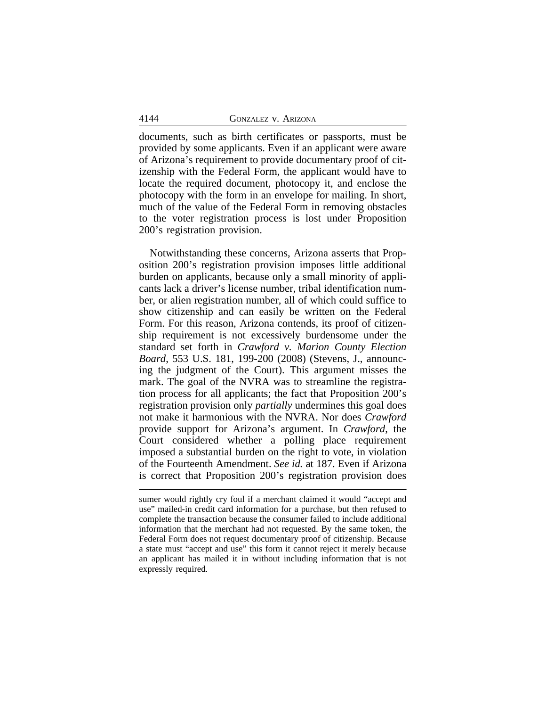documents, such as birth certificates or passports, must be provided by some applicants. Even if an applicant were aware of Arizona's requirement to provide documentary proof of citizenship with the Federal Form, the applicant would have to locate the required document, photocopy it, and enclose the photocopy with the form in an envelope for mailing. In short, much of the value of the Federal Form in removing obstacles to the voter registration process is lost under Proposition 200's registration provision.

Notwithstanding these concerns, Arizona asserts that Proposition 200's registration provision imposes little additional burden on applicants, because only a small minority of applicants lack a driver's license number, tribal identification number, or alien registration number, all of which could suffice to show citizenship and can easily be written on the Federal Form. For this reason, Arizona contends, its proof of citizenship requirement is not excessively burdensome under the standard set forth in *Crawford v. Marion County Election Board*, 553 U.S. 181, 199-200 (2008) (Stevens, J., announcing the judgment of the Court). This argument misses the mark. The goal of the NVRA was to streamline the registration process for all applicants; the fact that Proposition 200's registration provision only *partially* undermines this goal does not make it harmonious with the NVRA. Nor does *Crawford* provide support for Arizona's argument. In *Crawford*, the Court considered whether a polling place requirement imposed a substantial burden on the right to vote, in violation of the Fourteenth Amendment. *See id.* at 187. Even if Arizona is correct that Proposition 200's registration provision does

sumer would rightly cry foul if a merchant claimed it would "accept and use" mailed-in credit card information for a purchase, but then refused to complete the transaction because the consumer failed to include additional information that the merchant had not requested. By the same token, the Federal Form does not request documentary proof of citizenship. Because a state must "accept and use" this form it cannot reject it merely because an applicant has mailed it in without including information that is not expressly required.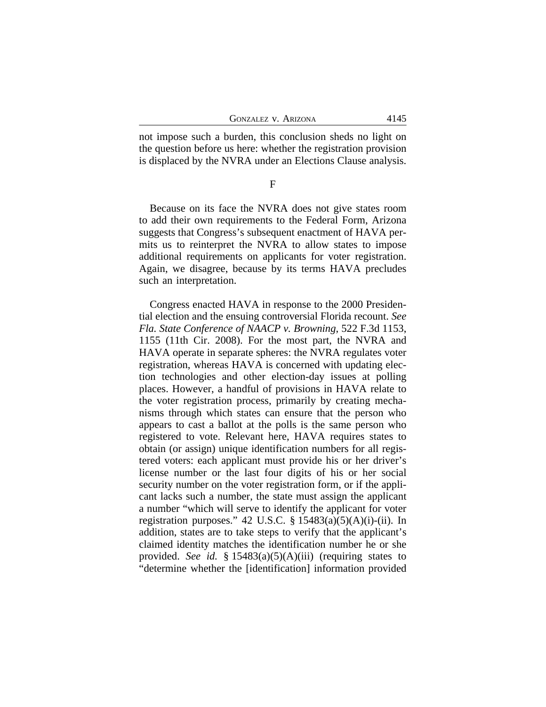not impose such a burden, this conclusion sheds no light on the question before us here: whether the registration provision is displaced by the NVRA under an Elections Clause analysis.

F

Because on its face the NVRA does not give states room to add their own requirements to the Federal Form, Arizona suggests that Congress's subsequent enactment of HAVA permits us to reinterpret the NVRA to allow states to impose additional requirements on applicants for voter registration. Again, we disagree, because by its terms HAVA precludes such an interpretation.

Congress enacted HAVA in response to the 2000 Presidential election and the ensuing controversial Florida recount. *See Fla. State Conference of NAACP v. Browning*, 522 F.3d 1153, 1155 (11th Cir. 2008). For the most part, the NVRA and HAVA operate in separate spheres: the NVRA regulates voter registration, whereas HAVA is concerned with updating election technologies and other election-day issues at polling places. However, a handful of provisions in HAVA relate to the voter registration process, primarily by creating mechanisms through which states can ensure that the person who appears to cast a ballot at the polls is the same person who registered to vote. Relevant here, HAVA requires states to obtain (or assign) unique identification numbers for all registered voters: each applicant must provide his or her driver's license number or the last four digits of his or her social security number on the voter registration form, or if the applicant lacks such a number, the state must assign the applicant a number "which will serve to identify the applicant for voter registration purposes." 42 U.S.C.  $\S$  15483(a)(5)(A)(i)-(ii). In addition, states are to take steps to verify that the applicant's claimed identity matches the identification number he or she provided. *See id.* § 15483(a)(5)(A)(iii) (requiring states to "determine whether the [identification] information provided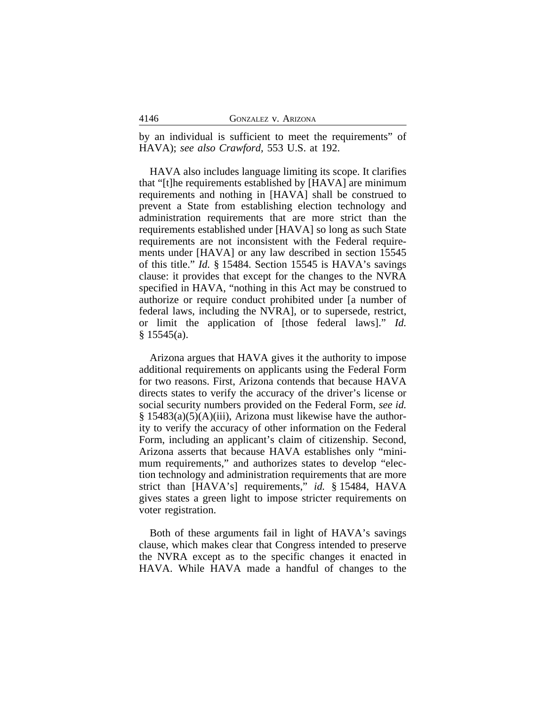by an individual is sufficient to meet the requirements" of HAVA); *see also Crawford,* 553 U.S. at 192.

HAVA also includes language limiting its scope. It clarifies that "[t]he requirements established by [HAVA] are minimum requirements and nothing in [HAVA] shall be construed to prevent a State from establishing election technology and administration requirements that are more strict than the requirements established under [HAVA] so long as such State requirements are not inconsistent with the Federal requirements under [HAVA] or any law described in section 15545 of this title." *Id.* § 15484. Section 15545 is HAVA's savings clause: it provides that except for the changes to the NVRA specified in HAVA, "nothing in this Act may be construed to authorize or require conduct prohibited under [a number of federal laws, including the NVRA], or to supersede, restrict, or limit the application of [those federal laws]." *Id.*  $§ 15545(a).$ 

Arizona argues that HAVA gives it the authority to impose additional requirements on applicants using the Federal Form for two reasons. First, Arizona contends that because HAVA directs states to verify the accuracy of the driver's license or social security numbers provided on the Federal Form, *see id.* § 15483(a)(5)(A)(iii), Arizona must likewise have the authority to verify the accuracy of other information on the Federal Form, including an applicant's claim of citizenship. Second, Arizona asserts that because HAVA establishes only "minimum requirements," and authorizes states to develop "election technology and administration requirements that are more strict than [HAVA's] requirements," *id.* § 15484, HAVA gives states a green light to impose stricter requirements on voter registration.

Both of these arguments fail in light of HAVA's savings clause, which makes clear that Congress intended to preserve the NVRA except as to the specific changes it enacted in HAVA. While HAVA made a handful of changes to the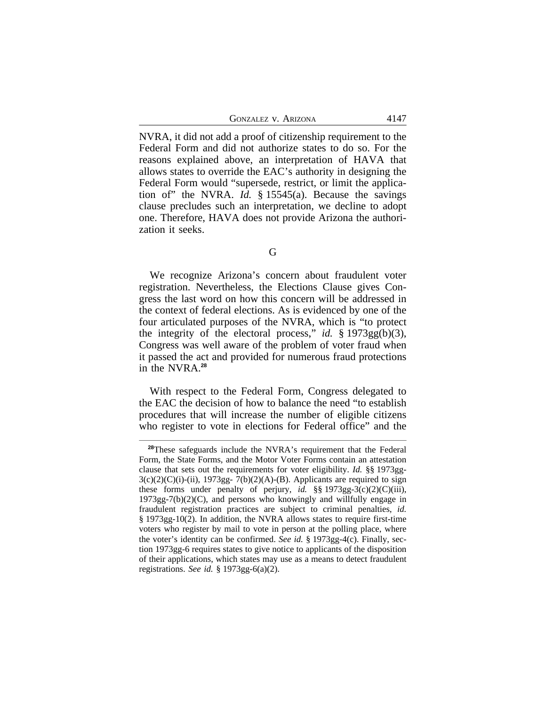GONZALEZ V. ARIZONA 4147

NVRA, it did not add a proof of citizenship requirement to the Federal Form and did not authorize states to do so. For the reasons explained above, an interpretation of HAVA that allows states to override the EAC's authority in designing the Federal Form would "supersede, restrict, or limit the application of" the NVRA. *Id.* § 15545(a). Because the savings clause precludes such an interpretation, we decline to adopt one. Therefore, HAVA does not provide Arizona the authorization it seeks.

G

We recognize Arizona's concern about fraudulent voter registration. Nevertheless, the Elections Clause gives Congress the last word on how this concern will be addressed in the context of federal elections. As is evidenced by one of the four articulated purposes of the NVRA, which is "to protect the integrity of the electoral process," *id.* § 1973gg(b)(3), Congress was well aware of the problem of voter fraud when it passed the act and provided for numerous fraud protections in the NVRA.**<sup>28</sup>**

With respect to the Federal Form, Congress delegated to the EAC the decision of how to balance the need "to establish procedures that will increase the number of eligible citizens who register to vote in elections for Federal office" and the

**<sup>28</sup>**These safeguards include the NVRA's requirement that the Federal Form, the State Forms, and the Motor Voter Forms contain an attestation clause that sets out the requirements for voter eligibility. *Id.* §§ 1973gg- $3(c)(2)(C)(i)-(ii)$ , 1973gg-  $7(b)(2)(A)-(B)$ . Applicants are required to sign these forms under penalty of perjury, *id.* §§ 1973gg-3(c)(2)(C)(iii),  $1973gg-7(b)(2)(C)$ , and persons who knowingly and willfully engage in fraudulent registration practices are subject to criminal penalties, *id.* § 1973gg-10(2). In addition, the NVRA allows states to require first-time voters who register by mail to vote in person at the polling place, where the voter's identity can be confirmed. *See id.* § 1973gg-4(c). Finally, section 1973gg-6 requires states to give notice to applicants of the disposition of their applications, which states may use as a means to detect fraudulent registrations. *See id.* § 1973gg-6(a)(2).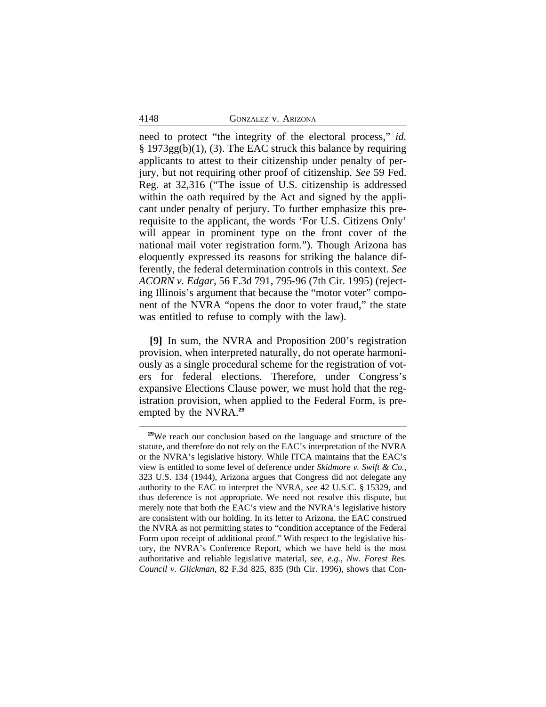#### 4148 GONZALEZ v. ARIZONA

need to protect "the integrity of the electoral process," *id.* § 1973gg(b)(1), (3). The EAC struck this balance by requiring applicants to attest to their citizenship under penalty of perjury, but not requiring other proof of citizenship. *See* 59 Fed. Reg. at 32,316 ("The issue of U.S. citizenship is addressed within the oath required by the Act and signed by the applicant under penalty of perjury. To further emphasize this prerequisite to the applicant, the words 'For U.S. Citizens Only' will appear in prominent type on the front cover of the national mail voter registration form."). Though Arizona has eloquently expressed its reasons for striking the balance differently, the federal determination controls in this context. *See ACORN v. Edgar*, 56 F.3d 791, 795-96 (7th Cir. 1995) (rejecting Illinois's argument that because the "motor voter" component of the NVRA "opens the door to voter fraud," the state was entitled to refuse to comply with the law).

**[9]** In sum, the NVRA and Proposition 200's registration provision, when interpreted naturally, do not operate harmoniously as a single procedural scheme for the registration of voters for federal elections. Therefore, under Congress's expansive Elections Clause power, we must hold that the registration provision, when applied to the Federal Form, is preempted by the NVRA.**<sup>29</sup>**

**<sup>29</sup>**We reach our conclusion based on the language and structure of the statute, and therefore do not rely on the EAC's interpretation of the NVRA or the NVRA's legislative history. While ITCA maintains that the EAC's view is entitled to some level of deference under *Skidmore v. Swift & Co.*, 323 U.S. 134 (1944), Arizona argues that Congress did not delegate any authority to the EAC to interpret the NVRA, *see* 42 U.S.C. § 15329, and thus deference is not appropriate. We need not resolve this dispute, but merely note that both the EAC's view and the NVRA's legislative history are consistent with our holding. In its letter to Arizona, the EAC construed the NVRA as not permitting states to "condition acceptance of the Federal Form upon receipt of additional proof." With respect to the legislative history, the NVRA's Conference Report, which we have held is the most authoritative and reliable legislative material, *see, e.g.*, *Nw. Forest Res. Council v. Glickman*, 82 F.3d 825, 835 (9th Cir. 1996), shows that Con-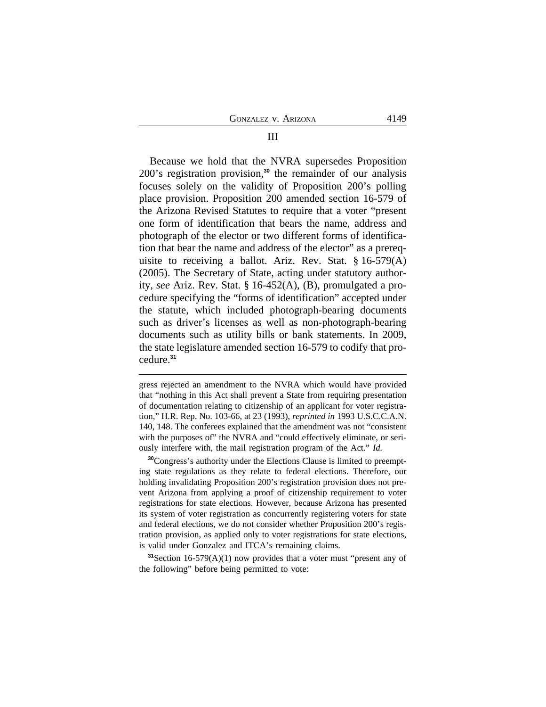Because we hold that the NVRA supersedes Proposition 200's registration provision,**<sup>30</sup>** the remainder of our analysis focuses solely on the validity of Proposition 200's polling place provision. Proposition 200 amended section 16-579 of the Arizona Revised Statutes to require that a voter "present one form of identification that bears the name, address and photograph of the elector or two different forms of identification that bear the name and address of the elector" as a prerequisite to receiving a ballot. Ariz. Rev. Stat. § 16-579(A) (2005). The Secretary of State, acting under statutory authority, *see* Ariz. Rev. Stat. § 16-452(A), (B), promulgated a procedure specifying the "forms of identification" accepted under the statute, which included photograph-bearing documents such as driver's licenses as well as non-photograph-bearing documents such as utility bills or bank statements. In 2009, the state legislature amended section 16-579 to codify that procedure.**<sup>31</sup>**

**<sup>30</sup>**Congress's authority under the Elections Clause is limited to preempting state regulations as they relate to federal elections. Therefore, our holding invalidating Proposition 200's registration provision does not prevent Arizona from applying a proof of citizenship requirement to voter registrations for state elections. However, because Arizona has presented its system of voter registration as concurrently registering voters for state and federal elections, we do not consider whether Proposition 200's registration provision, as applied only to voter registrations for state elections, is valid under Gonzalez and ITCA's remaining claims.

**<sup>31</sup>**Section 16-579(A)(1) now provides that a voter must "present any of the following" before being permitted to vote:

### III

gress rejected an amendment to the NVRA which would have provided that "nothing in this Act shall prevent a State from requiring presentation of documentation relating to citizenship of an applicant for voter registration," H.R. Rep. No. 103-66, at 23 (1993), *reprinted in* 1993 U.S.C.C.A.N. 140, 148. The conferees explained that the amendment was not "consistent with the purposes of" the NVRA and "could effectively eliminate, or seriously interfere with, the mail registration program of the Act." *Id.*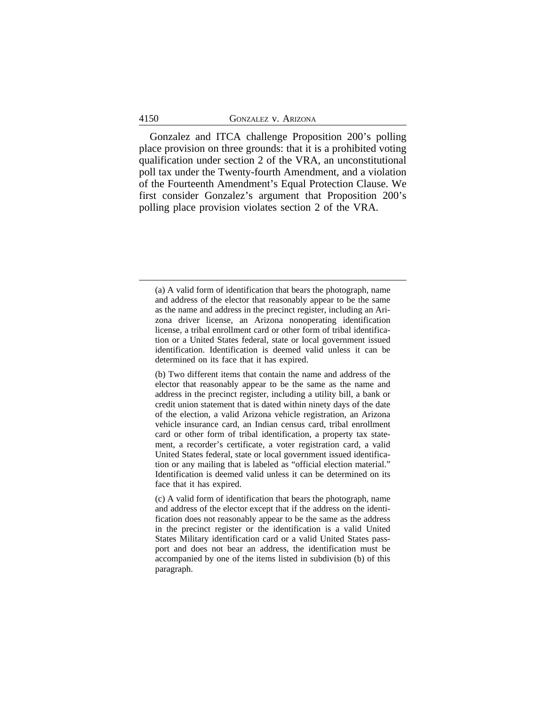Gonzalez and ITCA challenge Proposition 200's polling place provision on three grounds: that it is a prohibited voting qualification under section 2 of the VRA, an unconstitutional poll tax under the Twenty-fourth Amendment, and a violation of the Fourteenth Amendment's Equal Protection Clause. We first consider Gonzalez's argument that Proposition 200's polling place provision violates section 2 of the VRA.

<sup>(</sup>a) A valid form of identification that bears the photograph, name and address of the elector that reasonably appear to be the same as the name and address in the precinct register, including an Arizona driver license, an Arizona nonoperating identification license, a tribal enrollment card or other form of tribal identification or a United States federal, state or local government issued identification. Identification is deemed valid unless it can be determined on its face that it has expired.

<sup>(</sup>b) Two different items that contain the name and address of the elector that reasonably appear to be the same as the name and address in the precinct register, including a utility bill, a bank or credit union statement that is dated within ninety days of the date of the election, a valid Arizona vehicle registration, an Arizona vehicle insurance card, an Indian census card, tribal enrollment card or other form of tribal identification, a property tax statement, a recorder's certificate, a voter registration card, a valid United States federal, state or local government issued identification or any mailing that is labeled as "official election material." Identification is deemed valid unless it can be determined on its face that it has expired.

<sup>(</sup>c) A valid form of identification that bears the photograph, name and address of the elector except that if the address on the identification does not reasonably appear to be the same as the address in the precinct register or the identification is a valid United States Military identification card or a valid United States passport and does not bear an address, the identification must be accompanied by one of the items listed in subdivision (b) of this paragraph.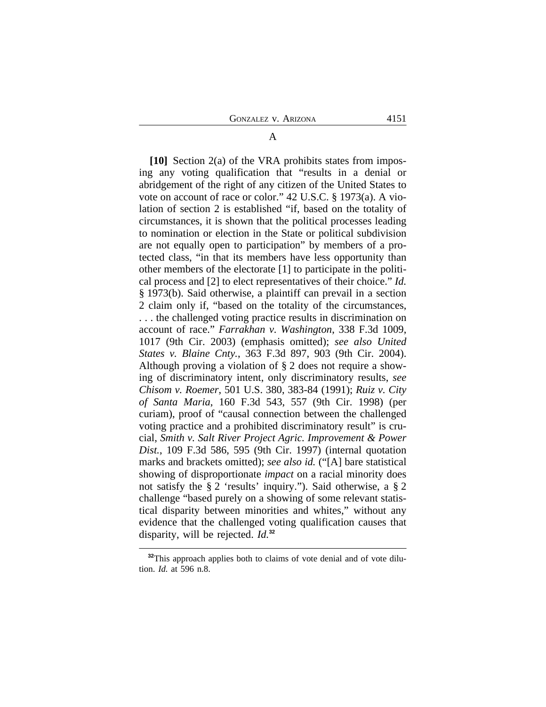**[10]** Section 2(a) of the VRA prohibits states from imposing any voting qualification that "results in a denial or abridgement of the right of any citizen of the United States to vote on account of race or color." 42 U.S.C. § 1973(a). A violation of section 2 is established "if, based on the totality of circumstances, it is shown that the political processes leading to nomination or election in the State or political subdivision are not equally open to participation" by members of a protected class, "in that its members have less opportunity than other members of the electorate [1] to participate in the political process and [2] to elect representatives of their choice." *Id.* § 1973(b). Said otherwise, a plaintiff can prevail in a section 2 claim only if, "based on the totality of the circumstances, . . . the challenged voting practice results in discrimination on account of race." *Farrakhan v. Washington*, 338 F.3d 1009, 1017 (9th Cir. 2003) (emphasis omitted); *see also United States v. Blaine Cnty.*, 363 F.3d 897, 903 (9th Cir. 2004). Although proving a violation of § 2 does not require a showing of discriminatory intent, only discriminatory results, *see Chisom v. Roemer*, 501 U.S. 380, 383-84 (1991); *Ruiz v. City of Santa Maria*, 160 F.3d 543, 557 (9th Cir. 1998) (per curiam), proof of "causal connection between the challenged voting practice and a prohibited discriminatory result" is crucial, *Smith v. Salt River Project Agric. Improvement & Power Dist.*, 109 F.3d 586, 595 (9th Cir. 1997) (internal quotation marks and brackets omitted); *see also id.* ("[A] bare statistical showing of disproportionate *impact* on a racial minority does not satisfy the § 2 'results' inquiry."). Said otherwise, a § 2 challenge "based purely on a showing of some relevant statistical disparity between minorities and whites," without any evidence that the challenged voting qualification causes that disparity, will be rejected. *Id.***<sup>32</sup>**

# A

<sup>&</sup>lt;sup>32</sup>This approach applies both to claims of vote denial and of vote dilution. *Id.* at 596 n.8.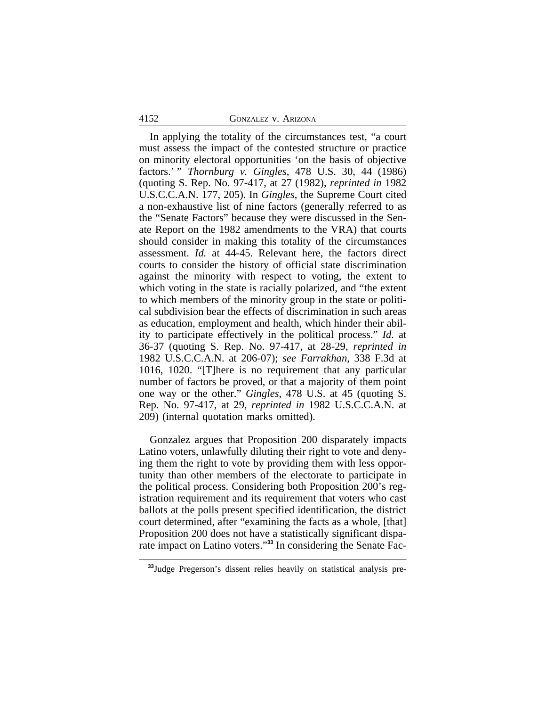# 4152 GONZALEZ v. ARIZONA

In applying the totality of the circumstances test, "a court must assess the impact of the contested structure or practice on minority electoral opportunities 'on the basis of objective factors.' " *Thornburg v. Gingles*, 478 U.S. 30, 44 (1986) (quoting S. Rep. No. 97-417, at 27 (1982), *reprinted in* 1982 U.S.C.C.A.N. 177, 205). In *Gingles*, the Supreme Court cited a non-exhaustive list of nine factors (generally referred to as the "Senate Factors" because they were discussed in the Senate Report on the 1982 amendments to the VRA) that courts should consider in making this totality of the circumstances assessment. *Id.* at 44-45. Relevant here, the factors direct courts to consider the history of official state discrimination against the minority with respect to voting, the extent to which voting in the state is racially polarized, and "the extent to which members of the minority group in the state or political subdivision bear the effects of discrimination in such areas as education, employment and health, which hinder their ability to participate effectively in the political process." *Id.* at 36-37 (quoting S. Rep. No. 97-417, at 28-29, *reprinted in* 1982 U.S.C.C.A.N. at 206-07); *see Farrakhan*, 338 F.3d at 1016, 1020. "[T]here is no requirement that any particular number of factors be proved, or that a majority of them point one way or the other." *Gingles*, 478 U.S. at 45 (quoting S. Rep. No. 97-417, at 29, *reprinted in* 1982 U.S.C.C.A.N. at 209) (internal quotation marks omitted).

Gonzalez argues that Proposition 200 disparately impacts Latino voters, unlawfully diluting their right to vote and denying them the right to vote by providing them with less opportunity than other members of the electorate to participate in the political process. Considering both Proposition 200's registration requirement and its requirement that voters who cast ballots at the polls present specified identification, the district court determined, after "examining the facts as a whole, [that] Proposition 200 does not have a statistically significant disparate impact on Latino voters." **33** In considering the Senate Fac-

**<sup>33</sup>**Judge Pregerson's dissent relies heavily on statistical analysis pre-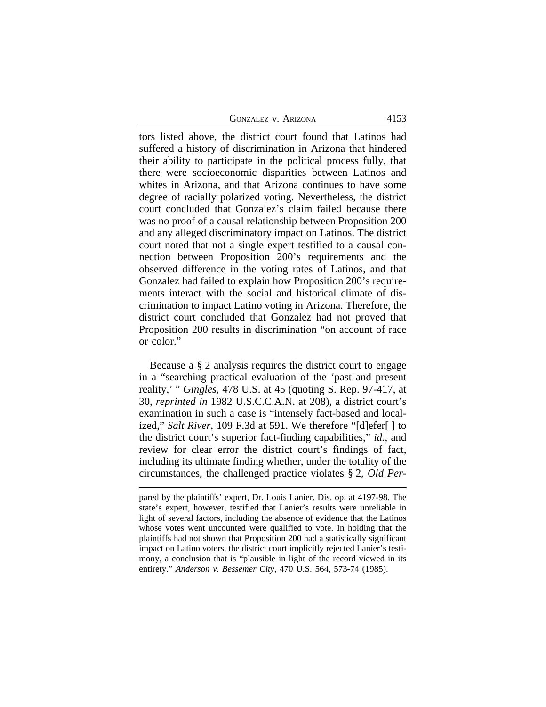| <b>GONZALEZ V. ARIZONA</b> | 4153 |
|----------------------------|------|
|----------------------------|------|

tors listed above, the district court found that Latinos had suffered a history of discrimination in Arizona that hindered their ability to participate in the political process fully, that there were socioeconomic disparities between Latinos and whites in Arizona, and that Arizona continues to have some degree of racially polarized voting. Nevertheless, the district court concluded that Gonzalez's claim failed because there was no proof of a causal relationship between Proposition 200 and any alleged discriminatory impact on Latinos. The district court noted that not a single expert testified to a causal connection between Proposition 200's requirements and the observed difference in the voting rates of Latinos, and that Gonzalez had failed to explain how Proposition 200's requirements interact with the social and historical climate of discrimination to impact Latino voting in Arizona. Therefore, the district court concluded that Gonzalez had not proved that Proposition 200 results in discrimination "on account of race or color."

Because a § 2 analysis requires the district court to engage in a "searching practical evaluation of the 'past and present reality,' " *Gingles*, 478 U.S. at 45 (quoting S. Rep. 97-417, at 30, *reprinted in* 1982 U.S.C.C.A.N. at 208), a district court's examination in such a case is "intensely fact-based and localized," *Salt River*, 109 F.3d at 591. We therefore "[d]efer[ ] to the district court's superior fact-finding capabilities," *id.*, and review for clear error the district court's findings of fact, including its ultimate finding whether, under the totality of the circumstances, the challenged practice violates § 2, *Old Per-*

pared by the plaintiffs' expert, Dr. Louis Lanier. Dis. op. at 4197-98. The state's expert, however, testified that Lanier's results were unreliable in light of several factors, including the absence of evidence that the Latinos whose votes went uncounted were qualified to vote. In holding that the plaintiffs had not shown that Proposition 200 had a statistically significant impact on Latino voters, the district court implicitly rejected Lanier's testimony, a conclusion that is "plausible in light of the record viewed in its entirety." *Anderson v. Bessemer City*, 470 U.S. 564, 573-74 (1985).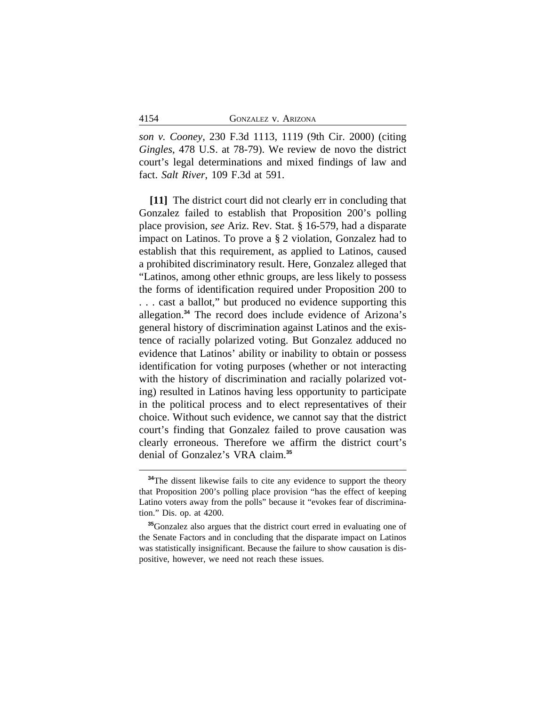*son v. Cooney*, 230 F.3d 1113, 1119 (9th Cir. 2000) (citing *Gingles*, 478 U.S. at 78-79). We review de novo the district court's legal determinations and mixed findings of law and fact. *Salt River*, 109 F.3d at 591.

**[11]** The district court did not clearly err in concluding that Gonzalez failed to establish that Proposition 200's polling place provision, *see* Ariz. Rev. Stat. § 16-579, had a disparate impact on Latinos. To prove a § 2 violation, Gonzalez had to establish that this requirement, as applied to Latinos, caused a prohibited discriminatory result. Here, Gonzalez alleged that "Latinos, among other ethnic groups, are less likely to possess the forms of identification required under Proposition 200 to . . . cast a ballot," but produced no evidence supporting this allegation.**<sup>34</sup>** The record does include evidence of Arizona's general history of discrimination against Latinos and the existence of racially polarized voting. But Gonzalez adduced no evidence that Latinos' ability or inability to obtain or possess identification for voting purposes (whether or not interacting with the history of discrimination and racially polarized voting) resulted in Latinos having less opportunity to participate in the political process and to elect representatives of their choice. Without such evidence, we cannot say that the district court's finding that Gonzalez failed to prove causation was clearly erroneous. Therefore we affirm the district court's denial of Gonzalez's VRA claim.**<sup>35</sup>**

<sup>&</sup>lt;sup>34</sup>The dissent likewise fails to cite any evidence to support the theory that Proposition 200's polling place provision "has the effect of keeping Latino voters away from the polls" because it "evokes fear of discrimination." Dis. op. at 4200.

**<sup>35</sup>**Gonzalez also argues that the district court erred in evaluating one of the Senate Factors and in concluding that the disparate impact on Latinos was statistically insignificant. Because the failure to show causation is dispositive, however, we need not reach these issues.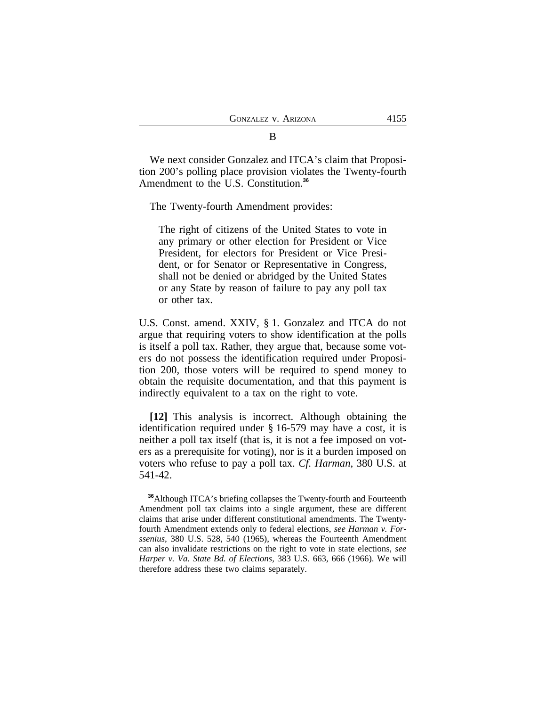We next consider Gonzalez and ITCA's claim that Proposition 200's polling place provision violates the Twenty-fourth Amendment to the U.S. Constitution.**<sup>36</sup>**

The Twenty-fourth Amendment provides:

The right of citizens of the United States to vote in any primary or other election for President or Vice President, for electors for President or Vice President, or for Senator or Representative in Congress, shall not be denied or abridged by the United States or any State by reason of failure to pay any poll tax or other tax.

U.S. Const. amend. XXIV, § 1. Gonzalez and ITCA do not argue that requiring voters to show identification at the polls is itself a poll tax. Rather, they argue that, because some voters do not possess the identification required under Proposition 200, those voters will be required to spend money to obtain the requisite documentation, and that this payment is indirectly equivalent to a tax on the right to vote.

**[12]** This analysis is incorrect. Although obtaining the identification required under § 16-579 may have a cost, it is neither a poll tax itself (that is, it is not a fee imposed on voters as a prerequisite for voting), nor is it a burden imposed on voters who refuse to pay a poll tax. *Cf. Harman*, 380 U.S. at 541-42.

#### B

**<sup>36</sup>**Although ITCA's briefing collapses the Twenty-fourth and Fourteenth Amendment poll tax claims into a single argument, these are different claims that arise under different constitutional amendments. The Twentyfourth Amendment extends only to federal elections, *see Harman v. Forssenius*, 380 U.S. 528, 540 (1965), whereas the Fourteenth Amendment can also invalidate restrictions on the right to vote in state elections, *see Harper v. Va. State Bd. of Elections*, 383 U.S. 663, 666 (1966). We will therefore address these two claims separately.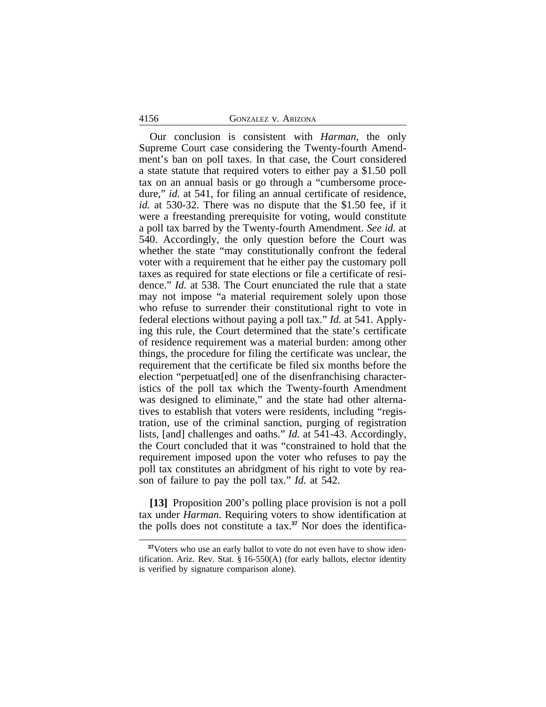# 4156 GONZALEZ v. ARIZONA

Our conclusion is consistent with *Harman*, the only Supreme Court case considering the Twenty-fourth Amendment's ban on poll taxes. In that case, the Court considered a state statute that required voters to either pay a \$1.50 poll tax on an annual basis or go through a "cumbersome procedure," *id.* at 541, for filing an annual certificate of residence, *id.* at 530-32. There was no dispute that the \$1.50 fee, if it were a freestanding prerequisite for voting, would constitute a poll tax barred by the Twenty-fourth Amendment. *See id.* at 540. Accordingly, the only question before the Court was whether the state "may constitutionally confront the federal voter with a requirement that he either pay the customary poll taxes as required for state elections or file a certificate of residence." *Id.* at 538. The Court enunciated the rule that a state may not impose "a material requirement solely upon those who refuse to surrender their constitutional right to vote in federal elections without paying a poll tax." *Id.* at 541. Applying this rule, the Court determined that the state's certificate of residence requirement was a material burden: among other things, the procedure for filing the certificate was unclear, the requirement that the certificate be filed six months before the election "perpetuat[ed] one of the disenfranchising characteristics of the poll tax which the Twenty-fourth Amendment was designed to eliminate," and the state had other alternatives to establish that voters were residents, including "registration, use of the criminal sanction, purging of registration lists, [and] challenges and oaths." *Id.* at 541-43. Accordingly, the Court concluded that it was "constrained to hold that the requirement imposed upon the voter who refuses to pay the poll tax constitutes an abridgment of his right to vote by reason of failure to pay the poll tax." *Id.* at 542.

**[13]** Proposition 200's polling place provision is not a poll tax under *Harman.* Requiring voters to show identification at the polls does not constitute a tax.**37** Nor does the identifica-

<sup>&</sup>lt;sup>37</sup>Voters who use an early ballot to vote do not even have to show identification. Ariz. Rev. Stat. § 16-550(A) (for early ballots, elector identity is verified by signature comparison alone).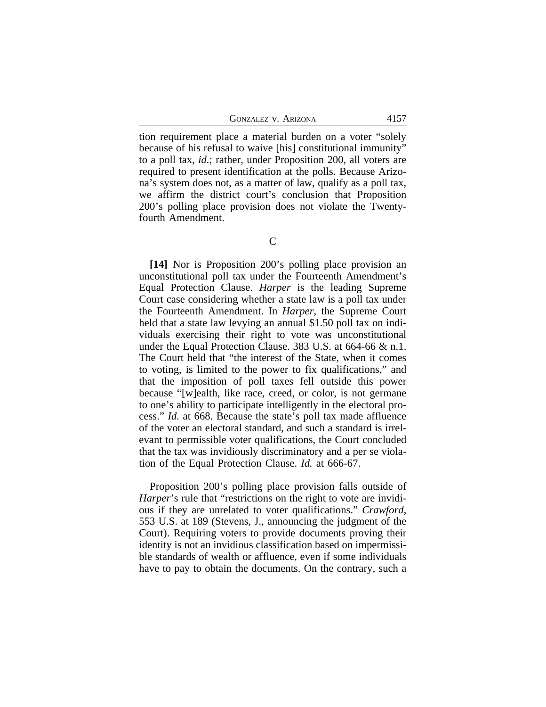GONZALEZ V. ARIZONA 4157

tion requirement place a material burden on a voter "solely because of his refusal to waive [his] constitutional immunity" to a poll tax, *id.*; rather, under Proposition 200, all voters are required to present identification at the polls. Because Arizona's system does not, as a matter of law, qualify as a poll tax, we affirm the district court's conclusion that Proposition 200's polling place provision does not violate the Twentyfourth Amendment.

**[14]** Nor is Proposition 200's polling place provision an unconstitutional poll tax under the Fourteenth Amendment's Equal Protection Clause. *Harper* is the leading Supreme Court case considering whether a state law is a poll tax under the Fourteenth Amendment. In *Harper*, the Supreme Court held that a state law levying an annual \$1.50 poll tax on individuals exercising their right to vote was unconstitutional under the Equal Protection Clause. 383 U.S. at 664-66 & n.1. The Court held that "the interest of the State, when it comes to voting, is limited to the power to fix qualifications," and that the imposition of poll taxes fell outside this power because "[w]ealth, like race, creed, or color, is not germane to one's ability to participate intelligently in the electoral process." *Id.* at 668. Because the state's poll tax made affluence of the voter an electoral standard, and such a standard is irrelevant to permissible voter qualifications, the Court concluded that the tax was invidiously discriminatory and a per se violation of the Equal Protection Clause. *Id.* at 666-67.

Proposition 200's polling place provision falls outside of *Harper*'s rule that "restrictions on the right to vote are invidious if they are unrelated to voter qualifications." *Crawford*, 553 U.S. at 189 (Stevens, J., announcing the judgment of the Court). Requiring voters to provide documents proving their identity is not an invidious classification based on impermissible standards of wealth or affluence, even if some individuals have to pay to obtain the documents. On the contrary, such a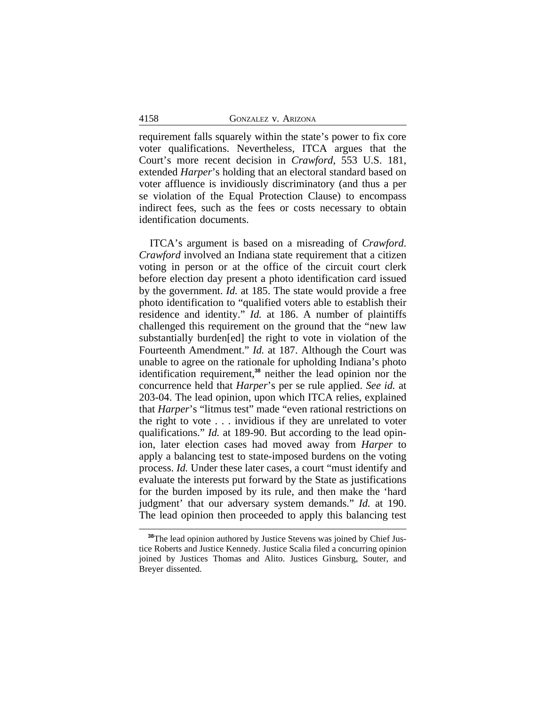requirement falls squarely within the state's power to fix core voter qualifications. Nevertheless, ITCA argues that the Court's more recent decision in *Crawford*, 553 U.S. 181, extended *Harper*'s holding that an electoral standard based on voter affluence is invidiously discriminatory (and thus a per se violation of the Equal Protection Clause) to encompass indirect fees, such as the fees or costs necessary to obtain identification documents.

ITCA's argument is based on a misreading of *Crawford*. *Crawford* involved an Indiana state requirement that a citizen voting in person or at the office of the circuit court clerk before election day present a photo identification card issued by the government. *Id.* at 185. The state would provide a free photo identification to "qualified voters able to establish their residence and identity." *Id.* at 186. A number of plaintiffs challenged this requirement on the ground that the "new law substantially burden[ed] the right to vote in violation of the Fourteenth Amendment." *Id.* at 187. Although the Court was unable to agree on the rationale for upholding Indiana's photo identification requirement,**<sup>38</sup>** neither the lead opinion nor the concurrence held that *Harper*'s per se rule applied. *See id.* at 203-04. The lead opinion, upon which ITCA relies, explained that *Harper*'s "litmus test" made "even rational restrictions on the right to vote . . . invidious if they are unrelated to voter qualifications." *Id.* at 189-90. But according to the lead opinion, later election cases had moved away from *Harper* to apply a balancing test to state-imposed burdens on the voting process. *Id.* Under these later cases, a court "must identify and evaluate the interests put forward by the State as justifications for the burden imposed by its rule, and then make the 'hard judgment' that our adversary system demands." *Id.* at 190. The lead opinion then proceeded to apply this balancing test

**<sup>38</sup>**The lead opinion authored by Justice Stevens was joined by Chief Justice Roberts and Justice Kennedy. Justice Scalia filed a concurring opinion joined by Justices Thomas and Alito. Justices Ginsburg, Souter, and Breyer dissented.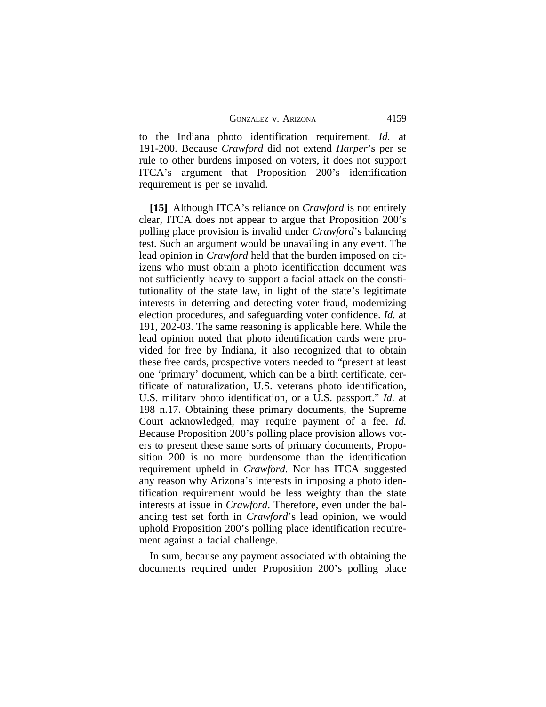GONZALEZ V. ARIZONA 4159

to the Indiana photo identification requirement. *Id.* at 191-200. Because *Crawford* did not extend *Harper*'s per se rule to other burdens imposed on voters, it does not support ITCA's argument that Proposition 200's identification requirement is per se invalid.

**[15]** Although ITCA's reliance on *Crawford* is not entirely clear, ITCA does not appear to argue that Proposition 200's polling place provision is invalid under *Crawford*'s balancing test. Such an argument would be unavailing in any event. The lead opinion in *Crawford* held that the burden imposed on citizens who must obtain a photo identification document was not sufficiently heavy to support a facial attack on the constitutionality of the state law, in light of the state's legitimate interests in deterring and detecting voter fraud, modernizing election procedures, and safeguarding voter confidence. *Id.* at 191, 202-03. The same reasoning is applicable here. While the lead opinion noted that photo identification cards were provided for free by Indiana, it also recognized that to obtain these free cards, prospective voters needed to "present at least one 'primary' document, which can be a birth certificate, certificate of naturalization, U.S. veterans photo identification, U.S. military photo identification, or a U.S. passport." *Id.* at 198 n.17. Obtaining these primary documents, the Supreme Court acknowledged, may require payment of a fee. *Id.* Because Proposition 200's polling place provision allows voters to present these same sorts of primary documents, Proposition 200 is no more burdensome than the identification requirement upheld in *Crawford*. Nor has ITCA suggested any reason why Arizona's interests in imposing a photo identification requirement would be less weighty than the state interests at issue in *Crawford*. Therefore, even under the balancing test set forth in *Crawford*'s lead opinion, we would uphold Proposition 200's polling place identification requirement against a facial challenge.

In sum, because any payment associated with obtaining the documents required under Proposition 200's polling place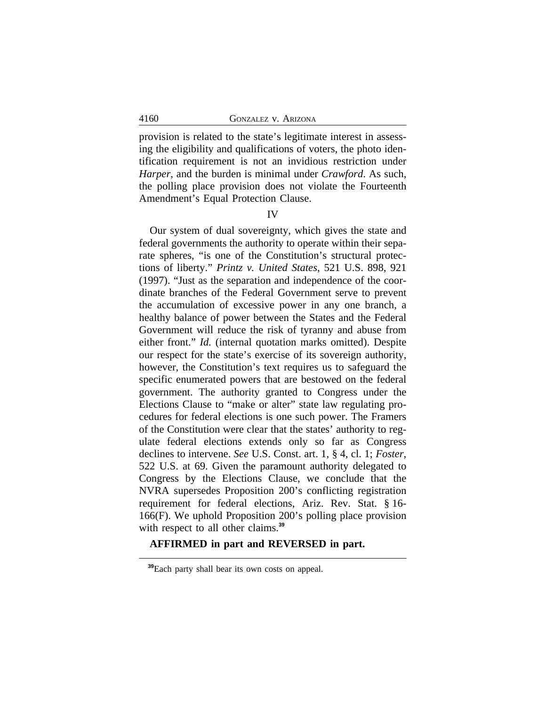provision is related to the state's legitimate interest in assessing the eligibility and qualifications of voters, the photo identification requirement is not an invidious restriction under *Harper*, and the burden is minimal under *Crawford*. As such, the polling place provision does not violate the Fourteenth Amendment's Equal Protection Clause.

# IV

Our system of dual sovereignty, which gives the state and federal governments the authority to operate within their separate spheres, "is one of the Constitution's structural protections of liberty." *Printz v. United States*, 521 U.S. 898, 921 (1997). "Just as the separation and independence of the coordinate branches of the Federal Government serve to prevent the accumulation of excessive power in any one branch, a healthy balance of power between the States and the Federal Government will reduce the risk of tyranny and abuse from either front." *Id.* (internal quotation marks omitted). Despite our respect for the state's exercise of its sovereign authority, however, the Constitution's text requires us to safeguard the specific enumerated powers that are bestowed on the federal government. The authority granted to Congress under the Elections Clause to "make or alter" state law regulating procedures for federal elections is one such power. The Framers of the Constitution were clear that the states' authority to regulate federal elections extends only so far as Congress declines to intervene. *See* U.S. Const. art. 1, § 4, cl. 1; *Foster*, 522 U.S. at 69. Given the paramount authority delegated to Congress by the Elections Clause, we conclude that the NVRA supersedes Proposition 200's conflicting registration requirement for federal elections, Ariz. Rev. Stat. § 16- 166(F). We uphold Proposition 200's polling place provision with respect to all other claims.**<sup>39</sup>**

# **AFFIRMED in part and REVERSED in part.**

**<sup>39</sup>**Each party shall bear its own costs on appeal.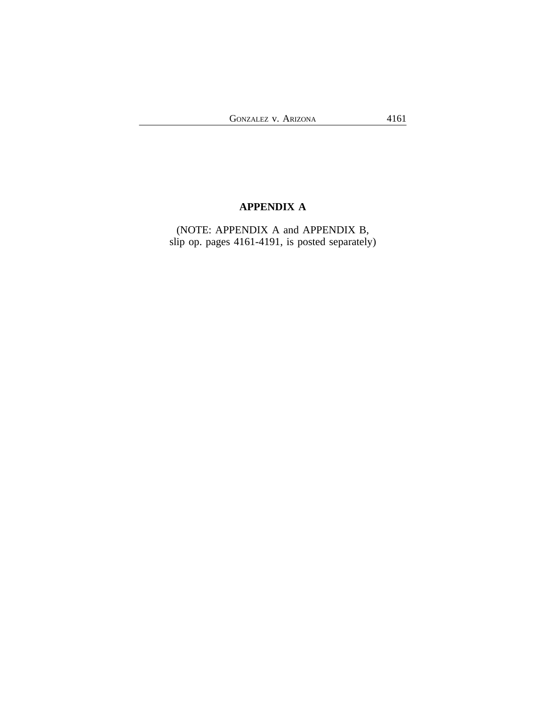# **APPENDIX A**

(NOTE: APPENDIX A and APPENDIX B, slip op. pages 4161-4191, is posted separately)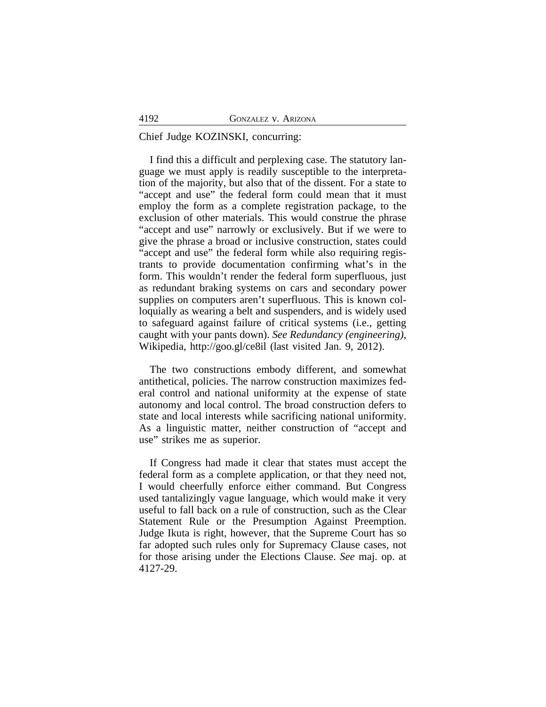# Chief Judge KOZINSKI, concurring:

I find this a difficult and perplexing case. The statutory language we must apply is readily susceptible to the interpretation of the majority, but also that of the dissent. For a state to "accept and use" the federal form could mean that it must employ the form as a complete registration package, to the exclusion of other materials. This would construe the phrase "accept and use" narrowly or exclusively. But if we were to give the phrase a broad or inclusive construction, states could "accept and use" the federal form while also requiring registrants to provide documentation confirming what's in the form. This wouldn't render the federal form superfluous, just as redundant braking systems on cars and secondary power supplies on computers aren't superfluous. This is known colloquially as wearing a belt and suspenders, and is widely used to safeguard against failure of critical systems (i.e., getting caught with your pants down). *See Redundancy (engineering)*, Wikipedia, http://goo.gl/ce8il (last visited Jan. 9, 2012).

The two constructions embody different, and somewhat antithetical, policies. The narrow construction maximizes federal control and national uniformity at the expense of state autonomy and local control. The broad construction defers to state and local interests while sacrificing national uniformity. As a linguistic matter, neither construction of "accept and use" strikes me as superior.

If Congress had made it clear that states must accept the federal form as a complete application, or that they need not, I would cheerfully enforce either command. But Congress used tantalizingly vague language, which would make it very useful to fall back on a rule of construction, such as the Clear Statement Rule or the Presumption Against Preemption. Judge Ikuta is right, however, that the Supreme Court has so far adopted such rules only for Supremacy Clause cases, not for those arising under the Elections Clause. *See* maj. op. at 4127-29.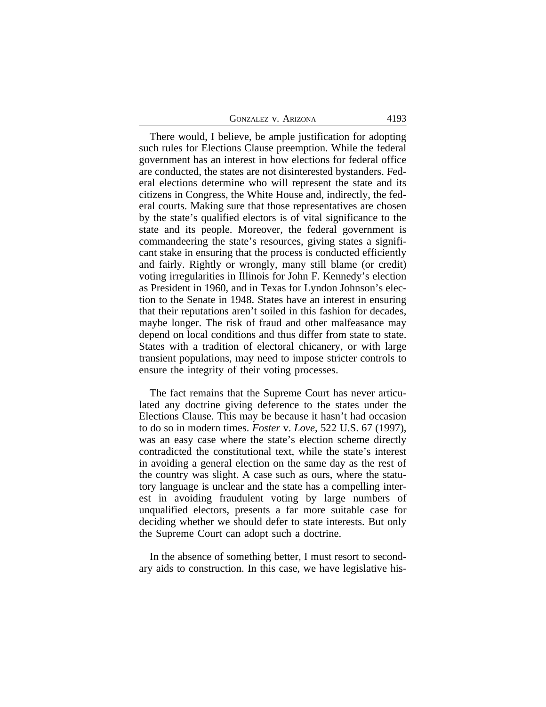There would, I believe, be ample justification for adopting such rules for Elections Clause preemption. While the federal government has an interest in how elections for federal office are conducted, the states are not disinterested bystanders. Federal elections determine who will represent the state and its citizens in Congress, the White House and, indirectly, the federal courts. Making sure that those representatives are chosen by the state's qualified electors is of vital significance to the state and its people. Moreover, the federal government is commandeering the state's resources, giving states a significant stake in ensuring that the process is conducted efficiently and fairly. Rightly or wrongly, many still blame (or credit) voting irregularities in Illinois for John F. Kennedy's election as President in 1960, and in Texas for Lyndon Johnson's election to the Senate in 1948. States have an interest in ensuring that their reputations aren't soiled in this fashion for decades, maybe longer. The risk of fraud and other malfeasance may depend on local conditions and thus differ from state to state. States with a tradition of electoral chicanery, or with large transient populations, may need to impose stricter controls to ensure the integrity of their voting processes.

The fact remains that the Supreme Court has never articulated any doctrine giving deference to the states under the Elections Clause. This may be because it hasn't had occasion to do so in modern times. *Foster* v. *Love*, 522 U.S. 67 (1997), was an easy case where the state's election scheme directly contradicted the constitutional text, while the state's interest in avoiding a general election on the same day as the rest of the country was slight. A case such as ours, where the statutory language is unclear and the state has a compelling interest in avoiding fraudulent voting by large numbers of unqualified electors, presents a far more suitable case for deciding whether we should defer to state interests. But only the Supreme Court can adopt such a doctrine.

In the absence of something better, I must resort to secondary aids to construction. In this case, we have legislative his-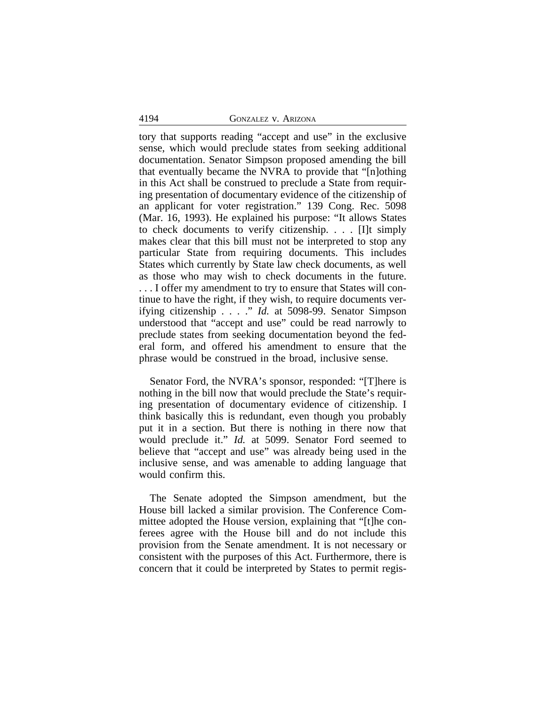# 4194 GONZALEZ v. ARIZONA

tory that supports reading "accept and use" in the exclusive sense, which would preclude states from seeking additional documentation. Senator Simpson proposed amending the bill that eventually became the NVRA to provide that "[n]othing in this Act shall be construed to preclude a State from requiring presentation of documentary evidence of the citizenship of an applicant for voter registration." 139 Cong. Rec. 5098 (Mar. 16, 1993). He explained his purpose: "It allows States to check documents to verify citizenship. . . . [I]t simply makes clear that this bill must not be interpreted to stop any particular State from requiring documents. This includes States which currently by State law check documents, as well as those who may wish to check documents in the future. . . . I offer my amendment to try to ensure that States will continue to have the right, if they wish, to require documents verifying citizenship . . . ." *Id.* at 5098-99. Senator Simpson understood that "accept and use" could be read narrowly to preclude states from seeking documentation beyond the federal form, and offered his amendment to ensure that the phrase would be construed in the broad, inclusive sense.

Senator Ford, the NVRA's sponsor, responded: "[T]here is nothing in the bill now that would preclude the State's requiring presentation of documentary evidence of citizenship. I think basically this is redundant, even though you probably put it in a section. But there is nothing in there now that would preclude it." *Id.* at 5099. Senator Ford seemed to believe that "accept and use" was already being used in the inclusive sense, and was amenable to adding language that would confirm this.

The Senate adopted the Simpson amendment, but the House bill lacked a similar provision. The Conference Committee adopted the House version, explaining that "[t]he conferees agree with the House bill and do not include this provision from the Senate amendment. It is not necessary or consistent with the purposes of this Act. Furthermore, there is concern that it could be interpreted by States to permit regis-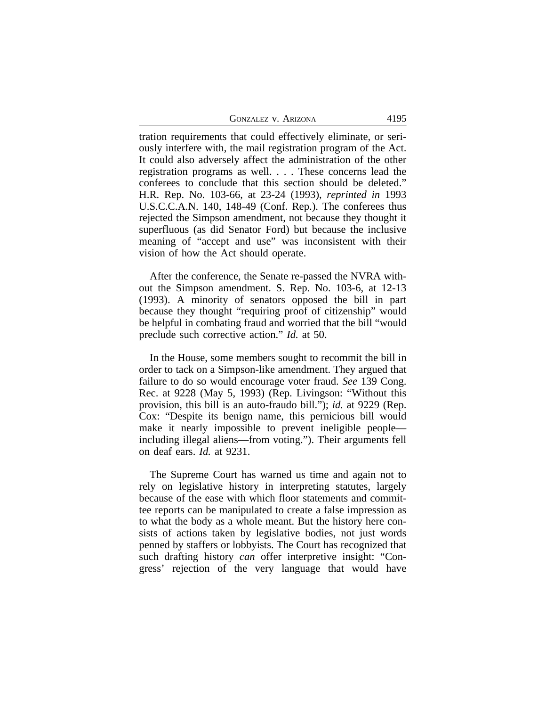GONZALEZ V. ARIZONA 4195

tration requirements that could effectively eliminate, or seriously interfere with, the mail registration program of the Act. It could also adversely affect the administration of the other registration programs as well. . . . These concerns lead the conferees to conclude that this section should be deleted." H.R. Rep. No. 103-66, at 23-24 (1993), *reprinted in* 1993 U.S.C.C.A.N. 140, 148-49 (Conf. Rep.). The conferees thus rejected the Simpson amendment, not because they thought it superfluous (as did Senator Ford) but because the inclusive meaning of "accept and use" was inconsistent with their vision of how the Act should operate.

After the conference, the Senate re-passed the NVRA without the Simpson amendment. S. Rep. No. 103-6, at 12-13 (1993). A minority of senators opposed the bill in part because they thought "requiring proof of citizenship" would be helpful in combating fraud and worried that the bill "would preclude such corrective action." *Id.* at 50.

In the House, some members sought to recommit the bill in order to tack on a Simpson-like amendment. They argued that failure to do so would encourage voter fraud. *See* 139 Cong. Rec. at 9228 (May 5, 1993) (Rep. Livingson: "Without this provision, this bill is an auto-fraudo bill."); *id.* at 9229 (Rep. Cox: "Despite its benign name, this pernicious bill would make it nearly impossible to prevent ineligible people including illegal aliens—from voting."). Their arguments fell on deaf ears. *Id.* at 9231.

The Supreme Court has warned us time and again not to rely on legislative history in interpreting statutes, largely because of the ease with which floor statements and committee reports can be manipulated to create a false impression as to what the body as a whole meant. But the history here consists of actions taken by legislative bodies, not just words penned by staffers or lobbyists. The Court has recognized that such drafting history *can* offer interpretive insight: "Congress' rejection of the very language that would have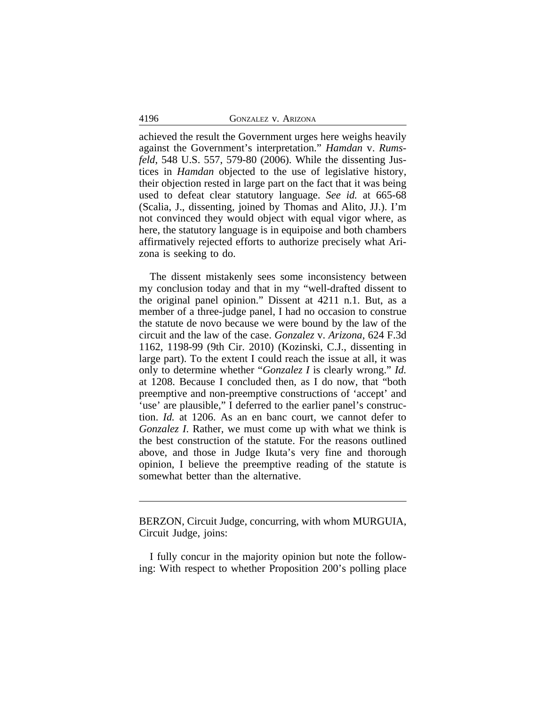achieved the result the Government urges here weighs heavily against the Government's interpretation." *Hamdan* v. *Rumsfeld*, 548 U.S. 557, 579-80 (2006). While the dissenting Justices in *Hamdan* objected to the use of legislative history, their objection rested in large part on the fact that it was being used to defeat clear statutory language. *See id.* at 665-68 (Scalia, J., dissenting, joined by Thomas and Alito, JJ.). I'm not convinced they would object with equal vigor where, as here, the statutory language is in equipoise and both chambers affirmatively rejected efforts to authorize precisely what Arizona is seeking to do.

The dissent mistakenly sees some inconsistency between my conclusion today and that in my "well-drafted dissent to the original panel opinion." Dissent at 4211 n.1. But, as a member of a three-judge panel, I had no occasion to construe the statute de novo because we were bound by the law of the circuit and the law of the case. *Gonzalez* v. *Arizona*, 624 F.3d 1162, 1198-99 (9th Cir. 2010) (Kozinski, C.J., dissenting in large part). To the extent I could reach the issue at all, it was only to determine whether "*Gonzalez I* is clearly wrong." *Id.* at 1208. Because I concluded then, as I do now, that "both preemptive and non-preemptive constructions of 'accept' and 'use' are plausible," I deferred to the earlier panel's construction. *Id.* at 1206. As an en banc court, we cannot defer to *Gonzalez I*. Rather, we must come up with what we think is the best construction of the statute. For the reasons outlined above, and those in Judge Ikuta's very fine and thorough opinion, I believe the preemptive reading of the statute is somewhat better than the alternative.

BERZON, Circuit Judge, concurring, with whom MURGUIA, Circuit Judge, joins:

I fully concur in the majority opinion but note the following: With respect to whether Proposition 200's polling place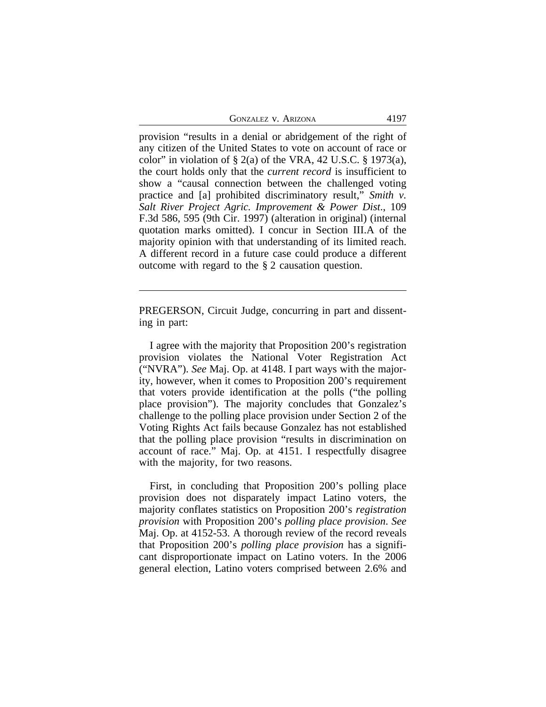GONZALEZ V. ARIZONA 4197

provision "results in a denial or abridgement of the right of any citizen of the United States to vote on account of race or color" in violation of  $\S 2(a)$  of the VRA, 42 U.S.C.  $\S 1973(a)$ , the court holds only that the *current record* is insufficient to show a "causal connection between the challenged voting practice and [a] prohibited discriminatory result," *Smith v. Salt River Project Agric. Improvement & Power Dist*., 109 F.3d 586, 595 (9th Cir. 1997) (alteration in original) (internal quotation marks omitted). I concur in Section III.A of the majority opinion with that understanding of its limited reach. A different record in a future case could produce a different outcome with regard to the § 2 causation question.

PREGERSON, Circuit Judge, concurring in part and dissenting in part:

I agree with the majority that Proposition 200's registration provision violates the National Voter Registration Act ("NVRA"). *See* Maj. Op. at 4148. I part ways with the majority, however, when it comes to Proposition 200's requirement that voters provide identification at the polls ("the polling place provision"). The majority concludes that Gonzalez's challenge to the polling place provision under Section 2 of the Voting Rights Act fails because Gonzalez has not established that the polling place provision "results in discrimination on account of race." Maj. Op. at 4151. I respectfully disagree with the majority, for two reasons.

First, in concluding that Proposition 200's polling place provision does not disparately impact Latino voters, the majority conflates statistics on Proposition 200's *registration provision* with Proposition 200's *polling place provision*. *See* Maj. Op. at 4152-53. A thorough review of the record reveals that Proposition 200's *polling place provision* has a significant disproportionate impact on Latino voters. In the 2006 general election, Latino voters comprised between 2.6% and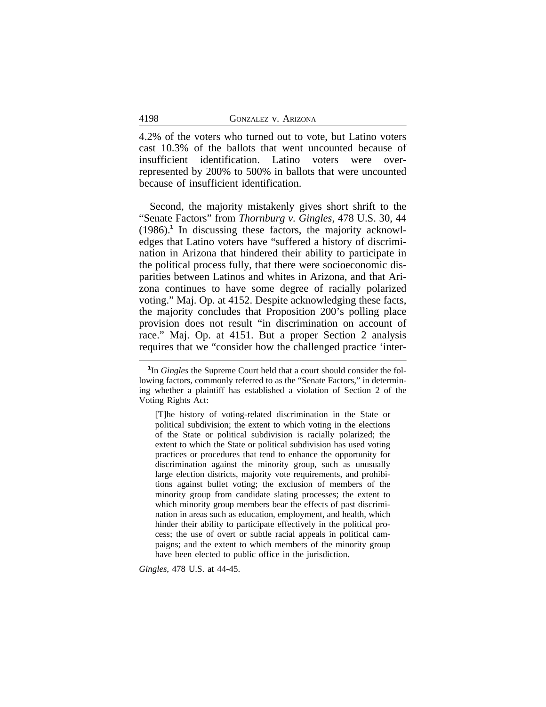4.2% of the voters who turned out to vote, but Latino voters cast 10.3% of the ballots that went uncounted because of insufficient identification. Latino voters were overrepresented by 200% to 500% in ballots that were uncounted because of insufficient identification.

Second, the majority mistakenly gives short shrift to the "Senate Factors" from *Thornburg v. Gingles*, 478 U.S. 30, 44 (1986).**<sup>1</sup>** In discussing these factors, the majority acknowledges that Latino voters have "suffered a history of discrimination in Arizona that hindered their ability to participate in the political process fully, that there were socioeconomic disparities between Latinos and whites in Arizona, and that Arizona continues to have some degree of racially polarized voting." Maj. Op. at 4152. Despite acknowledging these facts, the majority concludes that Proposition 200's polling place provision does not result "in discrimination on account of race." Maj. Op. at 4151. But a proper Section 2 analysis requires that we "consider how the challenged practice 'inter-

*Gingles*, 478 U.S. at 44-45.

**<sup>1</sup>** In *Gingles* the Supreme Court held that a court should consider the following factors, commonly referred to as the "Senate Factors," in determining whether a plaintiff has established a violation of Section 2 of the Voting Rights Act:

<sup>[</sup>T]he history of voting-related discrimination in the State or political subdivision; the extent to which voting in the elections of the State or political subdivision is racially polarized; the extent to which the State or political subdivision has used voting practices or procedures that tend to enhance the opportunity for discrimination against the minority group, such as unusually large election districts, majority vote requirements, and prohibitions against bullet voting; the exclusion of members of the minority group from candidate slating processes; the extent to which minority group members bear the effects of past discrimination in areas such as education, employment, and health, which hinder their ability to participate effectively in the political process; the use of overt or subtle racial appeals in political campaigns; and the extent to which members of the minority group have been elected to public office in the jurisdiction.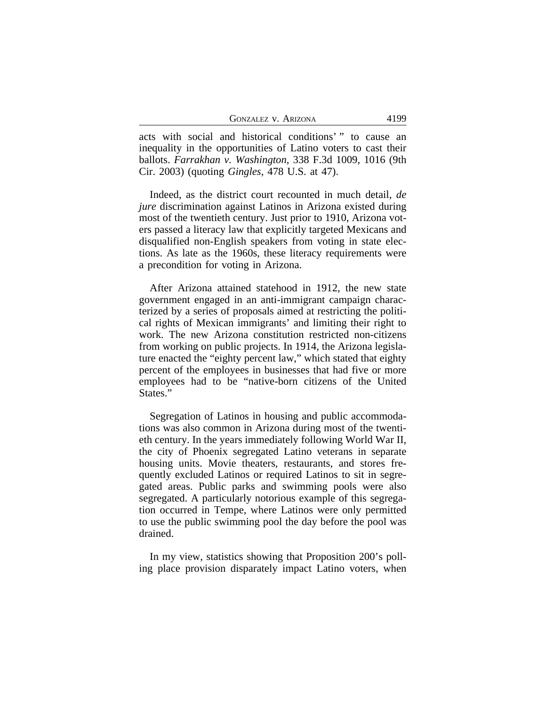| <b>GONZALEZ V. ARIZONA</b><br>4199 |
|------------------------------------|
|------------------------------------|

acts with social and historical conditions' " to cause an inequality in the opportunities of Latino voters to cast their ballots. *Farrakhan v. Washington*, 338 F.3d 1009, 1016 (9th Cir. 2003) (quoting *Gingles*, 478 U.S. at 47).

Indeed, as the district court recounted in much detail, *de jure* discrimination against Latinos in Arizona existed during most of the twentieth century. Just prior to 1910, Arizona voters passed a literacy law that explicitly targeted Mexicans and disqualified non-English speakers from voting in state elections. As late as the 1960s, these literacy requirements were a precondition for voting in Arizona.

After Arizona attained statehood in 1912, the new state government engaged in an anti-immigrant campaign characterized by a series of proposals aimed at restricting the political rights of Mexican immigrants' and limiting their right to work. The new Arizona constitution restricted non-citizens from working on public projects. In 1914, the Arizona legislature enacted the "eighty percent law," which stated that eighty percent of the employees in businesses that had five or more employees had to be "native-born citizens of the United States."

Segregation of Latinos in housing and public accommodations was also common in Arizona during most of the twentieth century. In the years immediately following World War II, the city of Phoenix segregated Latino veterans in separate housing units. Movie theaters, restaurants, and stores frequently excluded Latinos or required Latinos to sit in segregated areas. Public parks and swimming pools were also segregated. A particularly notorious example of this segregation occurred in Tempe, where Latinos were only permitted to use the public swimming pool the day before the pool was drained.

In my view, statistics showing that Proposition 200's polling place provision disparately impact Latino voters, when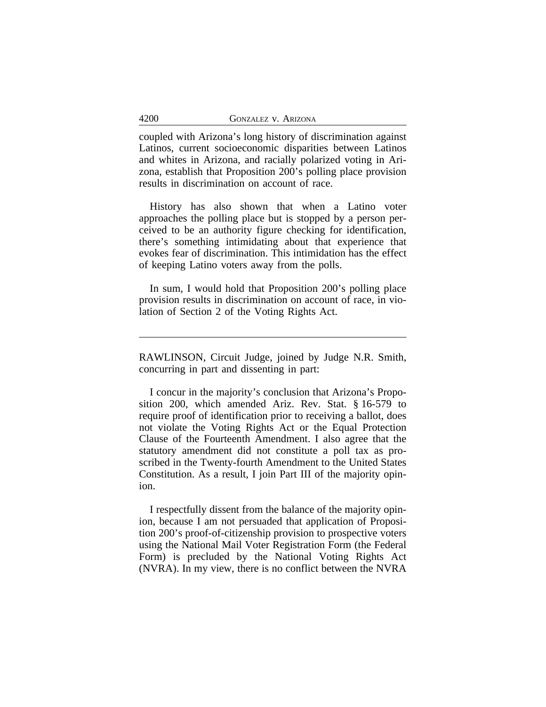coupled with Arizona's long history of discrimination against Latinos, current socioeconomic disparities between Latinos and whites in Arizona, and racially polarized voting in Arizona, establish that Proposition 200's polling place provision results in discrimination on account of race.

History has also shown that when a Latino voter approaches the polling place but is stopped by a person perceived to be an authority figure checking for identification, there's something intimidating about that experience that evokes fear of discrimination. This intimidation has the effect of keeping Latino voters away from the polls.

In sum, I would hold that Proposition 200's polling place provision results in discrimination on account of race, in violation of Section 2 of the Voting Rights Act.

I concur in the majority's conclusion that Arizona's Proposition 200, which amended Ariz. Rev. Stat. § 16-579 to require proof of identification prior to receiving a ballot, does not violate the Voting Rights Act or the Equal Protection Clause of the Fourteenth Amendment. I also agree that the statutory amendment did not constitute a poll tax as proscribed in the Twenty-fourth Amendment to the United States Constitution. As a result, I join Part III of the majority opinion.

I respectfully dissent from the balance of the majority opinion, because I am not persuaded that application of Proposition 200's proof-of-citizenship provision to prospective voters using the National Mail Voter Registration Form (the Federal Form) is precluded by the National Voting Rights Act (NVRA). In my view, there is no conflict between the NVRA

RAWLINSON, Circuit Judge, joined by Judge N.R. Smith, concurring in part and dissenting in part: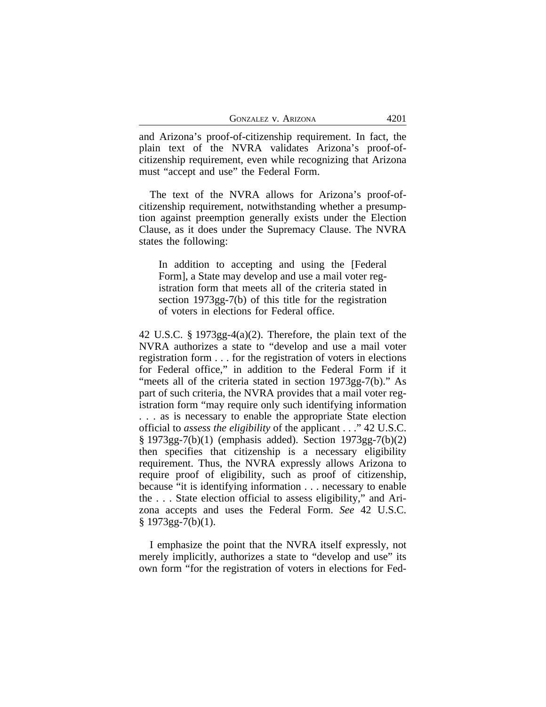| <b>GONZALEZ V. ARIZONA</b> | 4201 |
|----------------------------|------|
|----------------------------|------|

and Arizona's proof-of-citizenship requirement. In fact, the plain text of the NVRA validates Arizona's proof-ofcitizenship requirement, even while recognizing that Arizona must "accept and use" the Federal Form.

The text of the NVRA allows for Arizona's proof-ofcitizenship requirement, notwithstanding whether a presumption against preemption generally exists under the Election Clause, as it does under the Supremacy Clause. The NVRA states the following:

In addition to accepting and using the [Federal Form], a State may develop and use a mail voter registration form that meets all of the criteria stated in section 1973gg-7(b) of this title for the registration of voters in elections for Federal office.

42 U.S.C. § 1973gg-4(a)(2). Therefore, the plain text of the NVRA authorizes a state to "develop and use a mail voter registration form . . . for the registration of voters in elections for Federal office," in addition to the Federal Form if it "meets all of the criteria stated in section 1973gg-7(b)." As part of such criteria, the NVRA provides that a mail voter registration form "may require only such identifying information . . . as is necessary to enable the appropriate State election official to *assess the eligibility* of the applicant . . ." 42 U.S.C. § 1973gg-7(b)(1) (emphasis added). Section 1973gg-7(b)(2) then specifies that citizenship is a necessary eligibility requirement. Thus, the NVRA expressly allows Arizona to require proof of eligibility, such as proof of citizenship, because "it is identifying information . . . necessary to enable the . . . State election official to assess eligibility," and Arizona accepts and uses the Federal Form. *See* 42 U.S.C.  $§$  1973gg-7(b)(1).

I emphasize the point that the NVRA itself expressly, not merely implicitly, authorizes a state to "develop and use" its own form "for the registration of voters in elections for Fed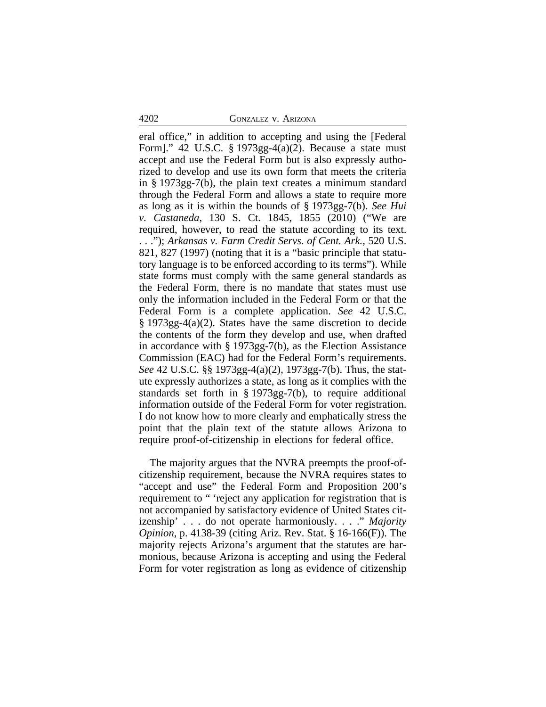eral office," in addition to accepting and using the [Federal Form]." 42 U.S.C. § 1973gg-4(a)(2). Because a state must accept and use the Federal Form but is also expressly authorized to develop and use its own form that meets the criteria in § 1973gg-7(b), the plain text creates a minimum standard through the Federal Form and allows a state to require more as long as it is within the bounds of § 1973gg-7(b). *See Hui v. Castaneda*, 130 S. Ct. 1845, 1855 (2010) ("We are required, however, to read the statute according to its text. . . ."); *Arkansas v. Farm Credit Servs. of Cent. Ark.,* 520 U.S. 821, 827 (1997) (noting that it is a "basic principle that statutory language is to be enforced according to its terms"). While state forms must comply with the same general standards as the Federal Form, there is no mandate that states must use only the information included in the Federal Form or that the Federal Form is a complete application. *See* 42 U.S.C. § 1973gg-4(a)(2). States have the same discretion to decide the contents of the form they develop and use, when drafted in accordance with § 1973gg-7(b), as the Election Assistance Commission (EAC) had for the Federal Form's requirements. *See* 42 U.S.C. §§ 1973gg-4(a)(2), 1973gg-7(b). Thus, the statute expressly authorizes a state, as long as it complies with the standards set forth in § 1973gg-7(b), to require additional information outside of the Federal Form for voter registration. I do not know how to more clearly and emphatically stress the point that the plain text of the statute allows Arizona to require proof-of-citizenship in elections for federal office.

The majority argues that the NVRA preempts the proof-ofcitizenship requirement, because the NVRA requires states to "accept and use" the Federal Form and Proposition 200's requirement to " 'reject any application for registration that is not accompanied by satisfactory evidence of United States citizenship' . . . do not operate harmoniously. . . ." *Majority Opinion*, p. 4138-39 (citing Ariz. Rev. Stat. § 16-166(F)). The majority rejects Arizona's argument that the statutes are harmonious, because Arizona is accepting and using the Federal Form for voter registration as long as evidence of citizenship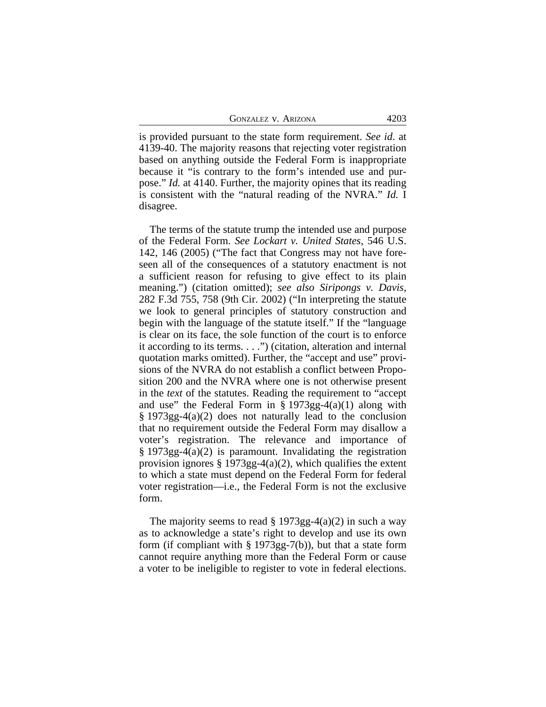GONZALEZ V. ARIZONA 4203

is provided pursuant to the state form requirement. *See id*. at 4139-40. The majority reasons that rejecting voter registration based on anything outside the Federal Form is inappropriate because it "is contrary to the form's intended use and purpose." *Id.* at 4140. Further, the majority opines that its reading is consistent with the "natural reading of the NVRA." *Id.* I disagree.

The terms of the statute trump the intended use and purpose of the Federal Form. *See Lockart v. United States*, 546 U.S. 142, 146 (2005) ("The fact that Congress may not have foreseen all of the consequences of a statutory enactment is not a sufficient reason for refusing to give effect to its plain meaning.") (citation omitted); *see also Siripongs v. Davis,* 282 F.3d 755, 758 (9th Cir. 2002) ("In interpreting the statute we look to general principles of statutory construction and begin with the language of the statute itself." If the "language is clear on its face, the sole function of the court is to enforce it according to its terms. . . .") (citation, alteration and internal quotation marks omitted). Further, the "accept and use" provisions of the NVRA do not establish a conflict between Proposition 200 and the NVRA where one is not otherwise present in the *text* of the statutes. Reading the requirement to "accept and use" the Federal Form in  $\S 1973gg-4(a)(1)$  along with § 1973gg-4(a)(2) does not naturally lead to the conclusion that no requirement outside the Federal Form may disallow a voter's registration. The relevance and importance of § 1973gg-4(a)(2) is paramount. Invalidating the registration provision ignores  $\S 1973gg-4(a)(2)$ , which qualifies the extent to which a state must depend on the Federal Form for federal voter registration—i.e., the Federal Form is not the exclusive form.

The majority seems to read  $\S 1973gg-4(a)(2)$  in such a way as to acknowledge a state's right to develop and use its own form (if compliant with  $\S 1973gg-7(b)$ ), but that a state form cannot require anything more than the Federal Form or cause a voter to be ineligible to register to vote in federal elections.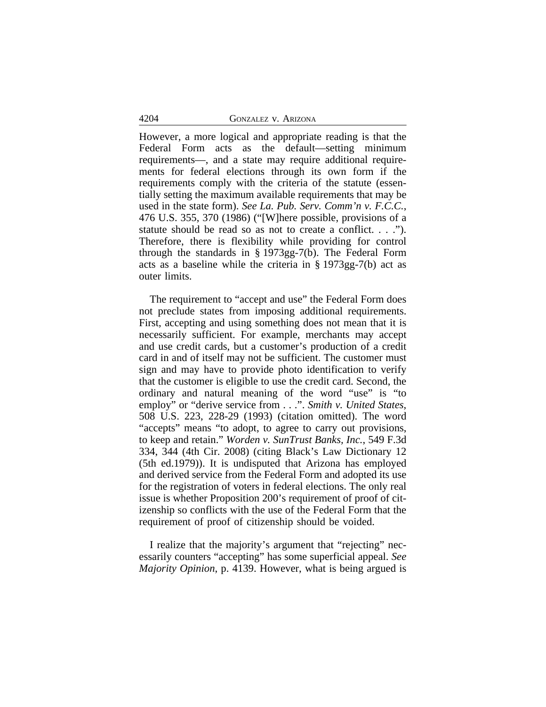However, a more logical and appropriate reading is that the Federal Form acts as the default—setting minimum requirements—, and a state may require additional requirements for federal elections through its own form if the requirements comply with the criteria of the statute (essentially setting the maximum available requirements that may be used in the state form). *See La. Pub. Serv. Comm'n v. F.C.C.*, 476 U.S. 355, 370 (1986) ("[W]here possible, provisions of a statute should be read so as not to create a conflict. . . ."). Therefore, there is flexibility while providing for control through the standards in § 1973gg-7(b). The Federal Form acts as a baseline while the criteria in § 1973gg-7(b) act as outer limits.

The requirement to "accept and use" the Federal Form does not preclude states from imposing additional requirements. First, accepting and using something does not mean that it is necessarily sufficient. For example, merchants may accept and use credit cards, but a customer's production of a credit card in and of itself may not be sufficient. The customer must sign and may have to provide photo identification to verify that the customer is eligible to use the credit card. Second, the ordinary and natural meaning of the word "use" is "to employ" or "derive service from . . .". *Smith v. United States*, 508 U.S. 223, 228-29 (1993) (citation omitted). The word "accepts" means "to adopt, to agree to carry out provisions, to keep and retain." *Worden v. SunTrust Banks, Inc.*, 549 F.3d 334, 344 (4th Cir. 2008) (citing Black's Law Dictionary 12 (5th ed.1979)). It is undisputed that Arizona has employed and derived service from the Federal Form and adopted its use for the registration of voters in federal elections. The only real issue is whether Proposition 200's requirement of proof of citizenship so conflicts with the use of the Federal Form that the requirement of proof of citizenship should be voided.

I realize that the majority's argument that "rejecting" necessarily counters "accepting" has some superficial appeal. *See Majority Opinion*, p. 4139. However, what is being argued is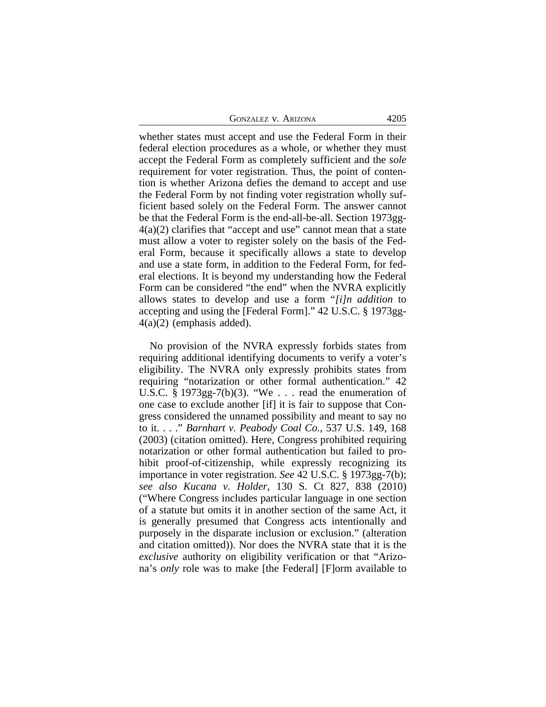| <b>GONZALEZ V. ARIZONA</b> | 4205 |
|----------------------------|------|
|----------------------------|------|

whether states must accept and use the Federal Form in their federal election procedures as a whole, or whether they must accept the Federal Form as completely sufficient and the *sole* requirement for voter registration. Thus, the point of contention is whether Arizona defies the demand to accept and use the Federal Form by not finding voter registration wholly sufficient based solely on the Federal Form. The answer cannot be that the Federal Form is the end-all-be-all. Section 1973gg- $4(a)(2)$  clarifies that "accept and use" cannot mean that a state must allow a voter to register solely on the basis of the Federal Form, because it specifically allows a state to develop and use a state form, in addition to the Federal Form, for federal elections. It is beyond my understanding how the Federal Form can be considered "the end" when the NVRA explicitly allows states to develop and use a form "*[i]n addition* to accepting and using the [Federal Form]." 42 U.S.C. § 1973gg-4(a)(2) (emphasis added).

No provision of the NVRA expressly forbids states from requiring additional identifying documents to verify a voter's eligibility. The NVRA only expressly prohibits states from requiring "notarization or other formal authentication." 42 U.S.C. § 1973gg-7(b)(3). "We . . . read the enumeration of one case to exclude another [if] it is fair to suppose that Congress considered the unnamed possibility and meant to say no to it. . . ." *Barnhart v. Peabody Coal Co.*, 537 U.S. 149, 168 (2003) (citation omitted). Here, Congress prohibited requiring notarization or other formal authentication but failed to prohibit proof-of-citizenship, while expressly recognizing its importance in voter registration. *See* 42 U.S.C. § 1973gg-7(b); *see also Kucana v. Holder*, 130 S. Ct 827, 838 (2010) ("Where Congress includes particular language in one section of a statute but omits it in another section of the same Act, it is generally presumed that Congress acts intentionally and purposely in the disparate inclusion or exclusion." (alteration and citation omitted)). Nor does the NVRA state that it is the *exclusive* authority on eligibility verification or that "Arizona's *only* role was to make [the Federal] [F]orm available to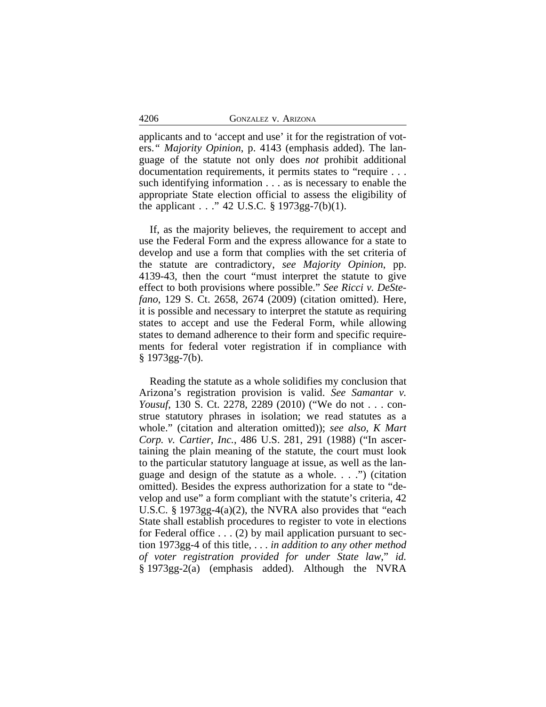applicants and to 'accept and use' it for the registration of voters.*" Majority Opinion*, p. 4143 (emphasis added). The language of the statute not only does *not* prohibit additional documentation requirements, it permits states to "require . . . such identifying information . . . as is necessary to enable the appropriate State election official to assess the eligibility of the applicant . . ." 42 U.S.C. § 1973gg-7(b)(1).

If, as the majority believes, the requirement to accept and use the Federal Form and the express allowance for a state to develop and use a form that complies with the set criteria of the statute are contradictory, *see Majority Opinion*, pp. 4139-43, then the court "must interpret the statute to give effect to both provisions where possible." *See Ricci v. DeStefano*, 129 S. Ct. 2658, 2674 (2009) (citation omitted). Here, it is possible and necessary to interpret the statute as requiring states to accept and use the Federal Form, while allowing states to demand adherence to their form and specific requirements for federal voter registration if in compliance with  $§ 1973gg-7(b).$ 

Reading the statute as a whole solidifies my conclusion that Arizona's registration provision is valid. *See Samantar v. Yousuf*, 130 S. Ct. 2278, 2289 (2010) ("We do not . . . construe statutory phrases in isolation; we read statutes as a whole." (citation and alteration omitted)); *see also, K Mart Corp. v. Cartier, Inc.*, 486 U.S. 281, 291 (1988) ("In ascertaining the plain meaning of the statute, the court must look to the particular statutory language at issue, as well as the language and design of the statute as a whole. . . .") (citation omitted). Besides the express authorization for a state to "develop and use" a form compliant with the statute's criteria, 42 U.S.C. § 1973gg-4(a)(2), the NVRA also provides that "each State shall establish procedures to register to vote in elections for Federal office  $\dots$  (2) by mail application pursuant to section 1973gg-4 of this title, . . . *in addition to any other method of voter registration provided for under State law*," *id.* § 1973gg-2(a) (emphasis added). Although the NVRA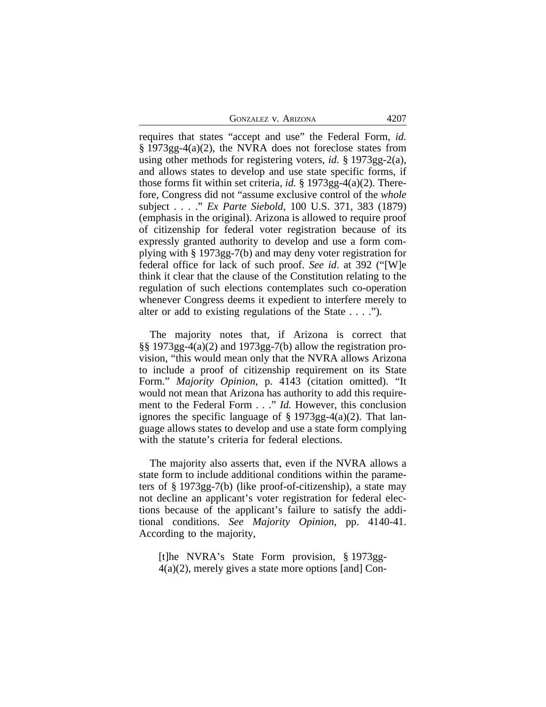GONZALEZ V. ARIZONA 4207

requires that states "accept and use" the Federal Form, *id.*  $\S 1973gg-4(a)(2)$ , the NVRA does not foreclose states from using other methods for registering voters, *id.* § 1973gg-2(a), and allows states to develop and use state specific forms, if those forms fit within set criteria, *id.* § 1973gg-4(a)(2). Therefore, Congress did not "assume exclusive control of the *whole* subject . . . ." *Ex Parte Siebold*, 100 U.S. 371, 383 (1879) (emphasis in the original). Arizona is allowed to require proof of citizenship for federal voter registration because of its expressly granted authority to develop and use a form complying with § 1973gg-7(b) and may deny voter registration for federal office for lack of such proof. *See id*. at 392 ("[W]e think it clear that the clause of the Constitution relating to the regulation of such elections contemplates such co-operation whenever Congress deems it expedient to interfere merely to alter or add to existing regulations of the State . . . .").

The majority notes that, if Arizona is correct that §§ 1973gg-4(a)(2) and 1973gg-7(b) allow the registration provision, "this would mean only that the NVRA allows Arizona to include a proof of citizenship requirement on its State Form." *Majority Opinion*, p. 4143 (citation omitted). "It would not mean that Arizona has authority to add this requirement to the Federal Form . . ." *Id.* However, this conclusion ignores the specific language of  $\S 1973gg-4(a)(2)$ . That language allows states to develop and use a state form complying with the statute's criteria for federal elections.

The majority also asserts that, even if the NVRA allows a state form to include additional conditions within the parameters of § 1973gg-7(b) (like proof-of-citizenship), a state may not decline an applicant's voter registration for federal elections because of the applicant's failure to satisfy the additional conditions. *See Majority Opinion*, pp. 4140-41. According to the majority,

[t]he NVRA's State Form provision, § 1973gg-4(a)(2), merely gives a state more options [and] Con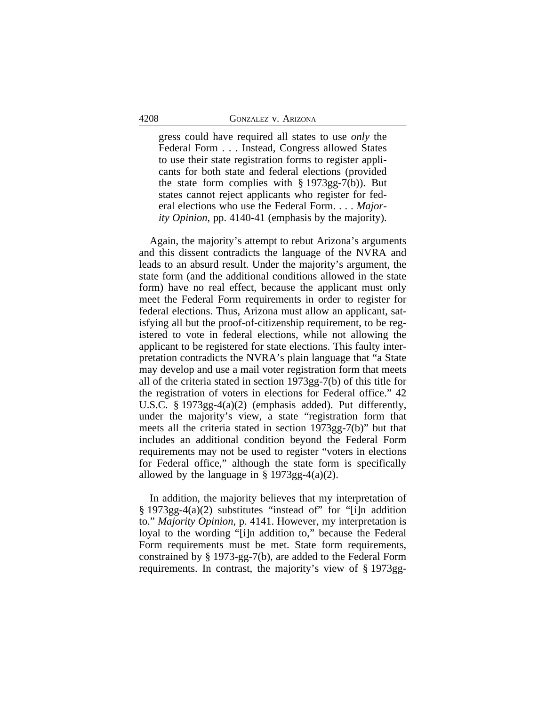gress could have required all states to use *only* the Federal Form . . . Instead, Congress allowed States to use their state registration forms to register applicants for both state and federal elections (provided the state form complies with  $\S 1973gg-7(b)$ . But states cannot reject applicants who register for federal elections who use the Federal Form. . . . *Majority Opinion*, pp. 4140-41 (emphasis by the majority).

Again, the majority's attempt to rebut Arizona's arguments and this dissent contradicts the language of the NVRA and leads to an absurd result. Under the majority's argument, the state form (and the additional conditions allowed in the state form) have no real effect, because the applicant must only meet the Federal Form requirements in order to register for federal elections. Thus, Arizona must allow an applicant, satisfying all but the proof-of-citizenship requirement, to be registered to vote in federal elections, while not allowing the applicant to be registered for state elections. This faulty interpretation contradicts the NVRA's plain language that "a State may develop and use a mail voter registration form that meets all of the criteria stated in section 1973gg-7(b) of this title for the registration of voters in elections for Federal office." 42 U.S.C. § 1973gg-4(a)(2) (emphasis added). Put differently, under the majority's view, a state "registration form that meets all the criteria stated in section 1973gg-7(b)" but that includes an additional condition beyond the Federal Form requirements may not be used to register "voters in elections for Federal office," although the state form is specifically allowed by the language in  $\S 1973gg-4(a)(2)$ .

In addition, the majority believes that my interpretation of  $§$  1973gg-4(a)(2) substitutes "instead of" for "[i]n addition to." *Majority Opinion*, p. 4141. However, my interpretation is loyal to the wording "[i]n addition to," because the Federal Form requirements must be met. State form requirements, constrained by § 1973-gg-7(b), are added to the Federal Form requirements. In contrast, the majority's view of § 1973gg-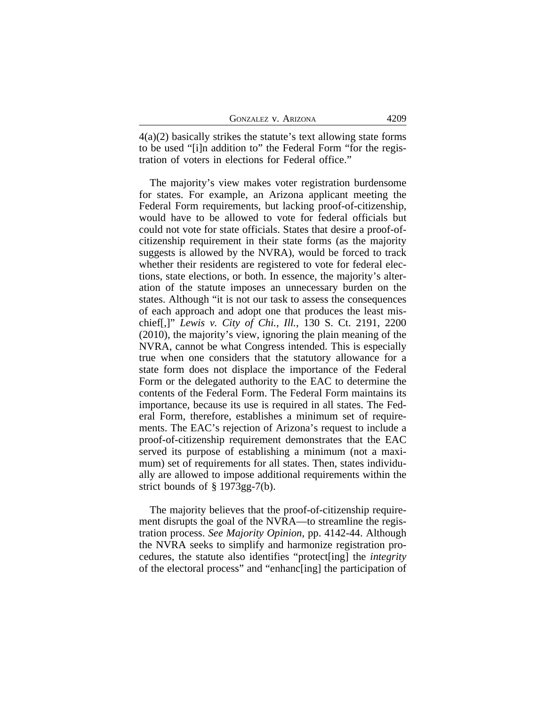| <b>GONZALEZ V. ARIZONA</b> | 4209 |
|----------------------------|------|
|----------------------------|------|

4(a)(2) basically strikes the statute's text allowing state forms to be used "[i]n addition to" the Federal Form "for the registration of voters in elections for Federal office."

The majority's view makes voter registration burdensome for states. For example, an Arizona applicant meeting the Federal Form requirements, but lacking proof-of-citizenship, would have to be allowed to vote for federal officials but could not vote for state officials. States that desire a proof-ofcitizenship requirement in their state forms (as the majority suggests is allowed by the NVRA), would be forced to track whether their residents are registered to vote for federal elections, state elections, or both. In essence, the majority's alteration of the statute imposes an unnecessary burden on the states. Although "it is not our task to assess the consequences of each approach and adopt one that produces the least mischief[,]" *Lewis v. City of Chi., Ill.*, 130 S. Ct. 2191, 2200 (2010), the majority's view, ignoring the plain meaning of the NVRA, cannot be what Congress intended. This is especially true when one considers that the statutory allowance for a state form does not displace the importance of the Federal Form or the delegated authority to the EAC to determine the contents of the Federal Form. The Federal Form maintains its importance, because its use is required in all states. The Federal Form, therefore, establishes a minimum set of requirements. The EAC's rejection of Arizona's request to include a proof-of-citizenship requirement demonstrates that the EAC served its purpose of establishing a minimum (not a maximum) set of requirements for all states. Then, states individually are allowed to impose additional requirements within the strict bounds of § 1973gg-7(b).

The majority believes that the proof-of-citizenship requirement disrupts the goal of the NVRA—to streamline the registration process. *See Majority Opinion*, pp. 4142-44. Although the NVRA seeks to simplify and harmonize registration procedures, the statute also identifies "protect[ing] the *integrity* of the electoral process" and "enhanc[ing] the participation of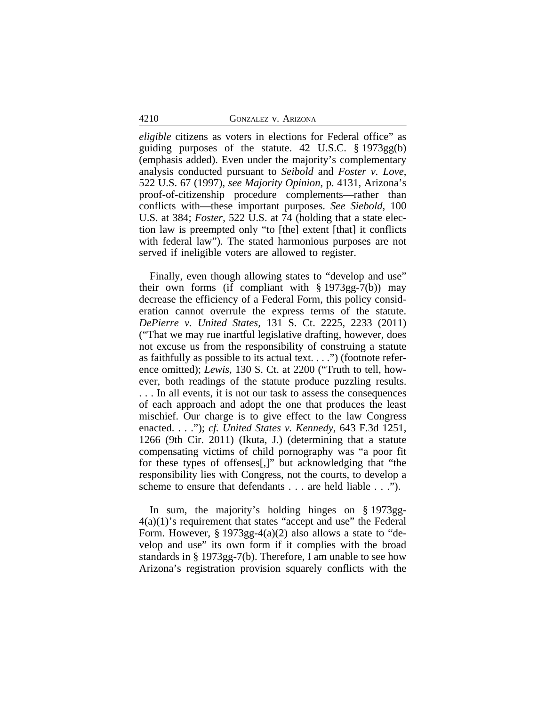*eligible* citizens as voters in elections for Federal office" as guiding purposes of the statute. 42 U.S.C. § 1973gg(b) (emphasis added). Even under the majority's complementary analysis conducted pursuant to *Seibold* and *Foster v. Love*, 522 U.S. 67 (1997), *see Majority Opinion*, p. 4131, Arizona's proof-of-citizenship procedure complements—rather than conflicts with—these important purposes. *See Siebold*, 100 U.S. at 384; *Foster*, 522 U.S. at 74 (holding that a state election law is preempted only "to [the] extent [that] it conflicts with federal law"). The stated harmonious purposes are not served if ineligible voters are allowed to register.

Finally, even though allowing states to "develop and use" their own forms (if compliant with  $\S 1973gg-7(b)$ ) may decrease the efficiency of a Federal Form, this policy consideration cannot overrule the express terms of the statute. *DePierre v. United States,* 131 S. Ct. 2225, 2233 (2011) ("That we may rue inartful legislative drafting, however, does not excuse us from the responsibility of construing a statute as faithfully as possible to its actual text. . . .") (footnote reference omitted); *Lewis*, 130 S. Ct. at 2200 ("Truth to tell, however, both readings of the statute produce puzzling results. . . . In all events, it is not our task to assess the consequences of each approach and adopt the one that produces the least mischief. Our charge is to give effect to the law Congress enacted. . . ."); *cf. United States v. Kennedy*, 643 F.3d 1251, 1266 (9th Cir. 2011) (Ikuta, J.) (determining that a statute compensating victims of child pornography was "a poor fit for these types of offenses[,]" but acknowledging that "the responsibility lies with Congress, not the courts, to develop a scheme to ensure that defendants . . . are held liable . . .").

In sum, the majority's holding hinges on § 1973gg- $4(a)(1)$ 's requirement that states "accept and use" the Federal Form. However,  $\S 1973gg-4(a)(2)$  also allows a state to "develop and use" its own form if it complies with the broad standards in § 1973gg-7(b). Therefore, I am unable to see how Arizona's registration provision squarely conflicts with the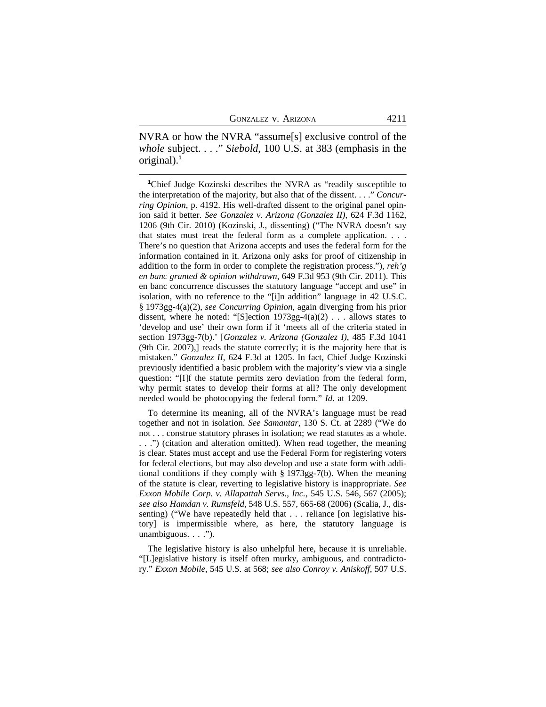NVRA or how the NVRA "assume[s] exclusive control of the *whole* subject. . . ." *Siebold*, 100 U.S. at 383 (emphasis in the original).**<sup>1</sup>**

**<sup>1</sup>**Chief Judge Kozinski describes the NVRA as "readily susceptible to the interpretation of the majority, but also that of the dissent. . . ." *Concurring Opinion*, p. 4192. His well-drafted dissent to the original panel opinion said it better. *See Gonzalez v. Arizona (Gonzalez II)*, 624 F.3d 1162, 1206 (9th Cir. 2010) (Kozinski, J., dissenting) ("The NVRA doesn't say that states must treat the federal form as a complete application. . . . There's no question that Arizona accepts and uses the federal form for the information contained in it. Arizona only asks for proof of citizenship in addition to the form in order to complete the registration process."), *reh'g en banc granted & opinion withdrawn*, 649 F.3d 953 (9th Cir. 2011). This en banc concurrence discusses the statutory language "accept and use" in isolation, with no reference to the "[i]n addition" language in 42 U.S.C. § 1973gg-4(a)(2), *see Concurring Opinion*, again diverging from his prior dissent, where he noted: "[S]ection  $1973gg-4(a)(2)$ ... allows states to 'develop and use' their own form if it 'meets all of the criteria stated in section 1973gg-7(b).' [*Gonzalez v. Arizona (Gonzalez I)*, 485 F.3d 1041 (9th Cir. 2007),] reads the statute correctly; it is the majority here that is mistaken." *Gonzalez II*, 624 F.3d at 1205. In fact, Chief Judge Kozinski previously identified a basic problem with the majority's view via a single question: "[I]f the statute permits zero deviation from the federal form, why permit states to develop their forms at all? The only development needed would be photocopying the federal form." *Id*. at 1209.

To determine its meaning, all of the NVRA's language must be read together and not in isolation. *See Samantar*, 130 S. Ct. at 2289 ("We do not . . . construe statutory phrases in isolation; we read statutes as a whole. . . .") (citation and alteration omitted). When read together, the meaning is clear. States must accept and use the Federal Form for registering voters for federal elections, but may also develop and use a state form with additional conditions if they comply with § 1973gg-7(b). When the meaning of the statute is clear, reverting to legislative history is inappropriate. *See Exxon Mobile Corp. v. Allapattah Servs., Inc.*, 545 U.S. 546, 567 (2005); *see also Hamdan v. Rumsfeld*, 548 U.S. 557, 665-68 (2006) (Scalia, J., dissenting) ("We have repeatedly held that . . . reliance [on legislative history] is impermissible where, as here, the statutory language is unambiguous. . . .").

The legislative history is also unhelpful here, because it is unreliable. "[L]egislative history is itself often murky, ambiguous, and contradictory." *Exxon Mobile*, 545 U.S. at 568; *see also Conroy v. Aniskoff*, 507 U.S.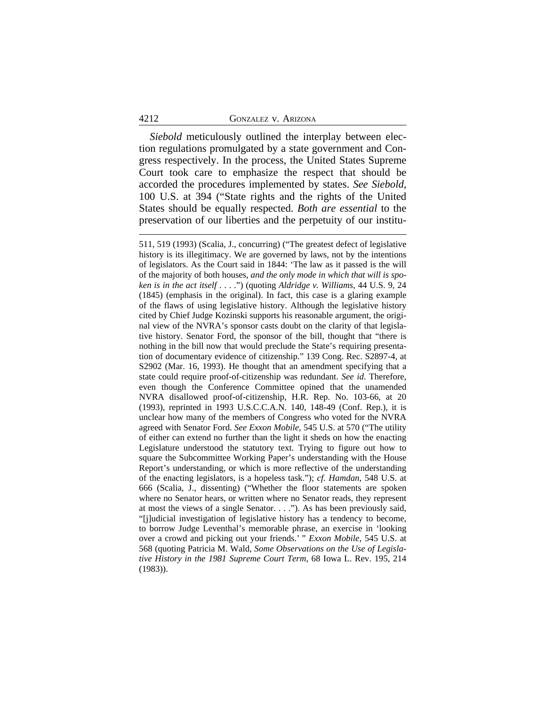#### 4212 GONZALEZ v. ARIZONA

*Siebold* meticulously outlined the interplay between election regulations promulgated by a state government and Congress respectively. In the process, the United States Supreme Court took care to emphasize the respect that should be accorded the procedures implemented by states. *See Siebold*, 100 U.S. at 394 ("State rights and the rights of the United States should be equally respected. *Both are essential* to the preservation of our liberties and the perpetuity of our institu-

511, 519 (1993) (Scalia, J., concurring) ("The greatest defect of legislative history is its illegitimacy. We are governed by laws, not by the intentions of legislators. As the Court said in 1844: 'The law as it passed is the will of the majority of both houses, *and the only mode in which that will is spoken is in the act itself* . . . .") (quoting *Aldridge v. Williams*, 44 U.S. 9, 24 (1845) (emphasis in the original). In fact, this case is a glaring example of the flaws of using legislative history. Although the legislative history cited by Chief Judge Kozinski supports his reasonable argument, the original view of the NVRA's sponsor casts doubt on the clarity of that legislative history. Senator Ford, the sponsor of the bill, thought that "there is nothing in the bill now that would preclude the State's requiring presentation of documentary evidence of citizenship." 139 Cong. Rec. S2897-4, at S2902 (Mar. 16, 1993). He thought that an amendment specifying that a state could require proof-of-citizenship was redundant. *See id*. Therefore, even though the Conference Committee opined that the unamended NVRA disallowed proof-of-citizenship, H.R. Rep. No. 103-66, at 20 (1993), reprinted in 1993 U.S.C.C.A.N. 140, 148-49 (Conf. Rep.), it is unclear how many of the members of Congress who voted for the NVRA agreed with Senator Ford. *See Exxon Mobile*, 545 U.S. at 570 ("The utility of either can extend no further than the light it sheds on how the enacting Legislature understood the statutory text. Trying to figure out how to square the Subcommittee Working Paper's understanding with the House Report's understanding, or which is more reflective of the understanding of the enacting legislators, is a hopeless task."); *cf. Hamdan*, 548 U.S. at 666 (Scalia, J., dissenting) ("Whether the floor statements are spoken where no Senator hears, or written where no Senator reads, they represent at most the views of a single Senator. . . ."). As has been previously said, "[j]udicial investigation of legislative history has a tendency to become, to borrow Judge Leventhal's memorable phrase, an exercise in 'looking over a crowd and picking out your friends.' " *Exxon Mobile*, 545 U.S. at 568 (quoting Patricia M. Wald, *Some Observations on the Use of Legislative History in the 1981 Supreme Court Term*, 68 Iowa L. Rev. 195, 214 (1983)).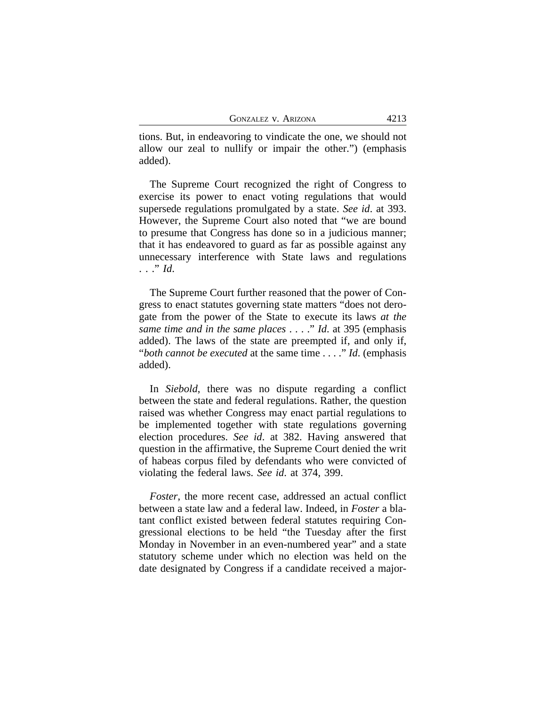tions. But, in endeavoring to vindicate the one, we should not allow our zeal to nullify or impair the other.") (emphasis added).

The Supreme Court recognized the right of Congress to exercise its power to enact voting regulations that would supersede regulations promulgated by a state. *See id*. at 393. However, the Supreme Court also noted that "we are bound to presume that Congress has done so in a judicious manner; that it has endeavored to guard as far as possible against any unnecessary interference with State laws and regulations . . ." *Id*.

The Supreme Court further reasoned that the power of Congress to enact statutes governing state matters "does not derogate from the power of the State to execute its laws *at the same time and in the same places* . . . ." *Id*. at 395 (emphasis added). The laws of the state are preempted if, and only if, "*both cannot be executed* at the same time . . . ." *Id*. (emphasis added).

In *Siebold*, there was no dispute regarding a conflict between the state and federal regulations. Rather, the question raised was whether Congress may enact partial regulations to be implemented together with state regulations governing election procedures. *See id*. at 382. Having answered that question in the affirmative, the Supreme Court denied the writ of habeas corpus filed by defendants who were convicted of violating the federal laws. *See id*. at 374, 399.

*Foster*, the more recent case, addressed an actual conflict between a state law and a federal law. Indeed, in *Foster* a blatant conflict existed between federal statutes requiring Congressional elections to be held "the Tuesday after the first Monday in November in an even-numbered year" and a state statutory scheme under which no election was held on the date designated by Congress if a candidate received a major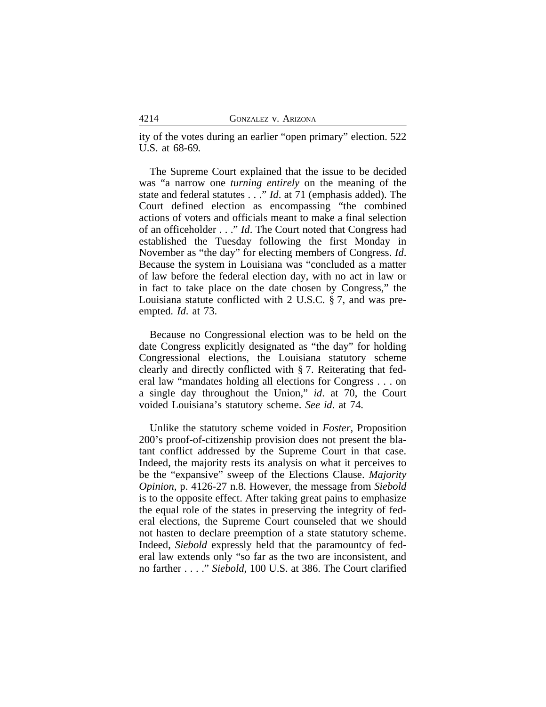ity of the votes during an earlier "open primary" election. 522 U.S. at 68-69*.*

The Supreme Court explained that the issue to be decided was "a narrow one *turning entirely* on the meaning of the state and federal statutes . . ." *Id*. at 71 (emphasis added). The Court defined election as encompassing "the combined actions of voters and officials meant to make a final selection of an officeholder . . ." *Id*. The Court noted that Congress had established the Tuesday following the first Monday in November as "the day" for electing members of Congress. *Id*. Because the system in Louisiana was "concluded as a matter of law before the federal election day, with no act in law or in fact to take place on the date chosen by Congress," the Louisiana statute conflicted with 2 U.S.C. § 7, and was preempted. *Id*. at 73.

Because no Congressional election was to be held on the date Congress explicitly designated as "the day" for holding Congressional elections, the Louisiana statutory scheme clearly and directly conflicted with § 7. Reiterating that federal law "mandates holding all elections for Congress . . . on a single day throughout the Union," *id*. at 70, the Court voided Louisiana's statutory scheme. *See id*. at 74.

Unlike the statutory scheme voided in *Foster*, Proposition 200's proof-of-citizenship provision does not present the blatant conflict addressed by the Supreme Court in that case. Indeed, the majority rests its analysis on what it perceives to be the "expansive" sweep of the Elections Clause. *Majority Opinion*, p. 4126-27 n.8. However, the message from *Siebold* is to the opposite effect. After taking great pains to emphasize the equal role of the states in preserving the integrity of federal elections, the Supreme Court counseled that we should not hasten to declare preemption of a state statutory scheme. Indeed, *Siebold* expressly held that the paramountcy of federal law extends only "so far as the two are inconsistent, and no farther . . . ." *Siebold*, 100 U.S. at 386. The Court clarified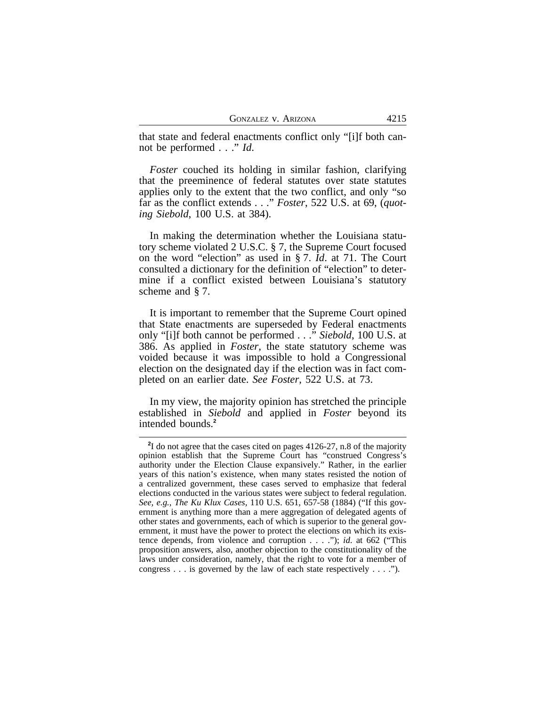that state and federal enactments conflict only "[i]f both cannot be performed . . ." *Id*.

*Foster* couched its holding in similar fashion, clarifying that the preeminence of federal statutes over state statutes applies only to the extent that the two conflict, and only "so far as the conflict extends . . ." *Foster*, 522 U.S. at 69, (*quoting Siebold*, 100 U.S. at 384).

In making the determination whether the Louisiana statutory scheme violated 2 U.S.C. § 7, the Supreme Court focused on the word "election" as used in § 7. *Id*. at 71. The Court consulted a dictionary for the definition of "election" to determine if a conflict existed between Louisiana's statutory scheme and § 7.

It is important to remember that the Supreme Court opined that State enactments are superseded by Federal enactments only "[i]f both cannot be performed . . ." *Siebold*, 100 U.S. at 386. As applied in *Foster*, the state statutory scheme was voided because it was impossible to hold a Congressional election on the designated day if the election was in fact completed on an earlier date. *See Foster*, 522 U.S. at 73.

In my view, the majority opinion has stretched the principle established in *Siebold* and applied in *Foster* beyond its intended bounds.**<sup>2</sup>**

<sup>&</sup>lt;sup>2</sup>I do not agree that the cases cited on pages 4126-27, n.8 of the majority opinion establish that the Supreme Court has "construed Congress's authority under the Election Clause expansively." Rather, in the earlier years of this nation's existence, when many states resisted the notion of a centralized government, these cases served to emphasize that federal elections conducted in the various states were subject to federal regulation. *See, e.g., The Ku Klux Cases*, 110 U.S. 651, 657-58 (1884) ("If this government is anything more than a mere aggregation of delegated agents of other states and governments, each of which is superior to the general government, it must have the power to protect the elections on which its existence depends, from violence and corruption . . . ."); *id*. at 662 ("This proposition answers, also, another objection to the constitutionality of the laws under consideration, namely, that the right to vote for a member of congress . . . is governed by the law of each state respectively . . . .").